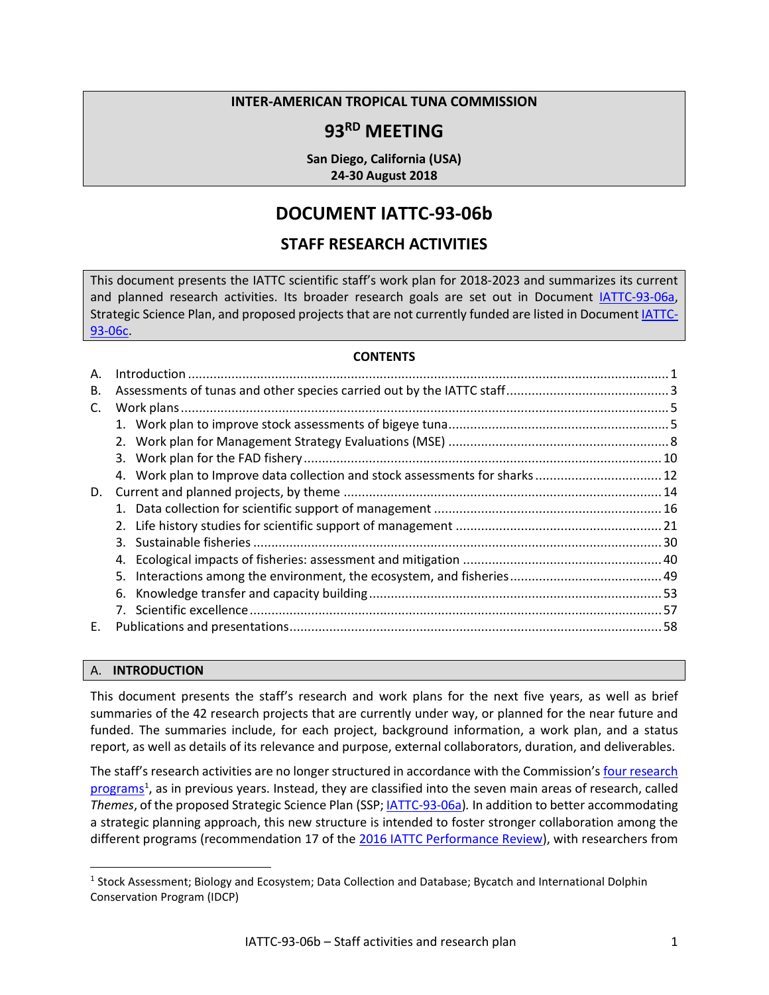#### **INTER-AMERICAN TROPICAL TUNA COMMISSION**

## **93RD MEETING**

**San Diego, California (USA) 24-30 August 2018**

# **DOCUMENT IATTC-93-06b**

## **STAFF RESEARCH ACTIVITIES**

This document presents the IATTC scientific staff's work plan for 2018-2023 and summarizes its current and planned research activities. Its broader research goals are set out in Document *IATTC-93-06a*, Strategic Science Plan, and proposed projects that are not currently funded are listed in Document [IATTC-](https://www.iattc.org/Meetings/Meetings2018/IATTC-93/PDFs/Docs/_English/IATTC-93-06c_Unfunded%20projects.pdf)[93-06c.](https://www.iattc.org/Meetings/Meetings2018/IATTC-93/PDFs/Docs/_English/IATTC-93-06c_Unfunded%20projects.pdf)

#### **CONTENTS**

| Α. |                                                                              |  |
|----|------------------------------------------------------------------------------|--|
| В. |                                                                              |  |
| C. |                                                                              |  |
|    |                                                                              |  |
|    |                                                                              |  |
|    |                                                                              |  |
|    | 4. Work plan to Improve data collection and stock assessments for sharks  12 |  |
| D. |                                                                              |  |
|    |                                                                              |  |
|    |                                                                              |  |
|    |                                                                              |  |
|    |                                                                              |  |
|    |                                                                              |  |
|    |                                                                              |  |
|    |                                                                              |  |
| Е. |                                                                              |  |
|    |                                                                              |  |

#### <span id="page-0-0"></span>A. **INTRODUCTION**

This document presents the staff's research and work plans for the next five years, as well as brief summaries of the 42 research projects that are currently under way, or planned for the near future and funded. The summaries include, for each project, background information, a work plan, and a status report, as well as details of its relevance and purpose, external collaborators, duration, and deliverables.

The staff's research activities are no longer structured in accordance with the Commission's four research [programs](https://www.iattc.org/ResearchENG.htm)<sup>[1](#page-0-1)</sup>, as in previous years. Instead, they are classified into the seven main areas of research, called *Themes*, of the proposed Strategic Science Plan (SSP; [IATTC-93-06a\)](https://www.iattc.org/Meetings/Meetings2018/IATTC-93/PDFs/Docs/_English/IATTC-93-06a_Strategic%20Science%20Plan.pdf)*.* In addition to better accommodating a strategic planning approach, this new structure is intended to foster stronger collaboration among the different programs (recommendation 17 of the [2016 IATTC Performance Review\)](http://www.iattc.org/Meetings/Meetings2016/IATTC-90/PDFs/Docs/_English/IATTC-90_IATTC-AIDCP-Performance-review-final-report.pdf), with researchers from

<span id="page-0-1"></span> <sup>1</sup> Stock Assessment; Biology and Ecosystem; Data Collection and Database; Bycatch and International Dolphin Conservation Program (IDCP)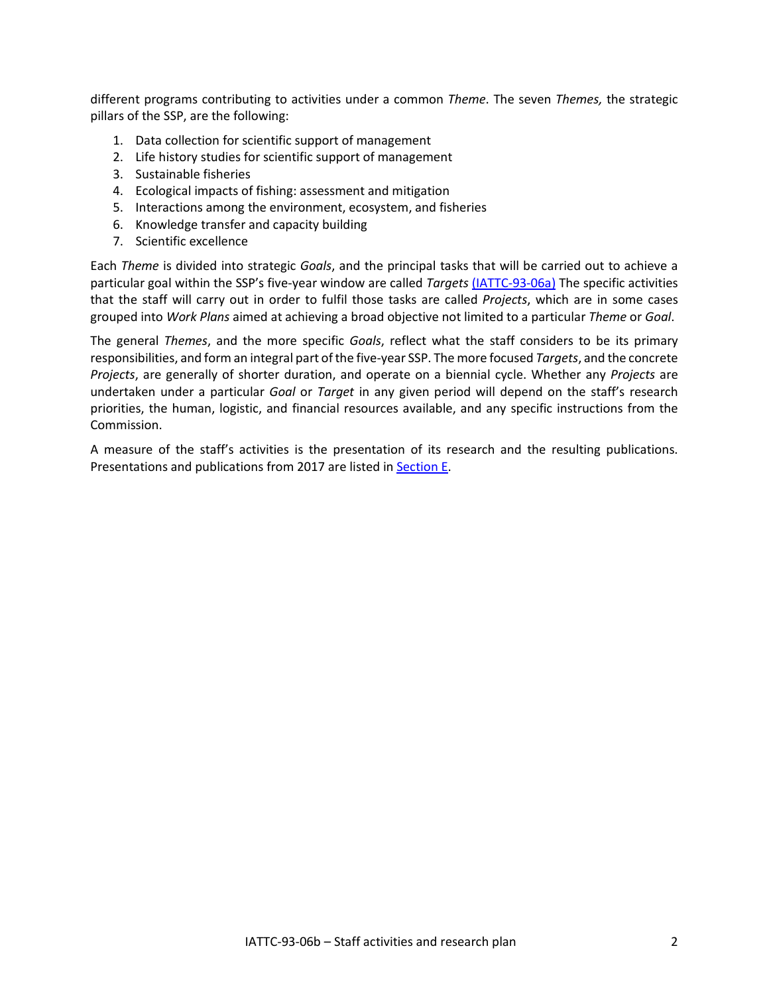different programs contributing to activities under a common *Theme*. The seven *Themes,* the strategic pillars of the SSP, are the following:

- 1. Data collection for scientific support of management
- 2. Life history studies for scientific support of management
- 3. Sustainable fisheries
- 4. Ecological impacts of fishing: assessment and mitigation
- 5. Interactions among the environment, ecosystem, and fisheries
- 6. Knowledge transfer and capacity building
- 7. Scientific excellence

Each *Theme* is divided into strategic *Goals*, and the principal tasks that will be carried out to achieve a particular goal within the SSP's five-year window are called *Targets* [\(IATTC-93-06a\)](https://www.iattc.org/Meetings/Meetings2018/IATTC-93/PDFs/Docs/_English/IATTC-93-06a_Strategic%20Science%20Plan.pdf) The specific activities that the staff will carry out in order to fulfil those tasks are called *Projects*, which are in some cases grouped into *Work Plans* aimed at achieving a broad objective not limited to a particular *Theme* or *Goal*.

The general *Themes*, and the more specific *Goals*, reflect what the staff considers to be its primary responsibilities, and form an integral part of the five-year SSP. The more focused *Targets*, and the concrete *Projects*, are generally of shorter duration, and operate on a biennial cycle. Whether any *Projects* are undertaken under a particular *Goal* or *Target* in any given period will depend on the staff's research priorities, the human, logistic, and financial resources available, and any specific instructions from the Commission.

A measure of the staff's activities is the presentation of its research and the resulting publications. Presentations and publications from 2017 are listed in Section E.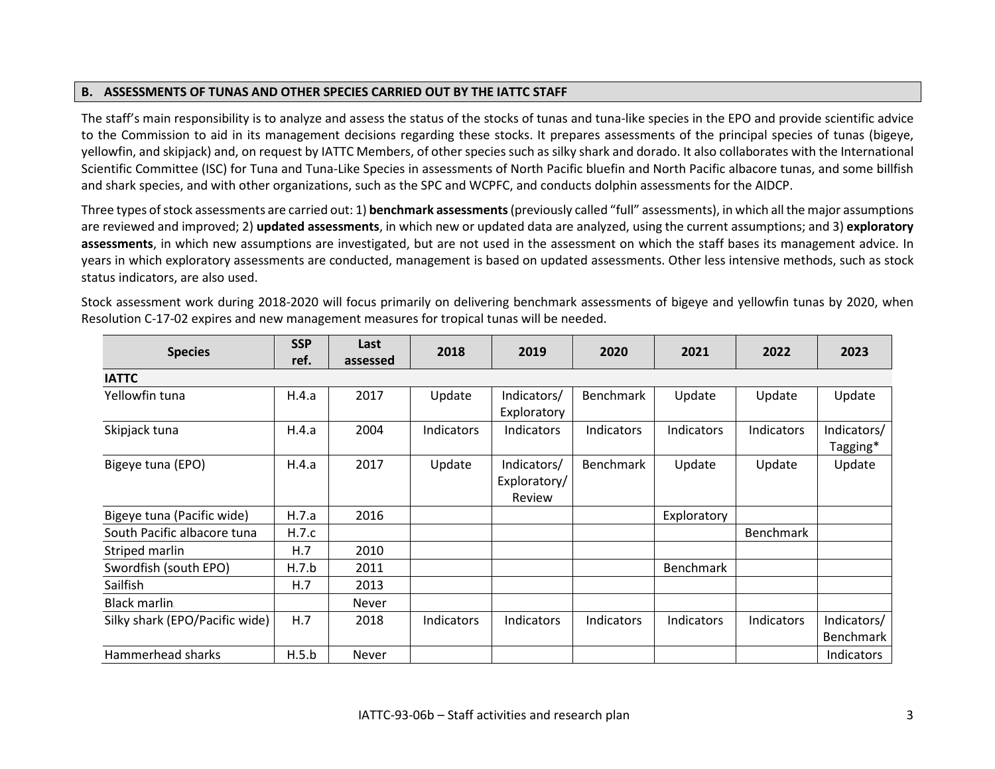## **B. ASSESSMENTS OF TUNAS AND OTHER SPECIES CARRIED OUT BY THE IATTC STAFF**

The staff's main responsibility is to analyze and assess the status of the stocks of tunas and tuna-like species in the EPO and provide scientific advice to the Commission to aid in its management decisions regarding these stocks. It prepares assessments of the principal species of tunas (bigeye, yellowfin, and skipjack) and, on request by IATTC Members, of other species such as silky shark and dorado. It also collaborates with the International Scientific Committee (ISC) for Tuna and Tuna-Like Species in assessments of North Pacific bluefin and North Pacific albacore tunas, and some billfish and shark species, and with other organizations, such as the SPC and WCPFC, and conducts dolphin assessments for the AIDCP.

Three types of stock assessments are carried out: 1) **benchmark assessments**(previously called "full" assessments), in which all the major assumptions are reviewed and improved; 2) **updated assessments**, in which new or updated data are analyzed, using the current assumptions; and 3) **exploratory assessments**, in which new assumptions are investigated, but are not used in the assessment on which the staff bases its management advice. In years in which exploratory assessments are conducted, management is based on updated assessments. Other less intensive methods, such as stock status indicators, are also used.

| <b>Species</b>                 | <b>SSP</b> | Last     | 2018       | 2019              | 2020              | 2021              | 2022       | 2023              |
|--------------------------------|------------|----------|------------|-------------------|-------------------|-------------------|------------|-------------------|
|                                | ref.       | assessed |            |                   |                   |                   |            |                   |
| <b>IATTC</b>                   |            |          |            |                   |                   |                   |            |                   |
| Yellowfin tuna                 | H.4.a      | 2017     | Update     | Indicators/       | <b>Benchmark</b>  | Update            | Update     | Update            |
|                                |            |          |            | Exploratory       |                   |                   |            |                   |
| Skipjack tuna                  | H.4.a      | 2004     | Indicators | <b>Indicators</b> | <b>Indicators</b> | <b>Indicators</b> | Indicators | Indicators/       |
|                                |            |          |            |                   |                   |                   |            | Tagging*          |
| Bigeye tuna (EPO)              | H.4.a      | 2017     | Update     | Indicators/       | Benchmark         | Update            | Update     | Update            |
|                                |            |          |            | Exploratory/      |                   |                   |            |                   |
|                                |            |          |            | Review            |                   |                   |            |                   |
| Bigeye tuna (Pacific wide)     | H.7.a      | 2016     |            |                   |                   | Exploratory       |            |                   |
| South Pacific albacore tuna    | H.7.c      |          |            |                   |                   |                   | Benchmark  |                   |
| Striped marlin                 | H.7        | 2010     |            |                   |                   |                   |            |                   |
| Swordfish (south EPO)          | H.7.b      | 2011     |            |                   |                   | <b>Benchmark</b>  |            |                   |
| Sailfish                       | H.7        | 2013     |            |                   |                   |                   |            |                   |
| Black marlin.                  |            | Never    |            |                   |                   |                   |            |                   |
| Silky shark (EPO/Pacific wide) | H.7        | 2018     | Indicators | Indicators        | Indicators        | <b>Indicators</b> | Indicators | Indicators/       |
|                                |            |          |            |                   |                   |                   |            | <b>Benchmark</b>  |
| Hammerhead sharks              | H.5.b      | Never    |            |                   |                   |                   |            | <b>Indicators</b> |

<span id="page-2-0"></span>Stock assessment work during 2018-2020 will focus primarily on delivering benchmark assessments of bigeye and yellowfin tunas by 2020, when Resolution C-17-02 expires and new management measures for tropical tunas will be needed.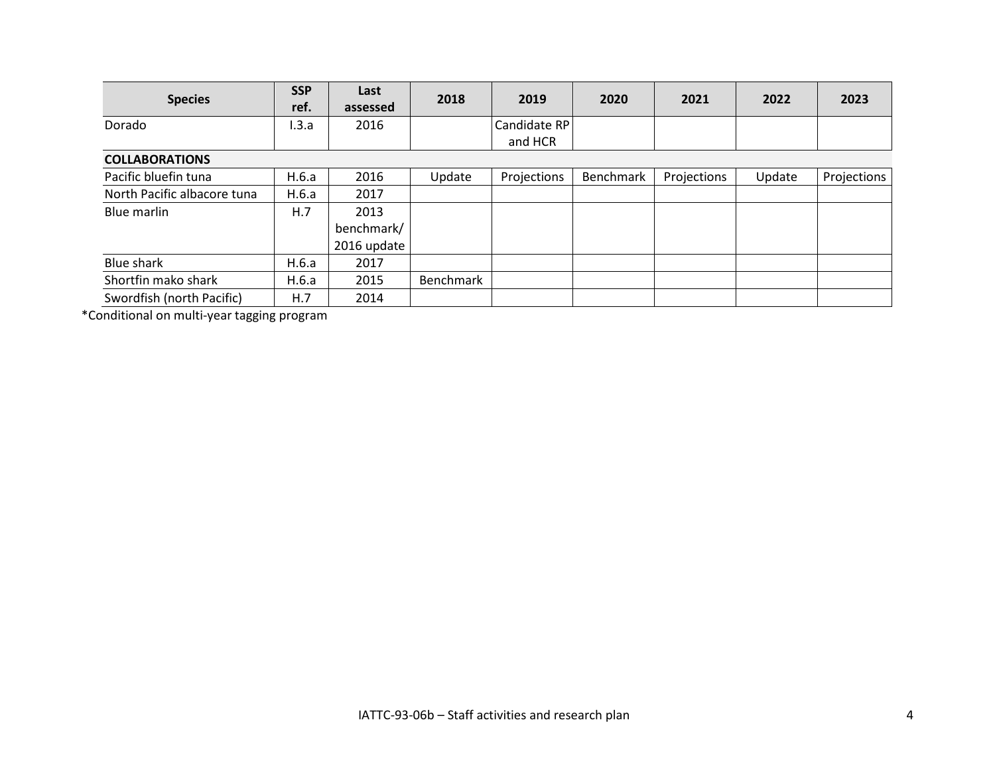| <b>Species</b>              | <b>SSP</b><br>ref. | Last<br>assessed | 2018      | 2019         | 2020             | 2021        | 2022   | 2023        |
|-----------------------------|--------------------|------------------|-----------|--------------|------------------|-------------|--------|-------------|
| Dorado                      | 1.3.a              | 2016             |           | Candidate RP |                  |             |        |             |
|                             |                    |                  |           | and HCR      |                  |             |        |             |
| <b>COLLABORATIONS</b>       |                    |                  |           |              |                  |             |        |             |
| Pacific bluefin tuna        | H.6.a              | 2016             | Update    | Projections  | <b>Benchmark</b> | Projections | Update | Projections |
| North Pacific albacore tuna | H.6.a              | 2017             |           |              |                  |             |        |             |
| Blue marlin                 | H.7                | 2013             |           |              |                  |             |        |             |
|                             |                    | benchmark/       |           |              |                  |             |        |             |
|                             |                    | 2016 update      |           |              |                  |             |        |             |
| Blue shark                  | H.6.a              | 2017             |           |              |                  |             |        |             |
| Shortfin mako shark         | H.6.a              | 2015             | Benchmark |              |                  |             |        |             |
| Swordfish (north Pacific)   | H.7                | 2014             |           |              |                  |             |        |             |

\*Conditional on multi-year tagging program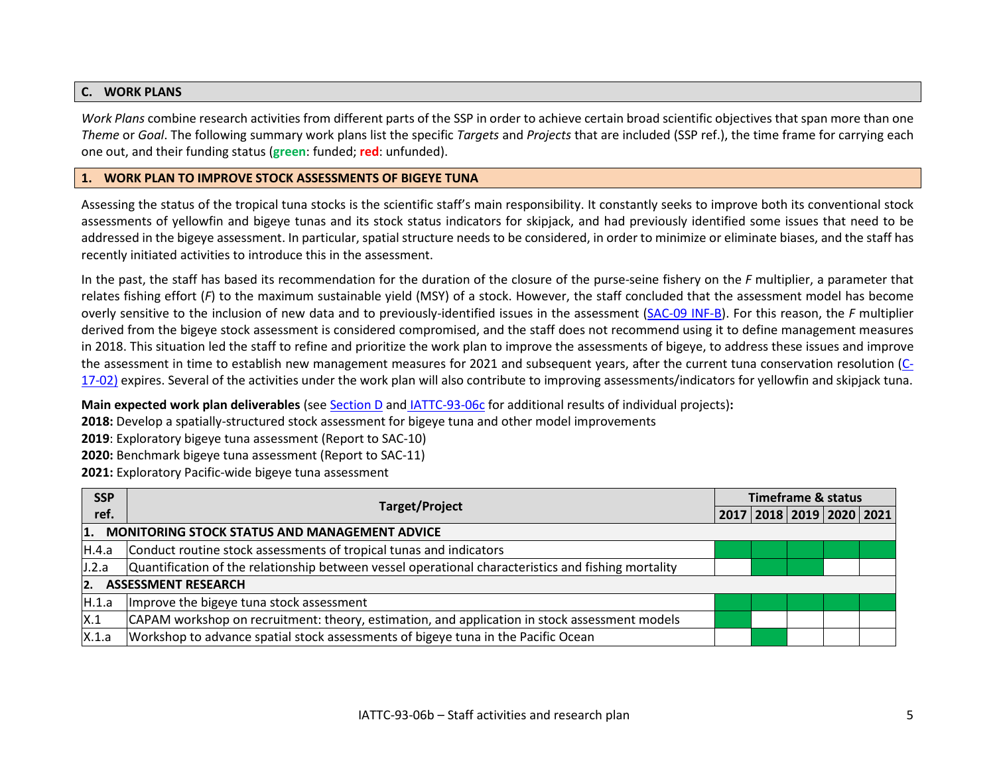#### **C. WORK PLANS**

*Work Plans* combine research activities from different parts of the SSP in order to achieve certain broad scientific objectives that span more than one *Theme* or *Goal*. The following summary work plans list the specific *Targets* and *Projects* that are included (SSP ref.), the time frame for carrying each one out, and their funding status (**green**: funded; **red**: unfunded).

#### **1. WORK PLAN TO IMPROVE STOCK ASSESSMENTS OF BIGEYE TUNA**

Assessing the status of the tropical tuna stocks is the scientific staff's main responsibility. It constantly seeks to improve both its conventional stock assessments of yellowfin and bigeye tunas and its stock status indicators for skipjack, and had previously identified some issues that need to be addressed in the bigeye assessment. In particular, spatial structure needs to be considered, in order to minimize or eliminate biases, and the staff has recently initiated activities to introduce this in the assessment.

<span id="page-4-0"></span>In the past, the staff has based its recommendation for the duration of the closure of the purse-seine fishery on the *F* multiplier, a parameter that relates fishing effort (*F*) to the maximum sustainable yield (MSY) of a stock. However, the staff concluded that the assessment model has become overly sensitive to the inclusion of new data and to previously-identified issues in the assessment [\(SAC-09 INF-B\)](https://www.iattc.org/Meetings/Meetings2018/SAC-09/PDFs/Docs/_English/SAC-09-INF-B-EN_Bigeye-tuna-investigation-of-change-in-F-multiplier.pdf). For this reason, the *F* multiplier derived from the bigeye stock assessment is considered compromised, and the staff does not recommend using it to define management measures in 2018. This situation led the staff to refine and prioritize the work plan to improve the assessments of bigeye, to address these issues and improve the assessment in time to establish new management measures for 2021 and subsequent years, after the current tuna conservation resolution [\(C-](https://www.iattc.org/PDFFiles/Resolutions/IATTC/_English/C-17-02-Tuna-conservation-in-the-EPO-2018-2020-and-amendment-to-Res.-C-17-01.pdf)[17-02\)](https://www.iattc.org/PDFFiles/Resolutions/IATTC/_English/C-17-02-Tuna-conservation-in-the-EPO-2018-2020-and-amendment-to-Res.-C-17-01.pdf) expires. Several of the activities under the work plan will also contribute to improving assessments/indicators for yellowfin and skipjack tuna.

<span id="page-4-1"></span>**Main expected work plan deliverables** (see Section D and [IATTC-93-06c](https://www.iattc.org/Meetings/Meetings2018/IATTC-93/PDFs/Docs/_English/IATTC-93-06c_Unfunded%20projects.pdf) for additional results of individual projects)**:**

**2018:** Develop a spatially-structured stock assessment for bigeye tuna and other model improvements

**2019**: Exploratory bigeye tuna assessment (Report to SAC-10)

**2020:** Benchmark bigeye tuna assessment (Report to SAC-11)

**2021:** Exploratory Pacific-wide bigeye tuna assessment

| <b>SSP</b>       | <b>Target/Project</b>                                                                               |  | <b>Timeframe &amp; status</b> |  |  |
|------------------|-----------------------------------------------------------------------------------------------------|--|-------------------------------|--|--|
| ref.             |                                                                                                     |  | 2017 2018 2019 2020 2021      |  |  |
| 1.               | <b>MONITORING STOCK STATUS AND MANAGEMENT ADVICE</b>                                                |  |                               |  |  |
| IH.4.a           | Conduct routine stock assessments of tropical tunas and indicators                                  |  |                               |  |  |
| J.2.a            | Quantification of the relationship between vessel operational characteristics and fishing mortality |  |                               |  |  |
| $\overline{2}$ . | <b>ASSESSMENT RESEARCH</b>                                                                          |  |                               |  |  |
| H.1.a            | Improve the bigeye tuna stock assessment                                                            |  |                               |  |  |
| X.1              | CAPAM workshop on recruitment: theory, estimation, and application in stock assessment models       |  |                               |  |  |
| X.1.a            | Workshop to advance spatial stock assessments of bigeye tuna in the Pacific Ocean                   |  |                               |  |  |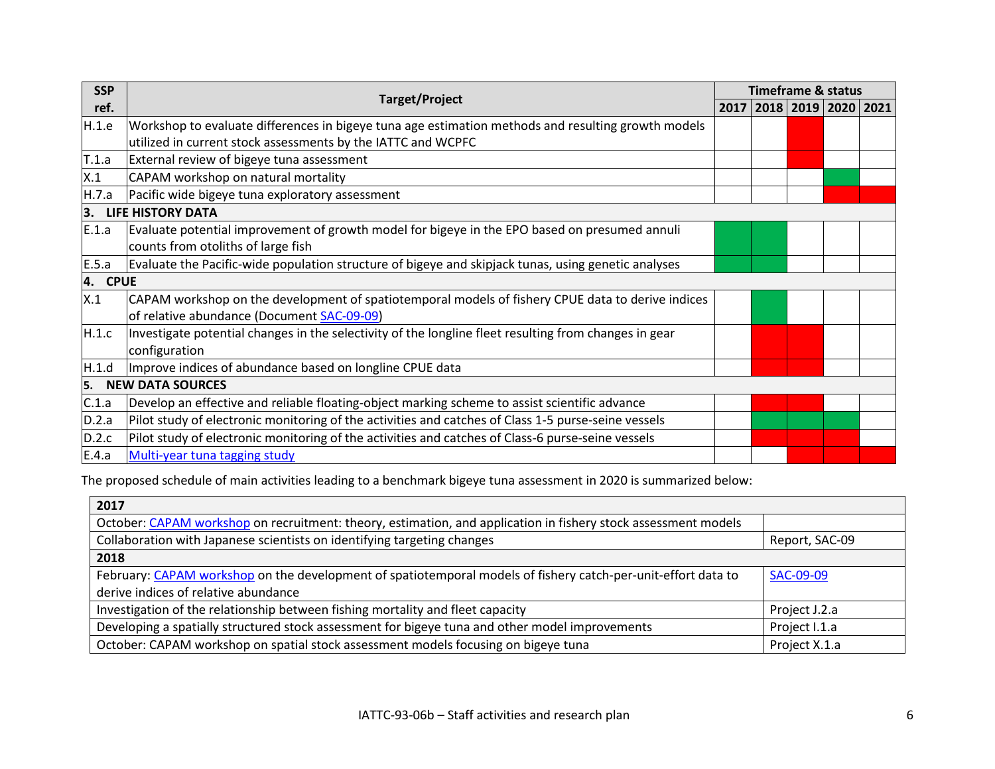| <b>SSP</b> |                                                                                                       | <b>Timeframe &amp; status</b>    |  |  |  |
|------------|-------------------------------------------------------------------------------------------------------|----------------------------------|--|--|--|
| ref.       | <b>Target/Project</b>                                                                                 | 2017   2018   2019   2020   2021 |  |  |  |
| H.1.e      | Workshop to evaluate differences in bigeye tuna age estimation methods and resulting growth models    |                                  |  |  |  |
|            | utilized in current stock assessments by the IATTC and WCPFC                                          |                                  |  |  |  |
| T.1.a      | External review of bigeye tuna assessment                                                             |                                  |  |  |  |
| X.1        | CAPAM workshop on natural mortality                                                                   |                                  |  |  |  |
| H.7.a      | Pacific wide bigeye tuna exploratory assessment                                                       |                                  |  |  |  |
| 3.         | <b>LIFE HISTORY DATA</b>                                                                              |                                  |  |  |  |
| E.1.a      | Evaluate potential improvement of growth model for bigeye in the EPO based on presumed annuli         |                                  |  |  |  |
|            | counts from otoliths of large fish                                                                    |                                  |  |  |  |
| E.5.a      | Evaluate the Pacific-wide population structure of bigeye and skipjack tunas, using genetic analyses   |                                  |  |  |  |
| 4. CPUE    |                                                                                                       |                                  |  |  |  |
| X.1        | CAPAM workshop on the development of spatiotemporal models of fishery CPUE data to derive indices     |                                  |  |  |  |
|            | of relative abundance (Document SAC-09-09)                                                            |                                  |  |  |  |
| H.1.c      | Investigate potential changes in the selectivity of the longline fleet resulting from changes in gear |                                  |  |  |  |
|            | configuration                                                                                         |                                  |  |  |  |
| H.1.d      | Improve indices of abundance based on longline CPUE data                                              |                                  |  |  |  |
| 5.         | <b>NEW DATA SOURCES</b>                                                                               |                                  |  |  |  |
| C.1.a      | Develop an effective and reliable floating-object marking scheme to assist scientific advance         |                                  |  |  |  |
| D.2.a      | Pilot study of electronic monitoring of the activities and catches of Class 1-5 purse-seine vessels   |                                  |  |  |  |
| D.2.c      | Pilot study of electronic monitoring of the activities and catches of Class-6 purse-seine vessels     |                                  |  |  |  |
| E.4.a      | Multi-year tuna tagging study                                                                         |                                  |  |  |  |

The proposed schedule of main activities leading to a benchmark bigeye tuna assessment in 2020 is summarized below:

| 2017                                                                                                           |                |
|----------------------------------------------------------------------------------------------------------------|----------------|
| October: CAPAM workshop on recruitment: theory, estimation, and application in fishery stock assessment models |                |
| Collaboration with Japanese scientists on identifying targeting changes                                        | Report, SAC-09 |
| 2018                                                                                                           |                |
| February: CAPAM workshop on the development of spatiotemporal models of fishery catch-per-unit-effort data to  | SAC-09-09      |
| derive indices of relative abundance                                                                           |                |
| Investigation of the relationship between fishing mortality and fleet capacity                                 | Project J.2.a  |
| Developing a spatially structured stock assessment for bigeye tuna and other model improvements                | Project I.1.a  |
| October: CAPAM workshop on spatial stock assessment models focusing on bigeye tuna                             | Project X.1.a  |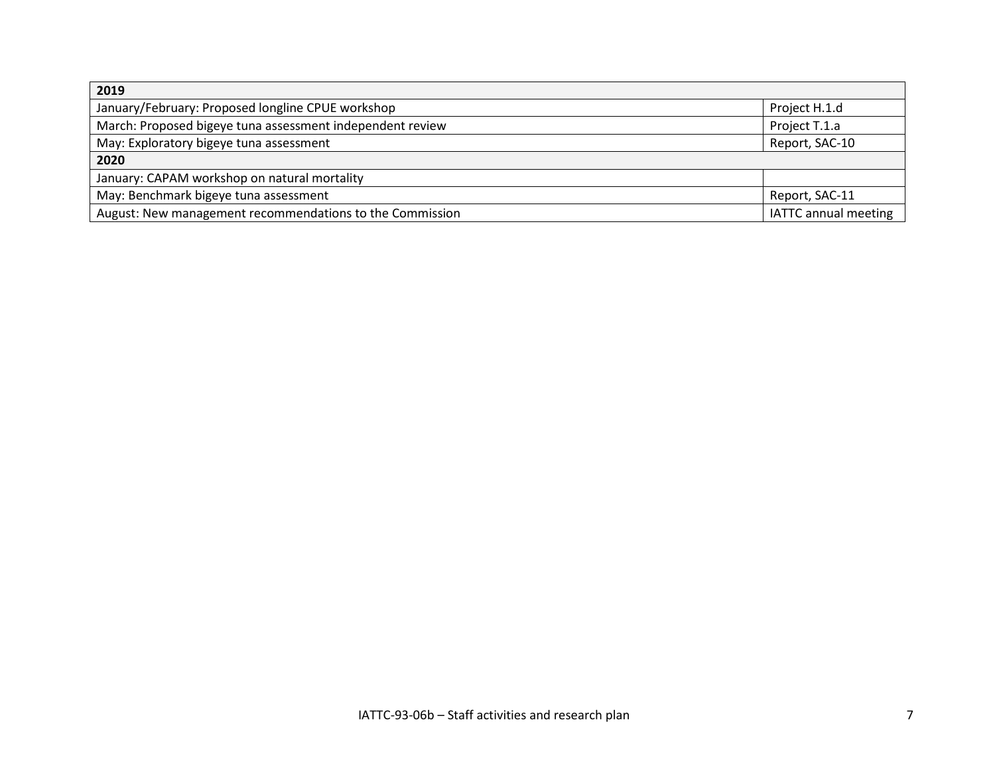| 2019                                                      |                             |
|-----------------------------------------------------------|-----------------------------|
| January/February: Proposed longline CPUE workshop         | Project H.1.d               |
| March: Proposed bigeye tuna assessment independent review | Project T.1.a               |
| May: Exploratory bigeye tuna assessment                   | Report, SAC-10              |
| 2020                                                      |                             |
| January: CAPAM workshop on natural mortality              |                             |
| May: Benchmark bigeye tuna assessment                     | Report, SAC-11              |
| August: New management recommendations to the Commission  | <b>IATTC</b> annual meeting |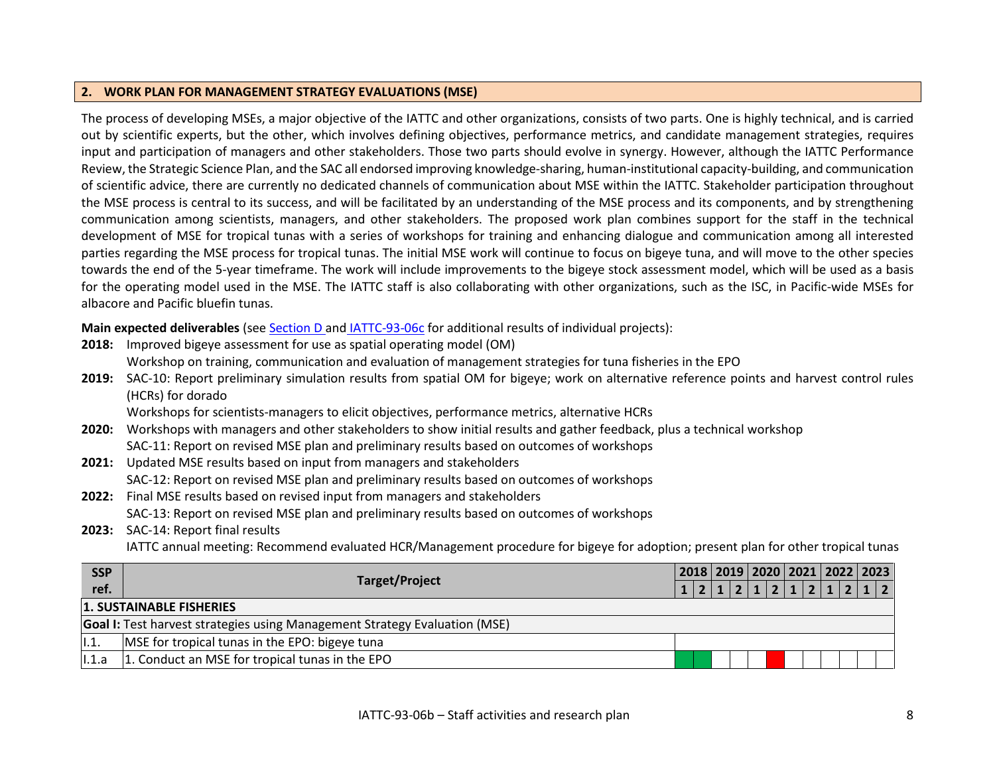### **2. WORK PLAN FOR MANAGEMENT STRATEGY EVALUATIONS (MSE)**

The process of developing MSEs, a major objective of the IATTC and other organizations, consists of two parts. One is highly technical, and is carried out by scientific experts, but the other, which involves defining objectives, performance metrics, and candidate management strategies, requires input and participation of managers and other stakeholders. Those two parts should evolve in synergy. However, although the IATTC Performance Review, the Strategic Science Plan, and the SAC all endorsed improving knowledge-sharing, human-institutional capacity-building, and communication of scientific advice, there are currently no dedicated channels of communication about MSE within the IATTC. Stakeholder participation throughout the MSE process is central to its success, and will be facilitated by an understanding of the MSE process and its components, and by strengthening communication among scientists, managers, and other stakeholders. The proposed work plan combines support for the staff in the technical development of MSE for tropical tunas with a series of workshops for training and enhancing dialogue and communication among all interested parties regarding the MSE process for tropical tunas. The initial MSE work will continue to focus on bigeye tuna, and will move to the other species towards the end of the 5-year timeframe. The work will include improvements to the bigeye stock assessment model, which will be used as a basis for the operating model used in the MSE. The IATTC staff is also collaborating with other organizations, such as the ISC, in Pacific-wide MSEs for albacore and Pacific bluefin tunas.

<span id="page-7-0"></span>**Main expected deliverables** (see Section D and [IATTC-93-06c](https://www.iattc.org/Meetings/Meetings2018/IATTC-93/PDFs/Docs/_English/IATTC-93-06c_Unfunded%20projects.pdf) for additional results of individual projects):

| 2018:      | Improved bigeye assessment for use as spatial operating model (OM)                                                                       |                                         |       |
|------------|------------------------------------------------------------------------------------------------------------------------------------------|-----------------------------------------|-------|
|            | Workshop on training, communication and evaluation of management strategies for tuna fisheries in the EPO                                |                                         |       |
| 2019:      | SAC-10: Report preliminary simulation results from spatial OM for bigeye; work on alternative reference points and harvest control rules |                                         |       |
|            | (HCRs) for dorado                                                                                                                        |                                         |       |
|            | Workshops for scientists-managers to elicit objectives, performance metrics, alternative HCRs                                            |                                         |       |
| 2020:      | Workshops with managers and other stakeholders to show initial results and gather feedback, plus a technical workshop                    |                                         |       |
|            | SAC-11: Report on revised MSE plan and preliminary results based on outcomes of workshops                                                |                                         |       |
| 2021:      | Updated MSE results based on input from managers and stakeholders                                                                        |                                         |       |
|            | SAC-12: Report on revised MSE plan and preliminary results based on outcomes of workshops                                                |                                         |       |
| 2022:      | Final MSE results based on revised input from managers and stakeholders                                                                  |                                         |       |
|            | SAC-13: Report on revised MSE plan and preliminary results based on outcomes of workshops                                                |                                         |       |
| 2023:      | SAC-14: Report final results                                                                                                             |                                         |       |
|            | IATTC annual meeting: Recommend evaluated HCR/Management procedure for bigeye for adoption; present plan for other tropical tunas        |                                         |       |
| <b>SSP</b> |                                                                                                                                          | 2018   2019   2020   2021   2022   2023 |       |
| ref.       | <b>Target/Project</b>                                                                                                                    | 1 2 1 2 1 2 1                           | 2 1 2 |
|            | <b>1. SUSTAINABLE FISHERIES</b>                                                                                                          |                                         |       |
|            | <b>Goal I:</b> Test harvest strategies using Management Strategy Evaluation (MSE)                                                        |                                         |       |
|            |                                                                                                                                          |                                         |       |

I.1. MSE for tropical tunas in the EPO: bigeye tuna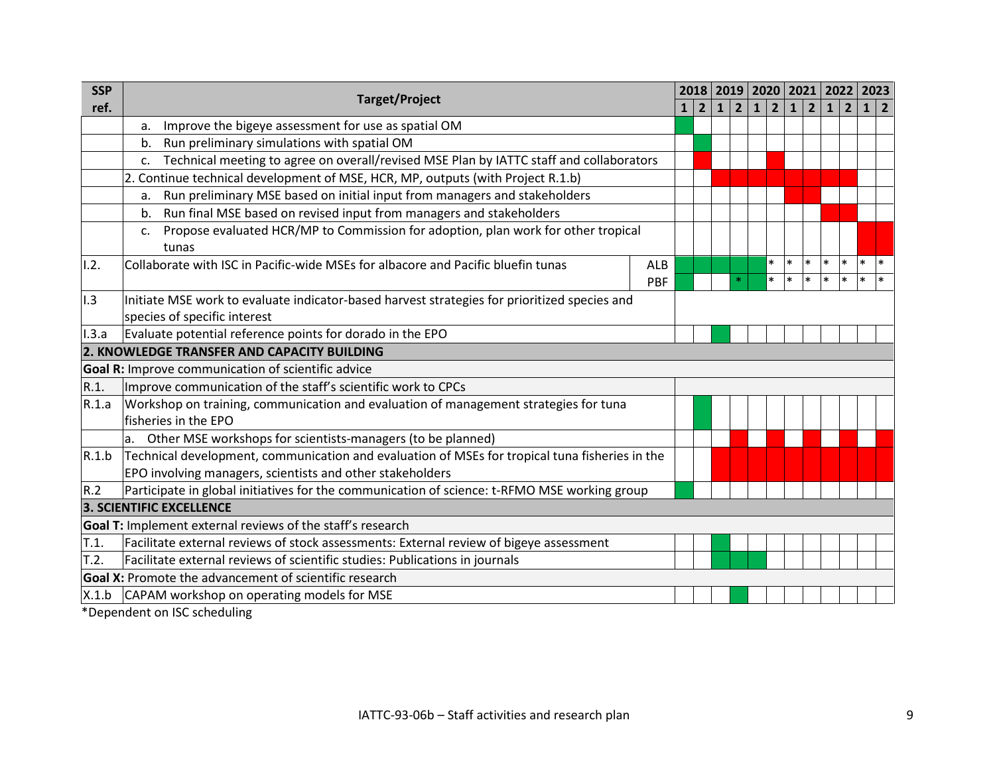| <b>SSP</b> |                                                                                                                                                                                                                                                                                                                                    |            |              |             |              |                |                      | 2018   2019   2020   2021   2022   2023 |             |              |                |            |              |
|------------|------------------------------------------------------------------------------------------------------------------------------------------------------------------------------------------------------------------------------------------------------------------------------------------------------------------------------------|------------|--------------|-------------|--------------|----------------|----------------------|-----------------------------------------|-------------|--------------|----------------|------------|--------------|
| ref.       | <b>Target/Project</b>                                                                                                                                                                                                                                                                                                              |            | $\mathbf{1}$ | $2^{\circ}$ | $\mathbf{1}$ | $\overline{2}$ | 1 <br>$\overline{2}$ | $1\vert$                                | $2^{\circ}$ | $\mathbf{1}$ | $\overline{2}$ | $1 \mid 2$ |              |
|            | Improve the bigeye assessment for use as spatial OM<br>a.                                                                                                                                                                                                                                                                          |            |              |             |              |                |                      |                                         |             |              |                |            |              |
|            | Run preliminary simulations with spatial OM<br>b.                                                                                                                                                                                                                                                                                  |            |              |             |              |                |                      |                                         |             |              |                |            |              |
|            | Technical meeting to agree on overall/revised MSE Plan by IATTC staff and collaborators<br>$C_{\cdot}$                                                                                                                                                                                                                             |            |              |             |              |                |                      |                                         |             |              |                |            |              |
|            | 2. Continue technical development of MSE, HCR, MP, outputs (with Project R.1.b)                                                                                                                                                                                                                                                    |            |              |             |              |                |                      |                                         |             |              |                |            |              |
|            | Run preliminary MSE based on initial input from managers and stakeholders<br>a.                                                                                                                                                                                                                                                    |            |              |             |              |                |                      |                                         |             |              |                |            |              |
|            | Run final MSE based on revised input from managers and stakeholders<br>b.                                                                                                                                                                                                                                                          |            |              |             |              |                |                      |                                         |             |              |                |            |              |
|            | Propose evaluated HCR/MP to Commission for adoption, plan work for other tropical<br>c.                                                                                                                                                                                                                                            |            |              |             |              |                |                      |                                         |             |              |                |            |              |
|            | tunas                                                                                                                                                                                                                                                                                                                              |            |              |             |              |                | $\ast$               | $\ast$                                  | $*$         | $\ast$       | $\ast$         | $\ast$     | $\mathbf{I}$ |
| 1.2.       | Collaborate with ISC in Pacific-wide MSEs for albacore and Pacific bluefin tunas                                                                                                                                                                                                                                                   | ALB        |              |             |              | $\ast$         | $\ast$               | $\ast$                                  | $*$         | $\ast$       | $\ast$         | $\ast$     | $\ast$       |
|            |                                                                                                                                                                                                                                                                                                                                    | <b>PBF</b> |              |             |              |                |                      |                                         |             |              |                |            |              |
| 1.3        | Initiate MSE work to evaluate indicator-based harvest strategies for prioritized species and<br>species of specific interest                                                                                                                                                                                                       |            |              |             |              |                |                      |                                         |             |              |                |            |              |
| 1.3.a      | Evaluate potential reference points for dorado in the EPO                                                                                                                                                                                                                                                                          |            |              |             |              |                |                      |                                         |             |              |                |            |              |
|            | 2. KNOWLEDGE TRANSFER AND CAPACITY BUILDING                                                                                                                                                                                                                                                                                        |            |              |             |              |                |                      |                                         |             |              |                |            |              |
|            | Goal R: Improve communication of scientific advice                                                                                                                                                                                                                                                                                 |            |              |             |              |                |                      |                                         |             |              |                |            |              |
| R.1.       | Improve communication of the staff's scientific work to CPCs                                                                                                                                                                                                                                                                       |            |              |             |              |                |                      |                                         |             |              |                |            |              |
| R.1.a      | Workshop on training, communication and evaluation of management strategies for tuna                                                                                                                                                                                                                                               |            |              |             |              |                |                      |                                         |             |              |                |            |              |
|            | fisheries in the EPO                                                                                                                                                                                                                                                                                                               |            |              |             |              |                |                      |                                         |             |              |                |            |              |
|            | a. Other MSE workshops for scientists-managers (to be planned)                                                                                                                                                                                                                                                                     |            |              |             |              |                |                      |                                         |             |              |                |            |              |
| R.1.b      | Technical development, communication and evaluation of MSEs for tropical tuna fisheries in the                                                                                                                                                                                                                                     |            |              |             |              |                |                      |                                         |             |              |                |            |              |
|            | EPO involving managers, scientists and other stakeholders                                                                                                                                                                                                                                                                          |            |              |             |              |                |                      |                                         |             |              |                |            |              |
| R.2        | Participate in global initiatives for the communication of science: t-RFMO MSE working group                                                                                                                                                                                                                                       |            |              |             |              |                |                      |                                         |             |              |                |            |              |
|            | <b>3. SCIENTIFIC EXCELLENCE</b>                                                                                                                                                                                                                                                                                                    |            |              |             |              |                |                      |                                         |             |              |                |            |              |
|            | Goal T: Implement external reviews of the staff's research                                                                                                                                                                                                                                                                         |            |              |             |              |                |                      |                                         |             |              |                |            |              |
| T.1.       | Facilitate external reviews of stock assessments: External review of bigeye assessment                                                                                                                                                                                                                                             |            |              |             |              |                |                      |                                         |             |              |                |            |              |
| T.2.       | Facilitate external reviews of scientific studies: Publications in journals                                                                                                                                                                                                                                                        |            |              |             |              |                |                      |                                         |             |              |                |            |              |
|            | <b>Goal X:</b> Promote the advancement of scientific research                                                                                                                                                                                                                                                                      |            |              |             |              |                |                      |                                         |             |              |                |            |              |
| X.1.b      | CAPAM workshop on operating models for MSE                                                                                                                                                                                                                                                                                         |            |              |             |              |                |                      |                                         |             |              |                |            |              |
|            | $\mathbf{1}$ $\mathbf{1}$ $\mathbf{1}$ $\mathbf{1}$ $\mathbf{1}$ $\mathbf{1}$ $\mathbf{1}$ $\mathbf{1}$ $\mathbf{1}$ $\mathbf{1}$ $\mathbf{1}$ $\mathbf{1}$ $\mathbf{1}$ $\mathbf{1}$ $\mathbf{1}$ $\mathbf{1}$ $\mathbf{1}$ $\mathbf{1}$ $\mathbf{1}$ $\mathbf{1}$ $\mathbf{1}$ $\mathbf{1}$ $\mathbf{1}$ $\mathbf{1}$ $\mathbf{$ |            |              |             |              |                |                      |                                         |             |              |                |            |              |

\*Dependent on ISC scheduling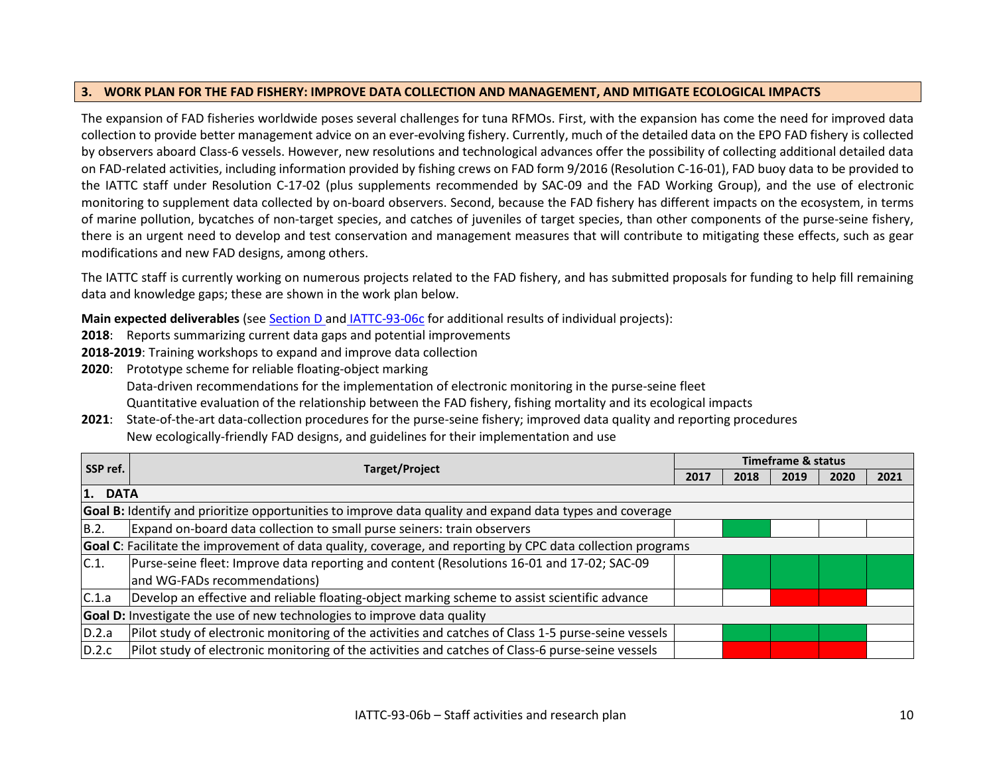## **3. WORK PLAN FOR THE FAD FISHERY: IMPROVE DATA COLLECTION AND MANAGEMENT, AND MITIGATE ECOLOGICAL IMPACTS**

The expansion of FAD fisheries worldwide poses several challenges for tuna RFMOs. First, with the expansion has come the need for improved data collection to provide better management advice on an ever-evolving fishery. Currently, much of the detailed data on the EPO FAD fishery is collected by observers aboard Class-6 vessels. However, new resolutions and technological advances offer the possibility of collecting additional detailed data on FAD-related activities, including information provided by fishing crews on FAD form 9/2016 (Resolution C-16-01), FAD buoy data to be provided to the IATTC staff under Resolution C-17-02 (plus supplements recommended by SAC-09 and the FAD Working Group), and the use of electronic monitoring to supplement data collected by on-board observers. Second, because the FAD fishery has different impacts on the ecosystem, in terms of marine pollution, bycatches of non-target species, and catches of juveniles of target species, than other components of the purse-seine fishery, there is an urgent need to develop and test conservation and management measures that will contribute to mitigating these effects, such as gear modifications and new FAD designs, among others.

The IATTC staff is currently working on numerous projects related to the FAD fishery, and has submitted proposals for funding to help fill remaining data and knowledge gaps; these are shown in the work plan below.

<span id="page-9-0"></span>**Main expected deliverables** (see Section D and [IATTC-93-06c](https://www.iattc.org/Meetings/Meetings2018/IATTC-93/PDFs/Docs/_English/IATTC-93-06c_Unfunded%20projects.pdf) for additional results of individual projects):

- **2018**: Reports summarizing current data gaps and potential improvements
- **2018-2019**: Training workshops to expand and improve data collection
- **2020**: Prototype scheme for reliable floating-object marking Data-driven recommendations for the implementation of electronic monitoring in the purse-seine fleet Quantitative evaluation of the relationship between the FAD fishery, fishing mortality and its ecological impacts
- **2021**: State-of-the-art data-collection procedures for the purse-seine fishery; improved data quality and reporting procedures New ecologically-friendly FAD designs, and guidelines for their implementation and use

| SSP ref. |                                                                                                             |      | Timeframe & status |      |      |      |
|----------|-------------------------------------------------------------------------------------------------------------|------|--------------------|------|------|------|
|          | <b>Target/Project</b>                                                                                       | 2017 | 2018               | 2019 | 2020 | 2021 |
| 1. DATA  |                                                                                                             |      |                    |      |      |      |
|          | Goal B: Identify and prioritize opportunities to improve data quality and expand data types and coverage    |      |                    |      |      |      |
| B.2.     | Expand on-board data collection to small purse seiners: train observers                                     |      |                    |      |      |      |
|          | Goal C: Facilitate the improvement of data quality, coverage, and reporting by CPC data collection programs |      |                    |      |      |      |
| C.1.     | Purse-seine fleet: Improve data reporting and content (Resolutions 16-01 and 17-02; SAC-09                  |      |                    |      |      |      |
|          | and WG-FADs recommendations)                                                                                |      |                    |      |      |      |
| C.1.a    | Develop an effective and reliable floating-object marking scheme to assist scientific advance               |      |                    |      |      |      |
|          | Goal D: Investigate the use of new technologies to improve data quality                                     |      |                    |      |      |      |
| D.2.a    | Pilot study of electronic monitoring of the activities and catches of Class 1-5 purse-seine vessels         |      |                    |      |      |      |
| D.2.c    | Pilot study of electronic monitoring of the activities and catches of Class-6 purse-seine vessels           |      |                    |      |      |      |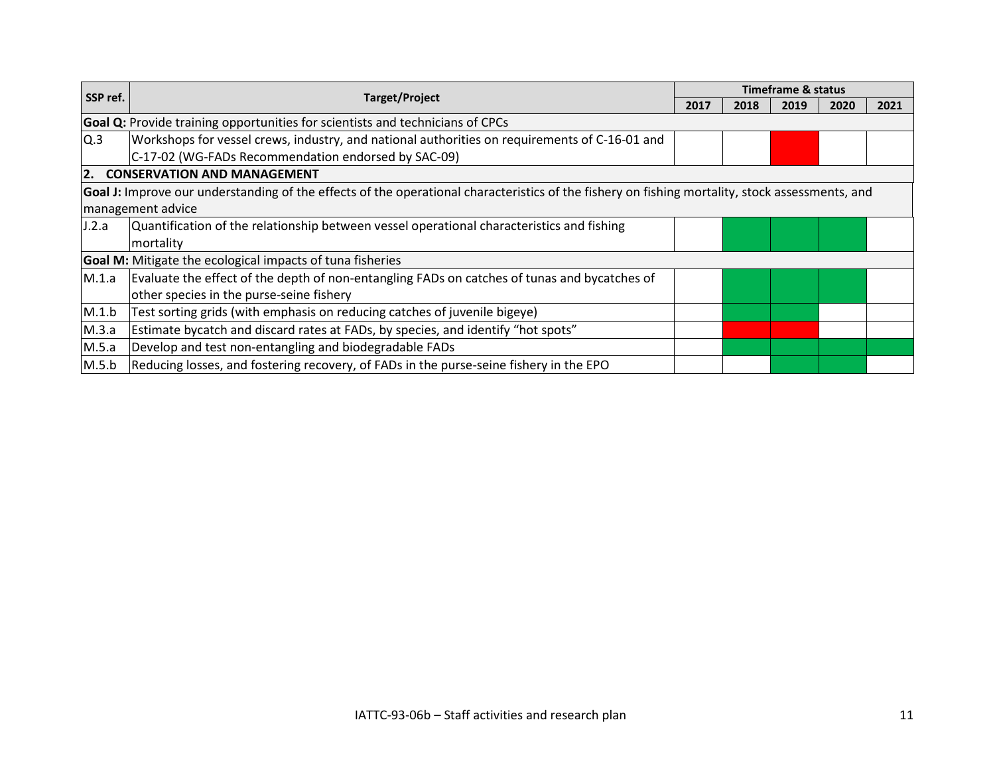|          |                                                                                                                                                 |      |      | <b>Timeframe &amp; status</b> |      |      |
|----------|-------------------------------------------------------------------------------------------------------------------------------------------------|------|------|-------------------------------|------|------|
| SSP ref. | <b>Target/Project</b>                                                                                                                           | 2017 | 2018 | 2019                          | 2020 | 2021 |
|          | Goal Q: Provide training opportunities for scientists and technicians of CPCs                                                                   |      |      |                               |      |      |
| Q.3      | Workshops for vessel crews, industry, and national authorities on requirements of C-16-01 and                                                   |      |      |                               |      |      |
|          | C-17-02 (WG-FADs Recommendation endorsed by SAC-09)                                                                                             |      |      |                               |      |      |
| 2.       | <b>CONSERVATION AND MANAGEMENT</b>                                                                                                              |      |      |                               |      |      |
|          | Goal J: Improve our understanding of the effects of the operational characteristics of the fishery on fishing mortality, stock assessments, and |      |      |                               |      |      |
|          | management advice                                                                                                                               |      |      |                               |      |      |
| J.2.a    | Quantification of the relationship between vessel operational characteristics and fishing                                                       |      |      |                               |      |      |
|          | mortality                                                                                                                                       |      |      |                               |      |      |
|          | <b>Goal M:</b> Mitigate the ecological impacts of tuna fisheries                                                                                |      |      |                               |      |      |
| M.1.a    | Evaluate the effect of the depth of non-entangling FADs on catches of tunas and bycatches of                                                    |      |      |                               |      |      |
|          | other species in the purse-seine fishery                                                                                                        |      |      |                               |      |      |
| M.1.b    | Test sorting grids (with emphasis on reducing catches of juvenile bigeye)                                                                       |      |      |                               |      |      |
| M.3.a    | Estimate bycatch and discard rates at FADs, by species, and identify "hot spots"                                                                |      |      |                               |      |      |
| M.5.a    | Develop and test non-entangling and biodegradable FADs                                                                                          |      |      |                               |      |      |
| M.5.b    | Reducing losses, and fostering recovery, of FADs in the purse-seine fishery in the EPO                                                          |      |      |                               |      |      |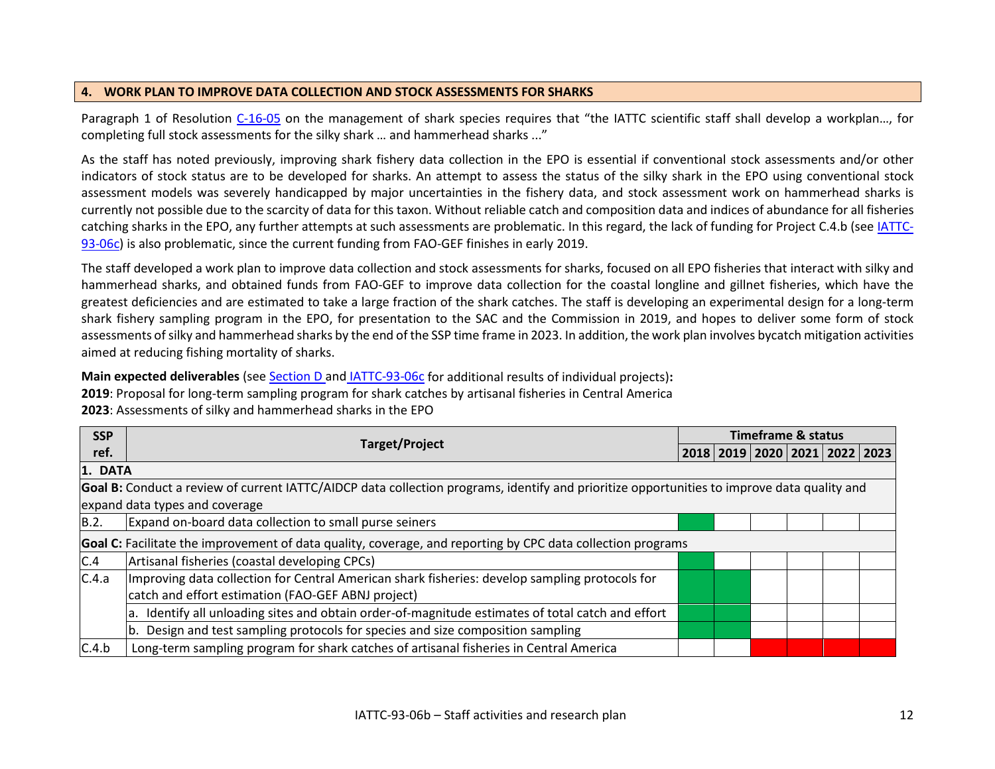## **4. WORK PLAN TO IMPROVE DATA COLLECTION AND STOCK ASSESSMENTS FOR SHARKS**

Paragraph 1 of Resolution [C-16-05](https://www.iattc.org/PDFFiles2/Resolutions/C-16-05-Management-of-sharks.pdf) on the management of shark species requires that "the IATTC scientific staff shall develop a workplan…, for completing full stock assessments for the silky shark … and hammerhead sharks ..."

As the staff has noted previously, improving shark fishery data collection in the EPO is essential if conventional stock assessments and/or other indicators of stock status are to be developed for sharks. An attempt to assess the status of the silky shark in the EPO using conventional stock assessment models was severely handicapped by major uncertainties in the fishery data, and stock assessment work on hammerhead sharks is currently not possible due to the scarcity of data for this taxon. Without reliable catch and composition data and indices of abundance for all fisheries catching sharks in the EPO, any further attempts at such assessments are problematic. In this regard, the lack of funding for Project C.4.b (see *IATTC*-[93-06c\)](https://www.iattc.org/Meetings/Meetings2018/IATTC-93/PDFs/Docs/_English/IATTC-93-06c_Unfunded%20projects.pdf) is also problematic, since the current funding from FAO-GEF finishes in early 2019.

<span id="page-11-0"></span>The staff developed a work plan to improve data collection and stock assessments for sharks, focused on all EPO fisheries that interact with silky and hammerhead sharks, and obtained funds from FAO-GEF to improve data collection for the coastal longline and gillnet fisheries, which have the greatest deficiencies and are estimated to take a large fraction of the shark catches. The staff is developing an experimental design for a long-term shark fishery sampling program in the EPO, for presentation to the SAC and the Commission in 2019, and hopes to deliver some form of stock assessments of silky and hammerhead sharks by the end of the SSP time frame in 2023. In addition, the work plan involves bycatch mitigation activities aimed at reducing fishing mortality of sharks.

**Main expected deliverables** (see Section D and [IATTC-93-06c](https://www.iattc.org/Meetings/Meetings2018/IATTC-93/PDFs/Docs/_English/IATTC-93-06c_Unfunded%20projects.pdf) for additional results of individual projects)**: 2019**: Proposal for long-term sampling program for shark catches by artisanal fisheries in Central America **2023**: Assessments of silky and hammerhead sharks in the EPO

| <b>SSP</b> |                                                                                                                                             |  |  | <b>Timeframe &amp; status</b>           |  |  |  |  |  |
|------------|---------------------------------------------------------------------------------------------------------------------------------------------|--|--|-----------------------------------------|--|--|--|--|--|
| ref.       | <b>Target/Project</b>                                                                                                                       |  |  | 2018   2019   2020   2021   2022   2023 |  |  |  |  |  |
| 1. DATA    |                                                                                                                                             |  |  |                                         |  |  |  |  |  |
|            | Goal B: Conduct a review of current IATTC/AIDCP data collection programs, identify and prioritize opportunities to improve data quality and |  |  |                                         |  |  |  |  |  |
|            | expand data types and coverage                                                                                                              |  |  |                                         |  |  |  |  |  |
| B.2.       | Expand on-board data collection to small purse seiners                                                                                      |  |  |                                         |  |  |  |  |  |
|            | Goal C: Facilitate the improvement of data quality, coverage, and reporting by CPC data collection programs                                 |  |  |                                         |  |  |  |  |  |
| C.4        | Artisanal fisheries (coastal developing CPCs)                                                                                               |  |  |                                         |  |  |  |  |  |
| C.4.a      | Improving data collection for Central American shark fisheries: develop sampling protocols for                                              |  |  |                                         |  |  |  |  |  |
|            | catch and effort estimation (FAO-GEF ABNJ project)                                                                                          |  |  |                                         |  |  |  |  |  |
|            | Identify all unloading sites and obtain order-of-magnitude estimates of total catch and effort                                              |  |  |                                         |  |  |  |  |  |
|            | Design and test sampling protocols for species and size composition sampling                                                                |  |  |                                         |  |  |  |  |  |
| C.4.b      | Long-term sampling program for shark catches of artisanal fisheries in Central America                                                      |  |  |                                         |  |  |  |  |  |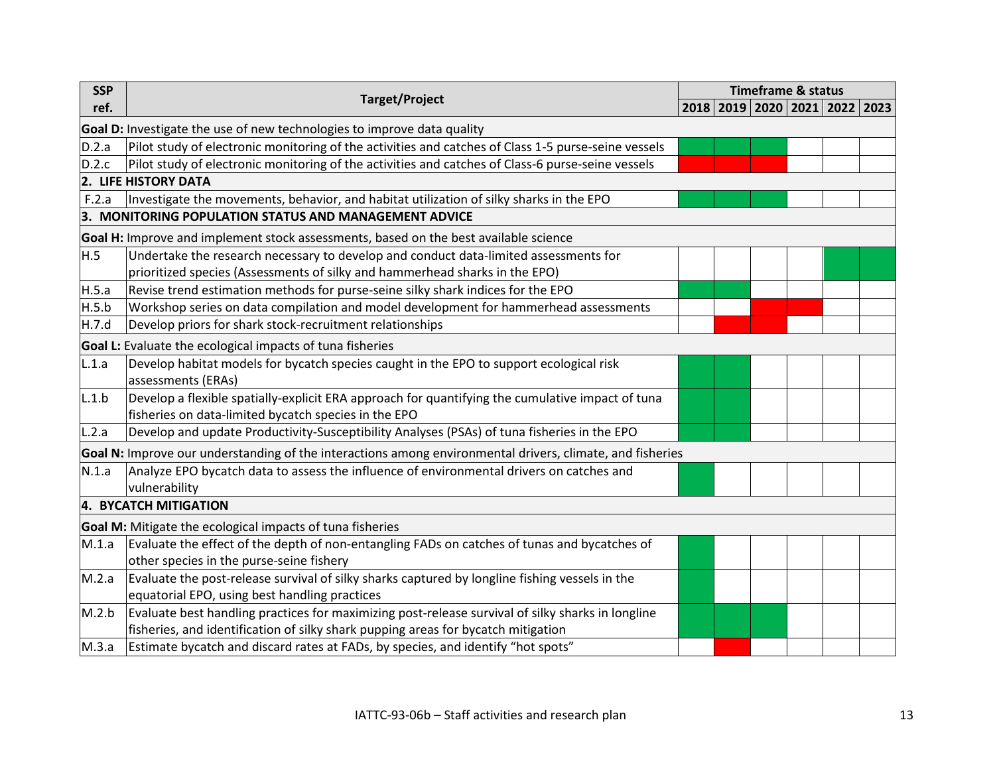| <b>SSP</b> | <b>Target/Project</b>                                                                                     |  | <b>Timeframe &amp; status</b> |                                         |  |  |  |
|------------|-----------------------------------------------------------------------------------------------------------|--|-------------------------------|-----------------------------------------|--|--|--|
| ref.       |                                                                                                           |  |                               | 2018   2019   2020   2021   2022   2023 |  |  |  |
|            | Goal D: Investigate the use of new technologies to improve data quality                                   |  |                               |                                         |  |  |  |
| D.2.a      | Pilot study of electronic monitoring of the activities and catches of Class 1-5 purse-seine vessels       |  |                               |                                         |  |  |  |
| D.2.c      | Pilot study of electronic monitoring of the activities and catches of Class-6 purse-seine vessels         |  |                               |                                         |  |  |  |
|            | 2. LIFE HISTORY DATA                                                                                      |  |                               |                                         |  |  |  |
| F.2.a      | Investigate the movements, behavior, and habitat utilization of silky sharks in the EPO                   |  |                               |                                         |  |  |  |
|            | 3. MONITORING POPULATION STATUS AND MANAGEMENT ADVICE                                                     |  |                               |                                         |  |  |  |
|            | Goal H: Improve and implement stock assessments, based on the best available science                      |  |                               |                                         |  |  |  |
| H.5        | Undertake the research necessary to develop and conduct data-limited assessments for                      |  |                               |                                         |  |  |  |
|            | prioritized species (Assessments of silky and hammerhead sharks in the EPO)                               |  |                               |                                         |  |  |  |
| H.5.a      | Revise trend estimation methods for purse-seine silky shark indices for the EPO                           |  |                               |                                         |  |  |  |
| H.5.b      | Workshop series on data compilation and model development for hammerhead assessments                      |  |                               |                                         |  |  |  |
| H.7.d      | Develop priors for shark stock-recruitment relationships                                                  |  |                               |                                         |  |  |  |
|            | Goal L: Evaluate the ecological impacts of tuna fisheries                                                 |  |                               |                                         |  |  |  |
| L.1.a      | Develop habitat models for bycatch species caught in the EPO to support ecological risk                   |  |                               |                                         |  |  |  |
|            | assessments (ERAs)                                                                                        |  |                               |                                         |  |  |  |
| L.1.b      | Develop a flexible spatially-explicit ERA approach for quantifying the cumulative impact of tuna          |  |                               |                                         |  |  |  |
|            | fisheries on data-limited bycatch species in the EPO                                                      |  |                               |                                         |  |  |  |
| L.2.a      | Develop and update Productivity-Susceptibility Analyses (PSAs) of tuna fisheries in the EPO               |  |                               |                                         |  |  |  |
|            | Goal N: Improve our understanding of the interactions among environmental drivers, climate, and fisheries |  |                               |                                         |  |  |  |
| N.1.a      | Analyze EPO bycatch data to assess the influence of environmental drivers on catches and                  |  |                               |                                         |  |  |  |
|            | vulnerability                                                                                             |  |                               |                                         |  |  |  |
|            | 4. BYCATCH MITIGATION                                                                                     |  |                               |                                         |  |  |  |
|            | Goal M: Mitigate the ecological impacts of tuna fisheries                                                 |  |                               |                                         |  |  |  |
| M.1.a      | Evaluate the effect of the depth of non-entangling FADs on catches of tunas and bycatches of              |  |                               |                                         |  |  |  |
|            | other species in the purse-seine fishery                                                                  |  |                               |                                         |  |  |  |
| M.2.a      | Evaluate the post-release survival of silky sharks captured by longline fishing vessels in the            |  |                               |                                         |  |  |  |
|            | equatorial EPO, using best handling practices                                                             |  |                               |                                         |  |  |  |
| M.2.b      | Evaluate best handling practices for maximizing post-release survival of silky sharks in longline         |  |                               |                                         |  |  |  |
|            | fisheries, and identification of silky shark pupping areas for bycatch mitigation                         |  |                               |                                         |  |  |  |
| M.3.a      | Estimate bycatch and discard rates at FADs, by species, and identify "hot spots"                          |  |                               |                                         |  |  |  |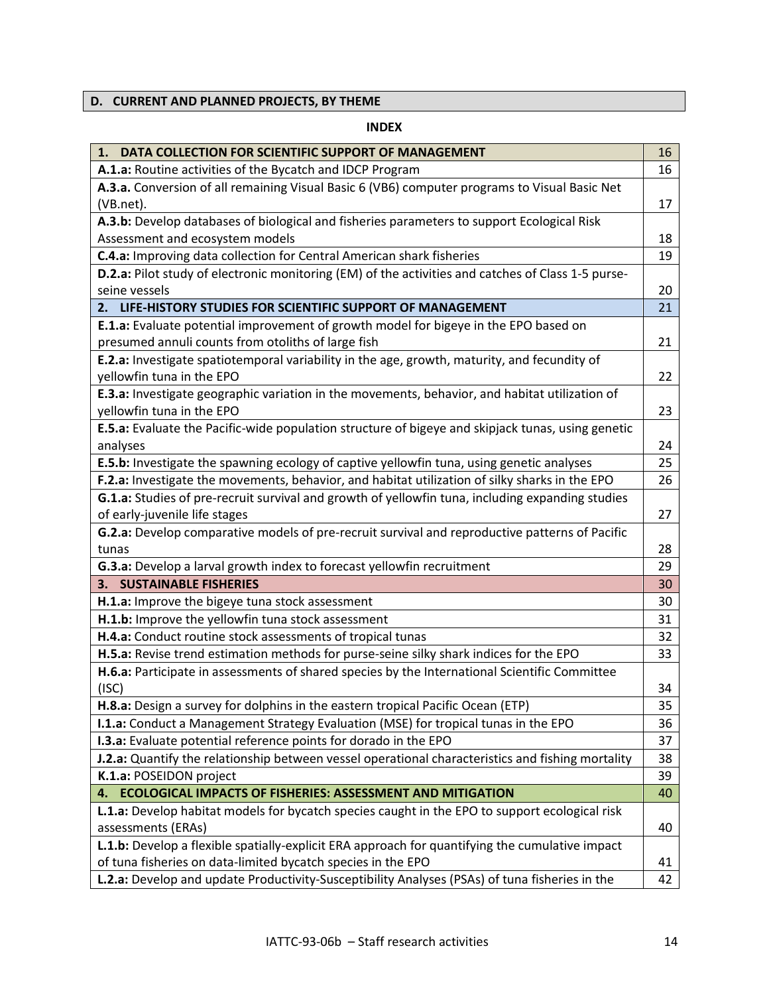## <span id="page-13-0"></span>**D. CURRENT AND PLANNED PROJECTS, BY THEME**

### **INDEX**

| 1. DATA COLLECTION FOR SCIENTIFIC SUPPORT OF MANAGEMENT                                                   | 16 |
|-----------------------------------------------------------------------------------------------------------|----|
| A.1.a: Routine activities of the Bycatch and IDCP Program                                                 | 16 |
| A.3.a. Conversion of all remaining Visual Basic 6 (VB6) computer programs to Visual Basic Net             |    |
| (VB.net).                                                                                                 | 17 |
| A.3.b: Develop databases of biological and fisheries parameters to support Ecological Risk                |    |
| Assessment and ecosystem models                                                                           | 18 |
| C.4.a: Improving data collection for Central American shark fisheries                                     | 19 |
| <b>D.2.a:</b> Pilot study of electronic monitoring (EM) of the activities and catches of Class 1-5 purse- |    |
| seine vessels                                                                                             | 20 |
| 2. LIFE-HISTORY STUDIES FOR SCIENTIFIC SUPPORT OF MANAGEMENT                                              | 21 |
| <b>E.1.a:</b> Evaluate potential improvement of growth model for bigeye in the EPO based on               |    |
| presumed annuli counts from otoliths of large fish                                                        | 21 |
| E.2.a: Investigate spatiotemporal variability in the age, growth, maturity, and fecundity of              |    |
| yellowfin tuna in the EPO                                                                                 | 22 |
| E.3.a: Investigate geographic variation in the movements, behavior, and habitat utilization of            |    |
| yellowfin tuna in the EPO                                                                                 | 23 |
| E.5.a: Evaluate the Pacific-wide population structure of bigeye and skipjack tunas, using genetic         |    |
| analyses                                                                                                  | 24 |
| E.5.b: Investigate the spawning ecology of captive yellowfin tuna, using genetic analyses                 | 25 |
| F.2.a: Investigate the movements, behavior, and habitat utilization of silky sharks in the EPO            | 26 |
| G.1.a: Studies of pre-recruit survival and growth of yellowfin tuna, including expanding studies          |    |
| of early-juvenile life stages                                                                             | 27 |
| G.2.a: Develop comparative models of pre-recruit survival and reproductive patterns of Pacific            |    |
| tunas                                                                                                     | 28 |
| G.3.a: Develop a larval growth index to forecast yellowfin recruitment                                    | 29 |
| <b>3. SUSTAINABLE FISHERIES</b>                                                                           | 30 |
| H.1.a: Improve the bigeye tuna stock assessment                                                           | 30 |
| H.1.b: Improve the yellowfin tuna stock assessment                                                        | 31 |
| H.4.a: Conduct routine stock assessments of tropical tunas                                                | 32 |
| H.5.a: Revise trend estimation methods for purse-seine silky shark indices for the EPO                    | 33 |
| H.6.a: Participate in assessments of shared species by the International Scientific Committee             |    |
| (ISC)                                                                                                     | 34 |
| H.8.a: Design a survey for dolphins in the eastern tropical Pacific Ocean (ETP)                           | 35 |
| <b>I.1.a:</b> Conduct a Management Strategy Evaluation (MSE) for tropical tunas in the EPO                | 36 |
| I.3.a: Evaluate potential reference points for dorado in the EPO                                          | 37 |
| J.2.a: Quantify the relationship between vessel operational characteristics and fishing mortality         | 38 |
| K.1.a: POSEIDON project                                                                                   | 39 |
| <b>ECOLOGICAL IMPACTS OF FISHERIES: ASSESSMENT AND MITIGATION</b><br>4.                                   | 40 |
| <b>L.1.a:</b> Develop habitat models for bycatch species caught in the EPO to support ecological risk     |    |
| assessments (ERAs)                                                                                        | 40 |
| L.1.b: Develop a flexible spatially-explicit ERA approach for quantifying the cumulative impact           |    |
| of tuna fisheries on data-limited bycatch species in the EPO                                              | 41 |
| L.2.a: Develop and update Productivity-Susceptibility Analyses (PSAs) of tuna fisheries in the            | 42 |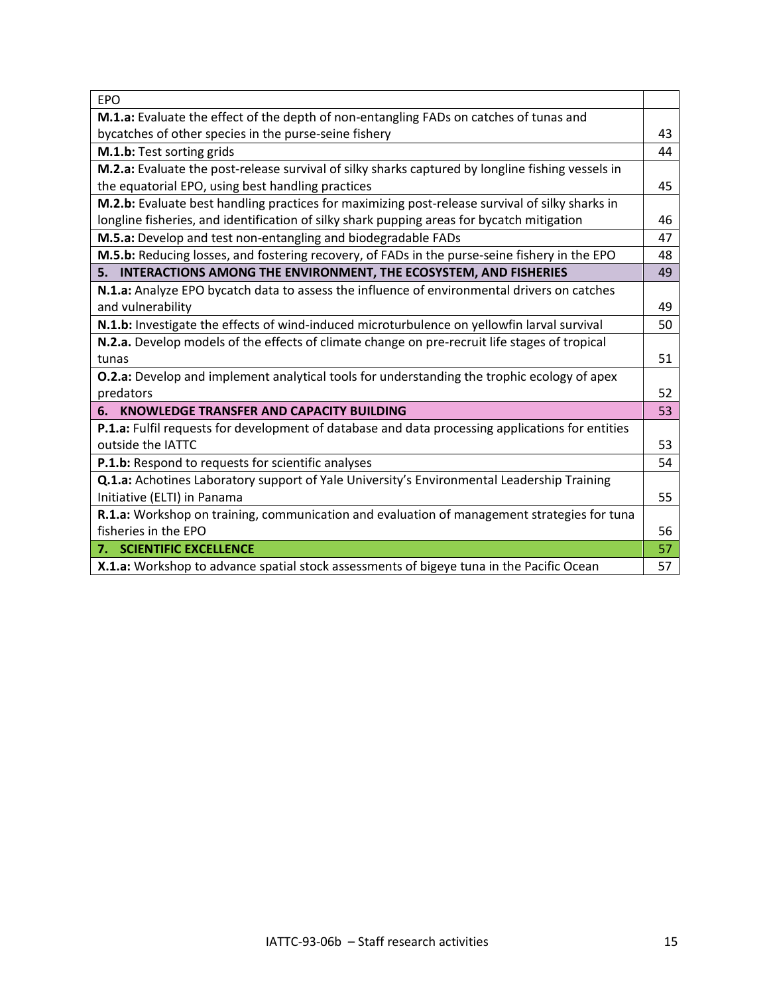| <b>EPO</b>                                                                                         |    |
|----------------------------------------------------------------------------------------------------|----|
| M.1.a: Evaluate the effect of the depth of non-entangling FADs on catches of tunas and             |    |
| bycatches of other species in the purse-seine fishery                                              | 43 |
| M.1.b: Test sorting grids                                                                          | 44 |
| M.2.a: Evaluate the post-release survival of silky sharks captured by longline fishing vessels in  |    |
| the equatorial EPO, using best handling practices                                                  | 45 |
| M.2.b: Evaluate best handling practices for maximizing post-release survival of silky sharks in    |    |
| longline fisheries, and identification of silky shark pupping areas for bycatch mitigation         | 46 |
| M.5.a: Develop and test non-entangling and biodegradable FADs                                      | 47 |
| M.5.b: Reducing losses, and fostering recovery, of FADs in the purse-seine fishery in the EPO      | 48 |
| 5. INTERACTIONS AMONG THE ENVIRONMENT, THE ECOSYSTEM, AND FISHERIES                                | 49 |
| N.1.a: Analyze EPO bycatch data to assess the influence of environmental drivers on catches        |    |
| and vulnerability                                                                                  | 49 |
| N.1.b: Investigate the effects of wind-induced microturbulence on yellowfin larval survival        | 50 |
| N.2.a. Develop models of the effects of climate change on pre-recruit life stages of tropical      |    |
| tunas                                                                                              | 51 |
| <b>O.2.a:</b> Develop and implement analytical tools for understanding the trophic ecology of apex |    |
| predators                                                                                          | 52 |
| 6. KNOWLEDGE TRANSFER AND CAPACITY BUILDING                                                        | 53 |
| P.1.a: Fulfil requests for development of database and data processing applications for entities   |    |
| outside the IATTC                                                                                  | 53 |
| P.1.b: Respond to requests for scientific analyses                                                 | 54 |
| Q.1.a: Achotines Laboratory support of Yale University's Environmental Leadership Training         |    |
| Initiative (ELTI) in Panama                                                                        | 55 |
| R.1.a: Workshop on training, communication and evaluation of management strategies for tuna        |    |
| fisheries in the EPO                                                                               | 56 |
| 7. SCIENTIFIC EXCELLENCE                                                                           | 57 |
| X.1.a: Workshop to advance spatial stock assessments of bigeye tuna in the Pacific Ocean           | 57 |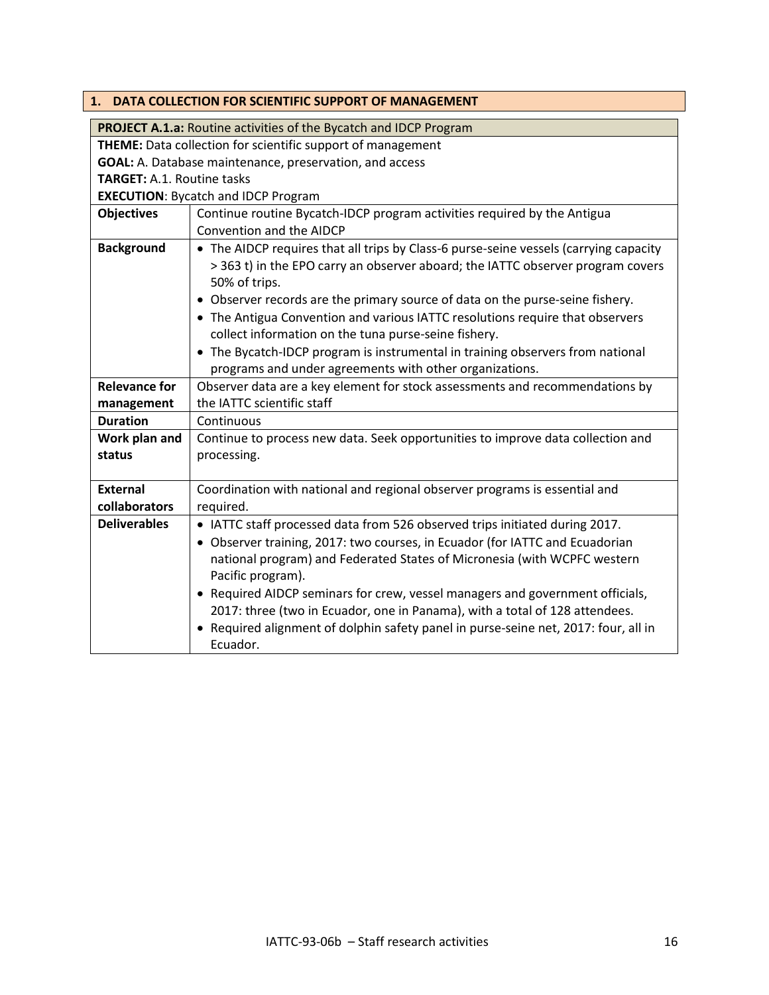<span id="page-15-0"></span>

|                                   | 1. DATA COLLECTION FOR SCIENTIFIC SUPPORT OF MANAGEMENT                                                                                                                                                                                                                                                                                                                                                                                                                                                                                                          |
|-----------------------------------|------------------------------------------------------------------------------------------------------------------------------------------------------------------------------------------------------------------------------------------------------------------------------------------------------------------------------------------------------------------------------------------------------------------------------------------------------------------------------------------------------------------------------------------------------------------|
|                                   | <b>PROJECT A.1.a: Routine activities of the Bycatch and IDCP Program</b>                                                                                                                                                                                                                                                                                                                                                                                                                                                                                         |
|                                   | THEME: Data collection for scientific support of management                                                                                                                                                                                                                                                                                                                                                                                                                                                                                                      |
|                                   | GOAL: A. Database maintenance, preservation, and access                                                                                                                                                                                                                                                                                                                                                                                                                                                                                                          |
| <b>TARGET: A.1. Routine tasks</b> |                                                                                                                                                                                                                                                                                                                                                                                                                                                                                                                                                                  |
|                                   | <b>EXECUTION: Bycatch and IDCP Program</b>                                                                                                                                                                                                                                                                                                                                                                                                                                                                                                                       |
| <b>Objectives</b>                 | Continue routine Bycatch-IDCP program activities required by the Antigua<br>Convention and the AIDCP                                                                                                                                                                                                                                                                                                                                                                                                                                                             |
| <b>Background</b>                 | • The AIDCP requires that all trips by Class-6 purse-seine vessels (carrying capacity<br>> 363 t) in the EPO carry an observer aboard; the IATTC observer program covers<br>50% of trips.<br>• Observer records are the primary source of data on the purse-seine fishery.<br>• The Antigua Convention and various IATTC resolutions require that observers<br>collect information on the tuna purse-seine fishery.<br>• The Bycatch-IDCP program is instrumental in training observers from national<br>programs and under agreements with other organizations. |
| <b>Relevance for</b>              | Observer data are a key element for stock assessments and recommendations by                                                                                                                                                                                                                                                                                                                                                                                                                                                                                     |
| management                        | the IATTC scientific staff                                                                                                                                                                                                                                                                                                                                                                                                                                                                                                                                       |
| <b>Duration</b>                   | Continuous                                                                                                                                                                                                                                                                                                                                                                                                                                                                                                                                                       |
| Work plan and<br>status           | Continue to process new data. Seek opportunities to improve data collection and<br>processing.                                                                                                                                                                                                                                                                                                                                                                                                                                                                   |
| <b>External</b><br>collaborators  | Coordination with national and regional observer programs is essential and<br>required.                                                                                                                                                                                                                                                                                                                                                                                                                                                                          |
| <b>Deliverables</b>               | • IATTC staff processed data from 526 observed trips initiated during 2017.<br>• Observer training, 2017: two courses, in Ecuador (for IATTC and Ecuadorian<br>national program) and Federated States of Micronesia (with WCPFC western<br>Pacific program).<br>• Required AIDCP seminars for crew, vessel managers and government officials,<br>2017: three (two in Ecuador, one in Panama), with a total of 128 attendees.<br>• Required alignment of dolphin safety panel in purse-seine net, 2017: four, all in<br>Ecuador.                                  |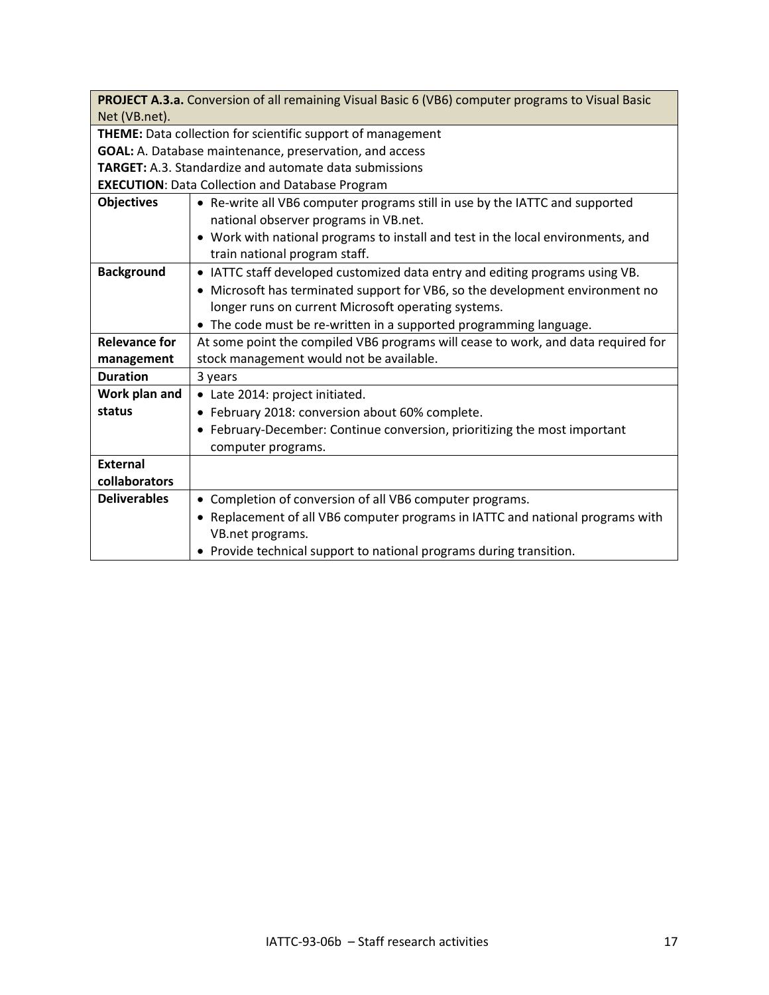| PROJECT A.3.a. Conversion of all remaining Visual Basic 6 (VB6) computer programs to Visual Basic |                                                                                   |  |
|---------------------------------------------------------------------------------------------------|-----------------------------------------------------------------------------------|--|
| Net (VB.net).                                                                                     |                                                                                   |  |
| <b>THEME:</b> Data collection for scientific support of management                                |                                                                                   |  |
| GOAL: A. Database maintenance, preservation, and access                                           |                                                                                   |  |
|                                                                                                   | <b>TARGET:</b> A.3. Standardize and automate data submissions                     |  |
|                                                                                                   | <b>EXECUTION: Data Collection and Database Program</b>                            |  |
| <b>Objectives</b>                                                                                 | • Re-write all VB6 computer programs still in use by the IATTC and supported      |  |
|                                                                                                   | national observer programs in VB.net.                                             |  |
|                                                                                                   | • Work with national programs to install and test in the local environments, and  |  |
|                                                                                                   | train national program staff.                                                     |  |
| <b>Background</b>                                                                                 | IATTC staff developed customized data entry and editing programs using VB.        |  |
|                                                                                                   | • Microsoft has terminated support for VB6, so the development environment no     |  |
|                                                                                                   | longer runs on current Microsoft operating systems.                               |  |
|                                                                                                   | • The code must be re-written in a supported programming language.                |  |
| <b>Relevance for</b>                                                                              | At some point the compiled VB6 programs will cease to work, and data required for |  |
| management                                                                                        | stock management would not be available.                                          |  |
| <b>Duration</b>                                                                                   | 3 years                                                                           |  |
| Work plan and                                                                                     | • Late 2014: project initiated.                                                   |  |
| status                                                                                            | • February 2018: conversion about 60% complete.                                   |  |
|                                                                                                   | • February-December: Continue conversion, prioritizing the most important         |  |
|                                                                                                   | computer programs.                                                                |  |
| <b>External</b>                                                                                   |                                                                                   |  |
| collaborators                                                                                     |                                                                                   |  |
| <b>Deliverables</b>                                                                               | • Completion of conversion of all VB6 computer programs.                          |  |
|                                                                                                   | • Replacement of all VB6 computer programs in IATTC and national programs with    |  |
|                                                                                                   | VB.net programs.                                                                  |  |
|                                                                                                   | • Provide technical support to national programs during transition.               |  |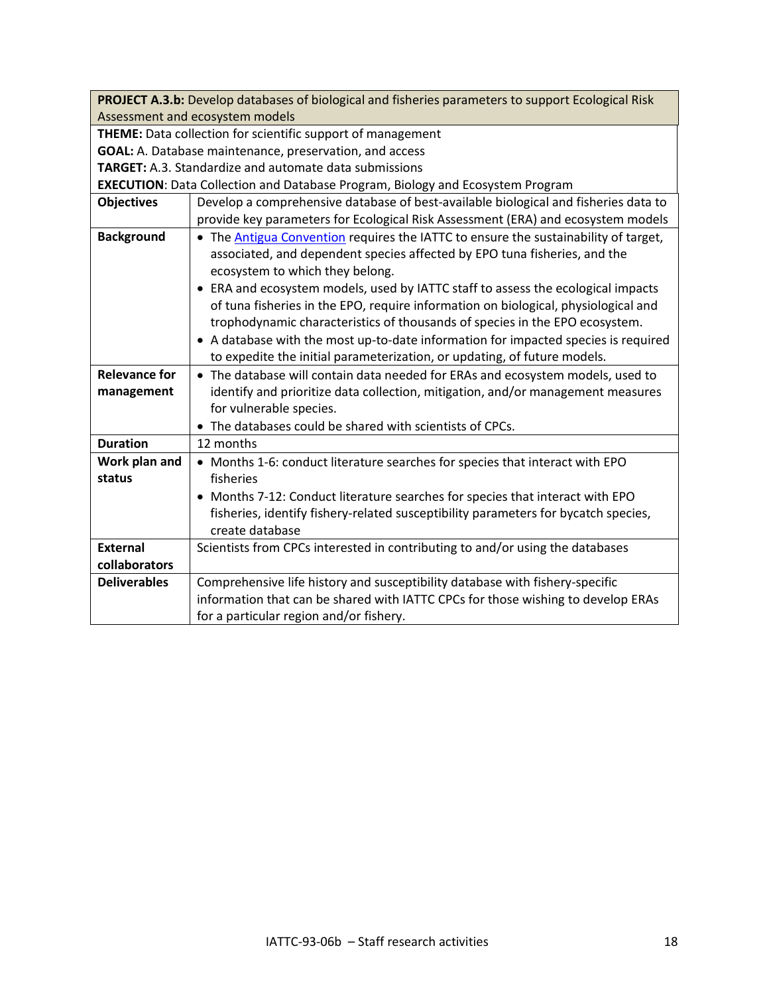| PROJECT A.3.b: Develop databases of biological and fisheries parameters to support Ecological Risk |                                                                                       |  |
|----------------------------------------------------------------------------------------------------|---------------------------------------------------------------------------------------|--|
| Assessment and ecosystem models                                                                    |                                                                                       |  |
| THEME: Data collection for scientific support of management                                        |                                                                                       |  |
| GOAL: A. Database maintenance, preservation, and access                                            |                                                                                       |  |
|                                                                                                    | <b>TARGET:</b> A.3. Standardize and automate data submissions                         |  |
|                                                                                                    | <b>EXECUTION:</b> Data Collection and Database Program, Biology and Ecosystem Program |  |
| <b>Objectives</b>                                                                                  | Develop a comprehensive database of best-available biological and fisheries data to   |  |
|                                                                                                    | provide key parameters for Ecological Risk Assessment (ERA) and ecosystem models      |  |
| <b>Background</b>                                                                                  | • The Antigua Convention requires the IATTC to ensure the sustainability of target,   |  |
|                                                                                                    | associated, and dependent species affected by EPO tuna fisheries, and the             |  |
|                                                                                                    | ecosystem to which they belong.                                                       |  |
|                                                                                                    | • ERA and ecosystem models, used by IATTC staff to assess the ecological impacts      |  |
|                                                                                                    | of tuna fisheries in the EPO, require information on biological, physiological and    |  |
|                                                                                                    | trophodynamic characteristics of thousands of species in the EPO ecosystem.           |  |
|                                                                                                    | • A database with the most up-to-date information for impacted species is required    |  |
|                                                                                                    | to expedite the initial parameterization, or updating, of future models.              |  |
| <b>Relevance for</b>                                                                               | • The database will contain data needed for ERAs and ecosystem models, used to        |  |
| management                                                                                         | identify and prioritize data collection, mitigation, and/or management measures       |  |
|                                                                                                    | for vulnerable species.                                                               |  |
|                                                                                                    | • The databases could be shared with scientists of CPCs.                              |  |
| <b>Duration</b>                                                                                    | 12 months                                                                             |  |
| Work plan and                                                                                      | • Months 1-6: conduct literature searches for species that interact with EPO          |  |
| status                                                                                             | fisheries                                                                             |  |
|                                                                                                    | Months 7-12: Conduct literature searches for species that interact with EPO           |  |
|                                                                                                    | fisheries, identify fishery-related susceptibility parameters for bycatch species,    |  |
|                                                                                                    | create database                                                                       |  |
| <b>External</b>                                                                                    | Scientists from CPCs interested in contributing to and/or using the databases         |  |
| collaborators                                                                                      |                                                                                       |  |
| <b>Deliverables</b>                                                                                | Comprehensive life history and susceptibility database with fishery-specific          |  |
|                                                                                                    | information that can be shared with IATTC CPCs for those wishing to develop ERAs      |  |
|                                                                                                    | for a particular region and/or fishery.                                               |  |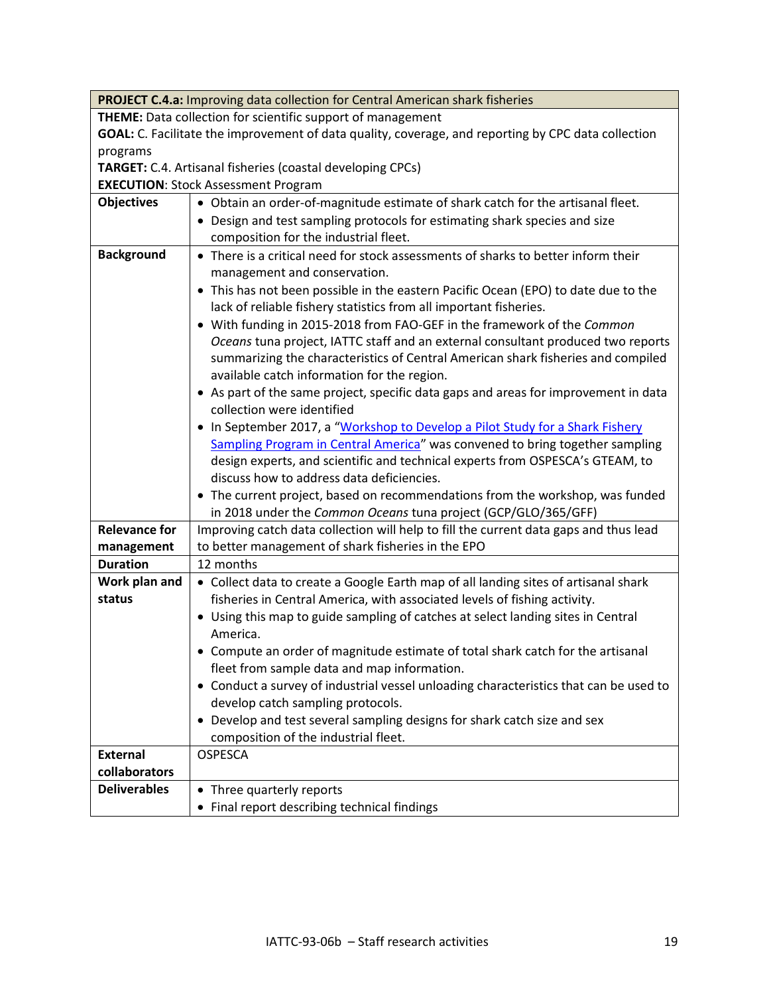| <b>PROJECT C.4.a: Improving data collection for Central American shark fisheries</b>                |                                                                                       |  |  |
|-----------------------------------------------------------------------------------------------------|---------------------------------------------------------------------------------------|--|--|
| <b>THEME:</b> Data collection for scientific support of management                                  |                                                                                       |  |  |
| GOAL: C. Facilitate the improvement of data quality, coverage, and reporting by CPC data collection |                                                                                       |  |  |
| programs                                                                                            |                                                                                       |  |  |
| TARGET: C.4. Artisanal fisheries (coastal developing CPCs)                                          |                                                                                       |  |  |
|                                                                                                     | <b>EXECUTION: Stock Assessment Program</b>                                            |  |  |
| <b>Objectives</b>                                                                                   | • Obtain an order-of-magnitude estimate of shark catch for the artisanal fleet.       |  |  |
|                                                                                                     | • Design and test sampling protocols for estimating shark species and size            |  |  |
|                                                                                                     | composition for the industrial fleet.                                                 |  |  |
| <b>Background</b>                                                                                   | • There is a critical need for stock assessments of sharks to better inform their     |  |  |
|                                                                                                     | management and conservation.                                                          |  |  |
|                                                                                                     | • This has not been possible in the eastern Pacific Ocean (EPO) to date due to the    |  |  |
|                                                                                                     | lack of reliable fishery statistics from all important fisheries.                     |  |  |
|                                                                                                     | • With funding in 2015-2018 from FAO-GEF in the framework of the Common               |  |  |
|                                                                                                     | Oceans tuna project, IATTC staff and an external consultant produced two reports      |  |  |
|                                                                                                     | summarizing the characteristics of Central American shark fisheries and compiled      |  |  |
|                                                                                                     | available catch information for the region.                                           |  |  |
|                                                                                                     | • As part of the same project, specific data gaps and areas for improvement in data   |  |  |
|                                                                                                     | collection were identified                                                            |  |  |
|                                                                                                     | In September 2017, a "Workshop to Develop a Pilot Study for a Shark Fishery           |  |  |
|                                                                                                     | Sampling Program in Central America" was convened to bring together sampling          |  |  |
|                                                                                                     | design experts, and scientific and technical experts from OSPESCA's GTEAM, to         |  |  |
|                                                                                                     | discuss how to address data deficiencies.                                             |  |  |
|                                                                                                     | • The current project, based on recommendations from the workshop, was funded         |  |  |
|                                                                                                     | in 2018 under the Common Oceans tuna project (GCP/GLO/365/GFF)                        |  |  |
| <b>Relevance for</b>                                                                                | Improving catch data collection will help to fill the current data gaps and thus lead |  |  |
| management                                                                                          | to better management of shark fisheries in the EPO                                    |  |  |
| <b>Duration</b>                                                                                     | 12 months                                                                             |  |  |
| Work plan and                                                                                       | • Collect data to create a Google Earth map of all landing sites of artisanal shark   |  |  |
| status                                                                                              | fisheries in Central America, with associated levels of fishing activity.             |  |  |
|                                                                                                     | • Using this map to guide sampling of catches at select landing sites in Central      |  |  |
|                                                                                                     | America.                                                                              |  |  |
|                                                                                                     | • Compute an order of magnitude estimate of total shark catch for the artisanal       |  |  |
|                                                                                                     | fleet from sample data and map information.                                           |  |  |
|                                                                                                     | • Conduct a survey of industrial vessel unloading characteristics that can be used to |  |  |
|                                                                                                     | develop catch sampling protocols.                                                     |  |  |
|                                                                                                     | • Develop and test several sampling designs for shark catch size and sex              |  |  |
|                                                                                                     | composition of the industrial fleet.                                                  |  |  |
| <b>External</b>                                                                                     | <b>OSPESCA</b>                                                                        |  |  |
| collaborators                                                                                       |                                                                                       |  |  |
| <b>Deliverables</b>                                                                                 | • Three quarterly reports                                                             |  |  |
|                                                                                                     | Final report describing technical findings<br>$\bullet$                               |  |  |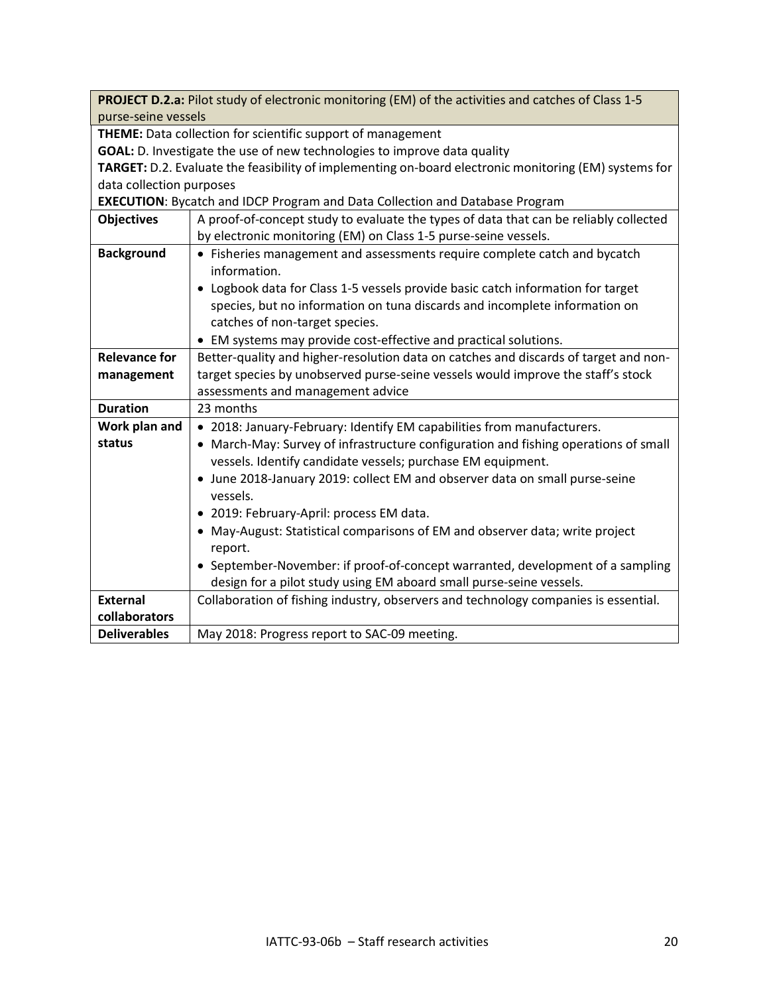| PROJECT D.2.a: Pilot study of electronic monitoring (EM) of the activities and catches of Class 1-5   |                                                                                       |  |  |
|-------------------------------------------------------------------------------------------------------|---------------------------------------------------------------------------------------|--|--|
| purse-seine vessels                                                                                   |                                                                                       |  |  |
| THEME: Data collection for scientific support of management                                           |                                                                                       |  |  |
|                                                                                                       | GOAL: D. Investigate the use of new technologies to improve data quality              |  |  |
| TARGET: D.2. Evaluate the feasibility of implementing on-board electronic monitoring (EM) systems for |                                                                                       |  |  |
| data collection purposes                                                                              |                                                                                       |  |  |
|                                                                                                       | <b>EXECUTION:</b> Bycatch and IDCP Program and Data Collection and Database Program   |  |  |
| <b>Objectives</b>                                                                                     | A proof-of-concept study to evaluate the types of data that can be reliably collected |  |  |
|                                                                                                       | by electronic monitoring (EM) on Class 1-5 purse-seine vessels.                       |  |  |
| <b>Background</b>                                                                                     | • Fisheries management and assessments require complete catch and bycatch             |  |  |
|                                                                                                       | information.                                                                          |  |  |
|                                                                                                       | • Logbook data for Class 1-5 vessels provide basic catch information for target       |  |  |
|                                                                                                       | species, but no information on tuna discards and incomplete information on            |  |  |
|                                                                                                       | catches of non-target species.                                                        |  |  |
|                                                                                                       | • EM systems may provide cost-effective and practical solutions.                      |  |  |
| <b>Relevance for</b>                                                                                  | Better-quality and higher-resolution data on catches and discards of target and non-  |  |  |
| management                                                                                            | target species by unobserved purse-seine vessels would improve the staff's stock      |  |  |
|                                                                                                       | assessments and management advice                                                     |  |  |
| <b>Duration</b>                                                                                       | 23 months                                                                             |  |  |
| Work plan and                                                                                         | • 2018: January-February: Identify EM capabilities from manufacturers.                |  |  |
| status                                                                                                | • March-May: Survey of infrastructure configuration and fishing operations of small   |  |  |
|                                                                                                       | vessels. Identify candidate vessels; purchase EM equipment.                           |  |  |
|                                                                                                       | • June 2018-January 2019: collect EM and observer data on small purse-seine           |  |  |
|                                                                                                       | vessels.                                                                              |  |  |
|                                                                                                       | • 2019: February-April: process EM data.                                              |  |  |
|                                                                                                       | • May-August: Statistical comparisons of EM and observer data; write project          |  |  |
|                                                                                                       | report.                                                                               |  |  |
|                                                                                                       | • September-November: if proof-of-concept warranted, development of a sampling        |  |  |
|                                                                                                       | design for a pilot study using EM aboard small purse-seine vessels.                   |  |  |
| <b>External</b>                                                                                       | Collaboration of fishing industry, observers and technology companies is essential.   |  |  |
| collaborators                                                                                         |                                                                                       |  |  |
| <b>Deliverables</b>                                                                                   | May 2018: Progress report to SAC-09 meeting.                                          |  |  |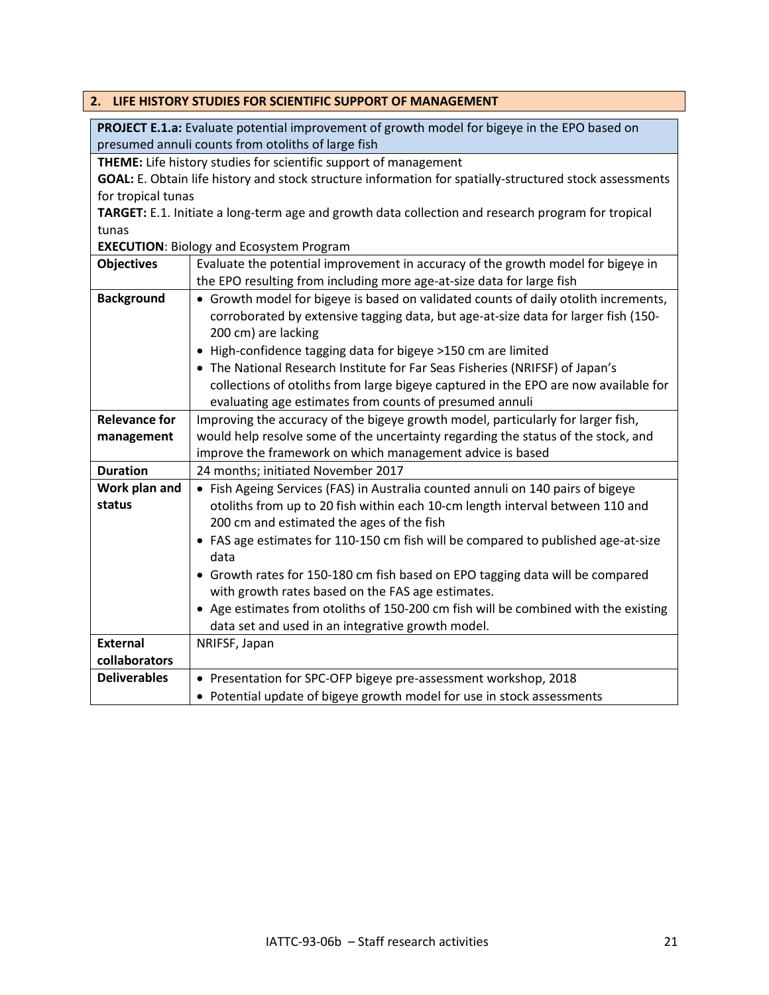<span id="page-20-0"></span>

|                                                    | 2. LIFE HISTORY STUDIES FOR SCIENTIFIC SUPPORT OF MANAGEMENT                                            |  |  |
|----------------------------------------------------|---------------------------------------------------------------------------------------------------------|--|--|
|                                                    | PROJECT E.1.a: Evaluate potential improvement of growth model for bigeye in the EPO based on            |  |  |
| presumed annuli counts from otoliths of large fish |                                                                                                         |  |  |
|                                                    | THEME: Life history studies for scientific support of management                                        |  |  |
|                                                    | GOAL: E. Obtain life history and stock structure information for spatially-structured stock assessments |  |  |
| for tropical tunas                                 |                                                                                                         |  |  |
|                                                    | TARGET: E.1. Initiate a long-term age and growth data collection and research program for tropical      |  |  |
| tunas                                              |                                                                                                         |  |  |
|                                                    | <b>EXECUTION: Biology and Ecosystem Program</b>                                                         |  |  |
| <b>Objectives</b>                                  | Evaluate the potential improvement in accuracy of the growth model for bigeye in                        |  |  |
|                                                    | the EPO resulting from including more age-at-size data for large fish                                   |  |  |
| <b>Background</b>                                  | • Growth model for bigeye is based on validated counts of daily otolith increments,                     |  |  |
|                                                    | corroborated by extensive tagging data, but age-at-size data for larger fish (150-                      |  |  |
|                                                    | 200 cm) are lacking                                                                                     |  |  |
|                                                    | • High-confidence tagging data for bigeye >150 cm are limited                                           |  |  |
|                                                    | • The National Research Institute for Far Seas Fisheries (NRIFSF) of Japan's                            |  |  |
|                                                    | collections of otoliths from large bigeye captured in the EPO are now available for                     |  |  |
|                                                    | evaluating age estimates from counts of presumed annuli                                                 |  |  |
| <b>Relevance for</b>                               | Improving the accuracy of the bigeye growth model, particularly for larger fish,                        |  |  |
| management                                         | would help resolve some of the uncertainty regarding the status of the stock, and                       |  |  |
|                                                    | improve the framework on which management advice is based                                               |  |  |
| <b>Duration</b>                                    | 24 months; initiated November 2017                                                                      |  |  |
| Work plan and                                      | • Fish Ageing Services (FAS) in Australia counted annuli on 140 pairs of bigeye                         |  |  |
| status                                             | otoliths from up to 20 fish within each 10-cm length interval between 110 and                           |  |  |
|                                                    | 200 cm and estimated the ages of the fish                                                               |  |  |
|                                                    | • FAS age estimates for 110-150 cm fish will be compared to published age-at-size                       |  |  |
|                                                    | data                                                                                                    |  |  |
|                                                    | • Growth rates for 150-180 cm fish based on EPO tagging data will be compared                           |  |  |
|                                                    | with growth rates based on the FAS age estimates.                                                       |  |  |
|                                                    | • Age estimates from otoliths of 150-200 cm fish will be combined with the existing                     |  |  |
|                                                    | data set and used in an integrative growth model.                                                       |  |  |
| <b>External</b>                                    | NRIFSF, Japan                                                                                           |  |  |
| collaborators                                      |                                                                                                         |  |  |
| <b>Deliverables</b>                                | • Presentation for SPC-OFP bigeye pre-assessment workshop, 2018                                         |  |  |
|                                                    | • Potential update of bigeye growth model for use in stock assessments                                  |  |  |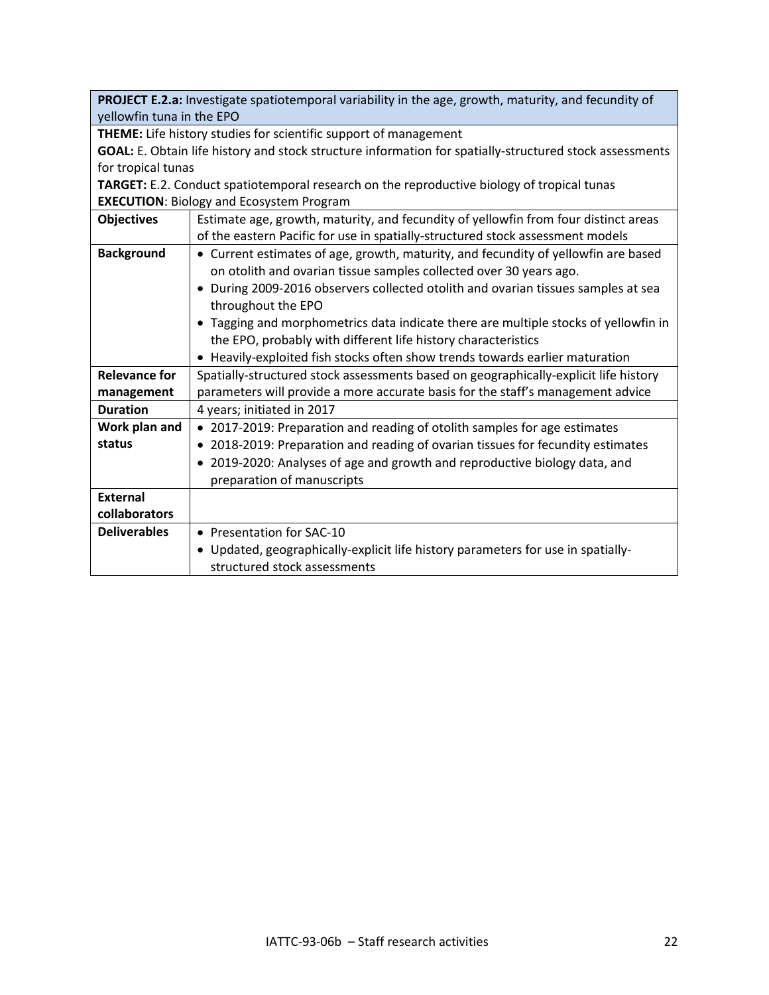| PROJECT E.2.a: Investigate spatiotemporal variability in the age, growth, maturity, and fecundity of    |                                                                                                                                                                       |  |
|---------------------------------------------------------------------------------------------------------|-----------------------------------------------------------------------------------------------------------------------------------------------------------------------|--|
| yellowfin tuna in the EPO                                                                               |                                                                                                                                                                       |  |
| <b>THEME:</b> Life history studies for scientific support of management                                 |                                                                                                                                                                       |  |
| GOAL: E. Obtain life history and stock structure information for spatially-structured stock assessments |                                                                                                                                                                       |  |
| for tropical tunas                                                                                      |                                                                                                                                                                       |  |
|                                                                                                         | <b>TARGET:</b> E.2. Conduct spatiotemporal research on the reproductive biology of tropical tunas                                                                     |  |
|                                                                                                         | <b>EXECUTION: Biology and Ecosystem Program</b>                                                                                                                       |  |
| <b>Objectives</b>                                                                                       | Estimate age, growth, maturity, and fecundity of yellowfin from four distinct areas<br>of the eastern Pacific for use in spatially-structured stock assessment models |  |
| <b>Background</b>                                                                                       | • Current estimates of age, growth, maturity, and fecundity of yellowfin are based                                                                                    |  |
|                                                                                                         | on otolith and ovarian tissue samples collected over 30 years ago.                                                                                                    |  |
|                                                                                                         | • During 2009-2016 observers collected otolith and ovarian tissues samples at sea                                                                                     |  |
|                                                                                                         | throughout the EPO                                                                                                                                                    |  |
|                                                                                                         | • Tagging and morphometrics data indicate there are multiple stocks of yellowfin in                                                                                   |  |
|                                                                                                         | the EPO, probably with different life history characteristics                                                                                                         |  |
|                                                                                                         | • Heavily-exploited fish stocks often show trends towards earlier maturation                                                                                          |  |
| <b>Relevance for</b>                                                                                    | Spatially-structured stock assessments based on geographically-explicit life history                                                                                  |  |
| management                                                                                              | parameters will provide a more accurate basis for the staff's management advice                                                                                       |  |
| <b>Duration</b>                                                                                         | 4 years; initiated in 2017                                                                                                                                            |  |
| Work plan and                                                                                           | • 2017-2019: Preparation and reading of otolith samples for age estimates                                                                                             |  |
| status                                                                                                  | • 2018-2019: Preparation and reading of ovarian tissues for fecundity estimates                                                                                       |  |
|                                                                                                         | • 2019-2020: Analyses of age and growth and reproductive biology data, and                                                                                            |  |
|                                                                                                         | preparation of manuscripts                                                                                                                                            |  |
| <b>External</b>                                                                                         |                                                                                                                                                                       |  |
| collaborators                                                                                           |                                                                                                                                                                       |  |
| <b>Deliverables</b>                                                                                     | • Presentation for SAC-10                                                                                                                                             |  |
|                                                                                                         | • Updated, geographically-explicit life history parameters for use in spatially-                                                                                      |  |
|                                                                                                         | structured stock assessments                                                                                                                                          |  |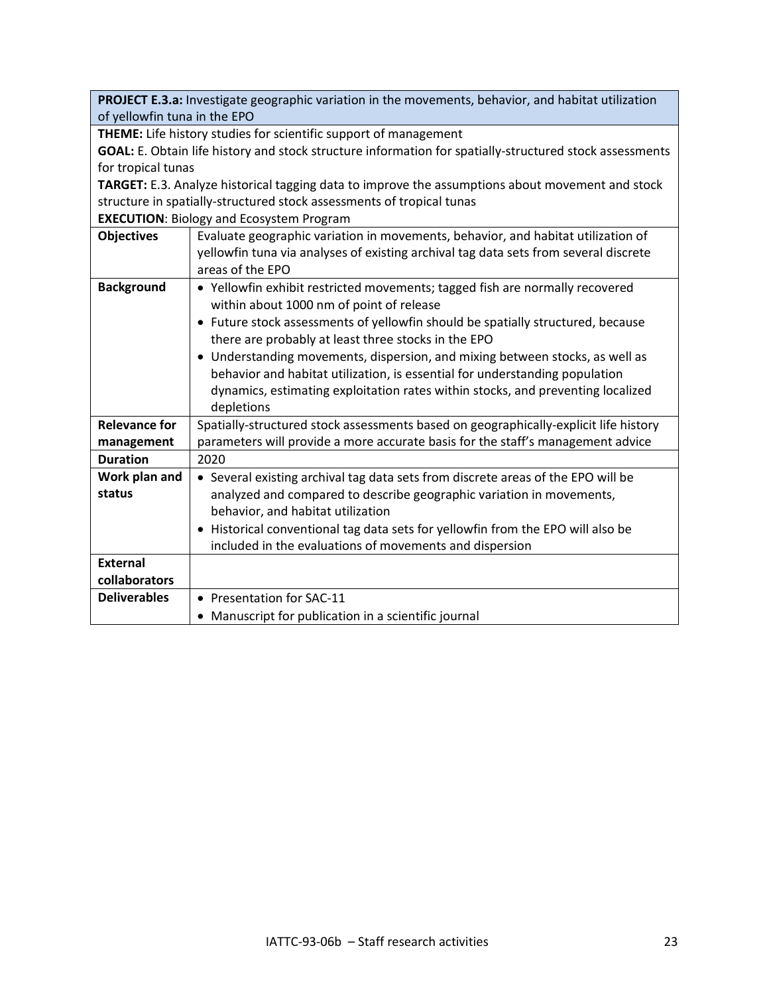**PROJECT E.3.a:** Investigate geographic variation in the movements, behavior, and habitat utilization of yellowfin tuna in the EPO

**THEME:** Life history studies for scientific support of management

**GOAL:** E. Obtain life history and stock structure information for spatially-structured stock assessments for tropical tunas

**TARGET:** E.3. Analyze historical tagging data to improve the assumptions about movement and stock structure in spatially-structured stock assessments of tropical tunas

**EXECUTION**: Biology and Ecosystem Program

| <b>Objectives</b>    | Evaluate geographic variation in movements, behavior, and habitat utilization of     |
|----------------------|--------------------------------------------------------------------------------------|
|                      | yellowfin tuna via analyses of existing archival tag data sets from several discrete |
|                      | areas of the EPO                                                                     |
| <b>Background</b>    | • Yellowfin exhibit restricted movements; tagged fish are normally recovered         |
|                      | within about 1000 nm of point of release                                             |
|                      | • Future stock assessments of yellowfin should be spatially structured, because      |
|                      | there are probably at least three stocks in the EPO                                  |
|                      | • Understanding movements, dispersion, and mixing between stocks, as well as         |
|                      | behavior and habitat utilization, is essential for understanding population          |
|                      | dynamics, estimating exploitation rates within stocks, and preventing localized      |
|                      | depletions                                                                           |
| <b>Relevance for</b> | Spatially-structured stock assessments based on geographically-explicit life history |
| management           | parameters will provide a more accurate basis for the staff's management advice      |
| <b>Duration</b>      | 2020                                                                                 |
| Work plan and        | • Several existing archival tag data sets from discrete areas of the EPO will be     |
| status               | analyzed and compared to describe geographic variation in movements,                 |
|                      | behavior, and habitat utilization                                                    |
|                      | • Historical conventional tag data sets for yellowfin from the EPO will also be      |
|                      | included in the evaluations of movements and dispersion                              |
| <b>External</b>      |                                                                                      |
| collaborators        |                                                                                      |
| <b>Deliverables</b>  | • Presentation for SAC-11                                                            |
|                      | • Manuscript for publication in a scientific journal                                 |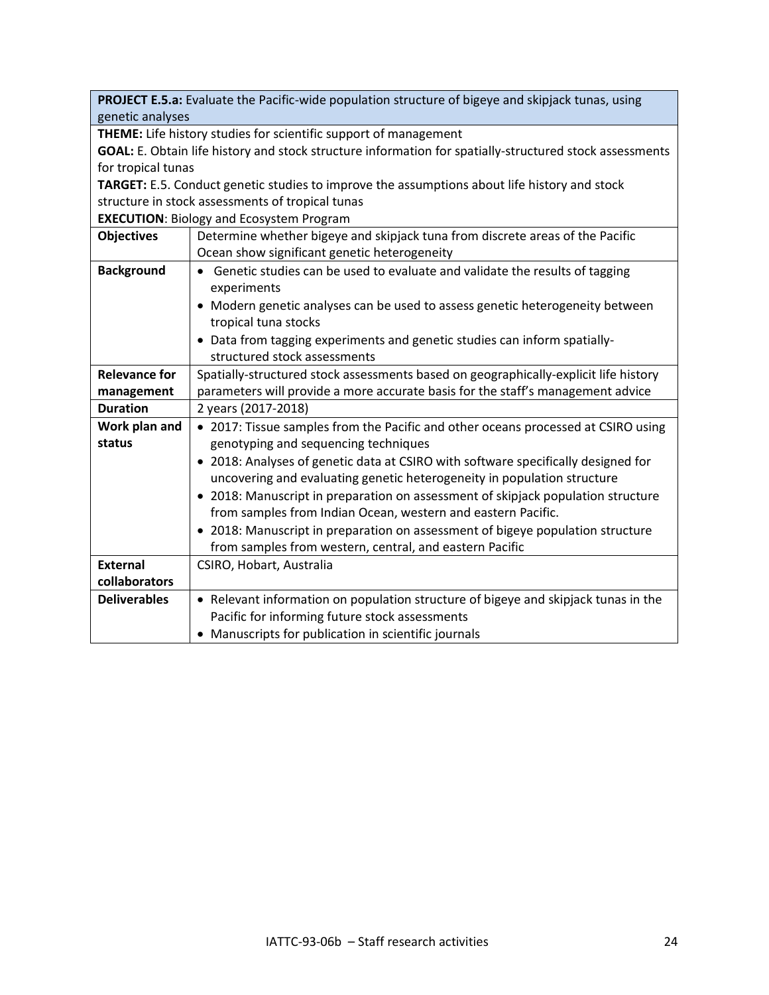| PROJECT E.5.a: Evaluate the Pacific-wide population structure of bigeye and skipjack tunas, using       |                                                                                              |  |
|---------------------------------------------------------------------------------------------------------|----------------------------------------------------------------------------------------------|--|
| genetic analyses                                                                                        |                                                                                              |  |
| THEME: Life history studies for scientific support of management                                        |                                                                                              |  |
| GOAL: E. Obtain life history and stock structure information for spatially-structured stock assessments |                                                                                              |  |
| for tropical tunas                                                                                      |                                                                                              |  |
|                                                                                                         | TARGET: E.5. Conduct genetic studies to improve the assumptions about life history and stock |  |
|                                                                                                         | structure in stock assessments of tropical tunas                                             |  |
|                                                                                                         | <b>EXECUTION: Biology and Ecosystem Program</b>                                              |  |
| <b>Objectives</b>                                                                                       | Determine whether bigeye and skipjack tuna from discrete areas of the Pacific                |  |
|                                                                                                         | Ocean show significant genetic heterogeneity                                                 |  |
| <b>Background</b>                                                                                       | • Genetic studies can be used to evaluate and validate the results of tagging                |  |
|                                                                                                         | experiments                                                                                  |  |
|                                                                                                         | • Modern genetic analyses can be used to assess genetic heterogeneity between                |  |
|                                                                                                         | tropical tuna stocks                                                                         |  |
|                                                                                                         | • Data from tagging experiments and genetic studies can inform spatially-                    |  |
|                                                                                                         | structured stock assessments                                                                 |  |
| <b>Relevance for</b>                                                                                    | Spatially-structured stock assessments based on geographically-explicit life history         |  |
| management                                                                                              | parameters will provide a more accurate basis for the staff's management advice              |  |
| <b>Duration</b>                                                                                         | 2 years (2017-2018)                                                                          |  |
| Work plan and                                                                                           | • 2017: Tissue samples from the Pacific and other oceans processed at CSIRO using            |  |
| status                                                                                                  | genotyping and sequencing techniques                                                         |  |
|                                                                                                         | • 2018: Analyses of genetic data at CSIRO with software specifically designed for            |  |
|                                                                                                         | uncovering and evaluating genetic heterogeneity in population structure                      |  |
|                                                                                                         | • 2018: Manuscript in preparation on assessment of skipjack population structure             |  |
|                                                                                                         | from samples from Indian Ocean, western and eastern Pacific.                                 |  |
|                                                                                                         | • 2018: Manuscript in preparation on assessment of bigeye population structure               |  |
|                                                                                                         | from samples from western, central, and eastern Pacific                                      |  |
| <b>External</b>                                                                                         | CSIRO, Hobart, Australia                                                                     |  |
| collaborators                                                                                           |                                                                                              |  |
| <b>Deliverables</b>                                                                                     | • Relevant information on population structure of bigeye and skipjack tunas in the           |  |
|                                                                                                         | Pacific for informing future stock assessments                                               |  |
|                                                                                                         | • Manuscripts for publication in scientific journals                                         |  |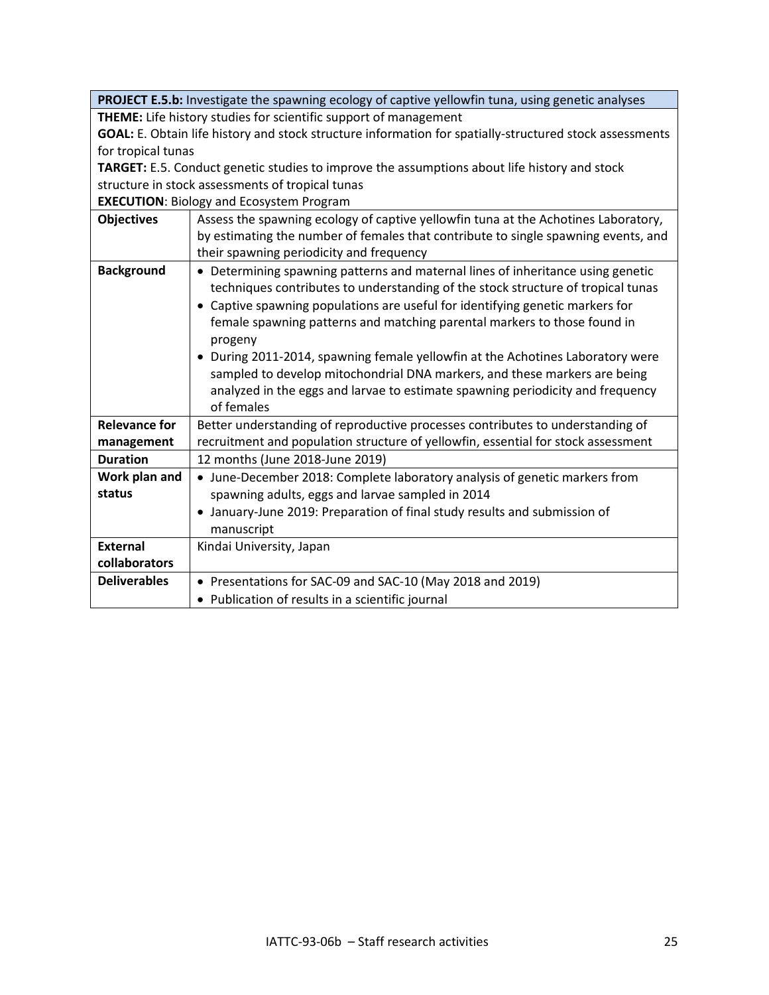**PROJECT E.5.b:** Investigate the spawning ecology of captive yellowfin tuna, using genetic analyses **THEME:** Life history studies for scientific support of management **GOAL:** E. Obtain life history and stock structure information for spatially-structured stock assessments for tropical tunas **TARGET:** E.5. Conduct genetic studies to improve the assumptions about life history and stock structure in stock assessments of tropical tunas **EXECUTION**: Biology and Ecosystem Program **Objectives** Assess the spawning ecology of captive yellowfin tuna at the Achotines Laboratory, by estimating the number of females that contribute to single spawning events, and their spawning periodicity and frequency **Background** • Determining spawning patterns and maternal lines of inheritance using genetic techniques contributes to understanding of the stock structure of tropical tunas • Captive spawning populations are useful for identifying genetic markers for female spawning patterns and matching parental markers to those found in progeny • During 2011-2014, spawning female yellowfin at the Achotines Laboratory were sampled to develop mitochondrial DNA markers, and these markers are being analyzed in the eggs and larvae to estimate spawning periodicity and frequency of females **Relevance for management**  Better understanding of reproductive processes contributes to understanding of recruitment and population structure of yellowfin, essential for stock assessment **Duration** 12 months (June 2018-June 2019) **Work plan and status** • June-December 2018: Complete laboratory analysis of genetic markers from spawning adults, eggs and larvae sampled in 2014 • January-June 2019: Preparation of final study results and submission of manuscript **External collaborators** Kindai University, Japan **Deliverables** • Presentations for SAC-09 and SAC-10 (May 2018 and 2019) • Publication of results in a scientific journal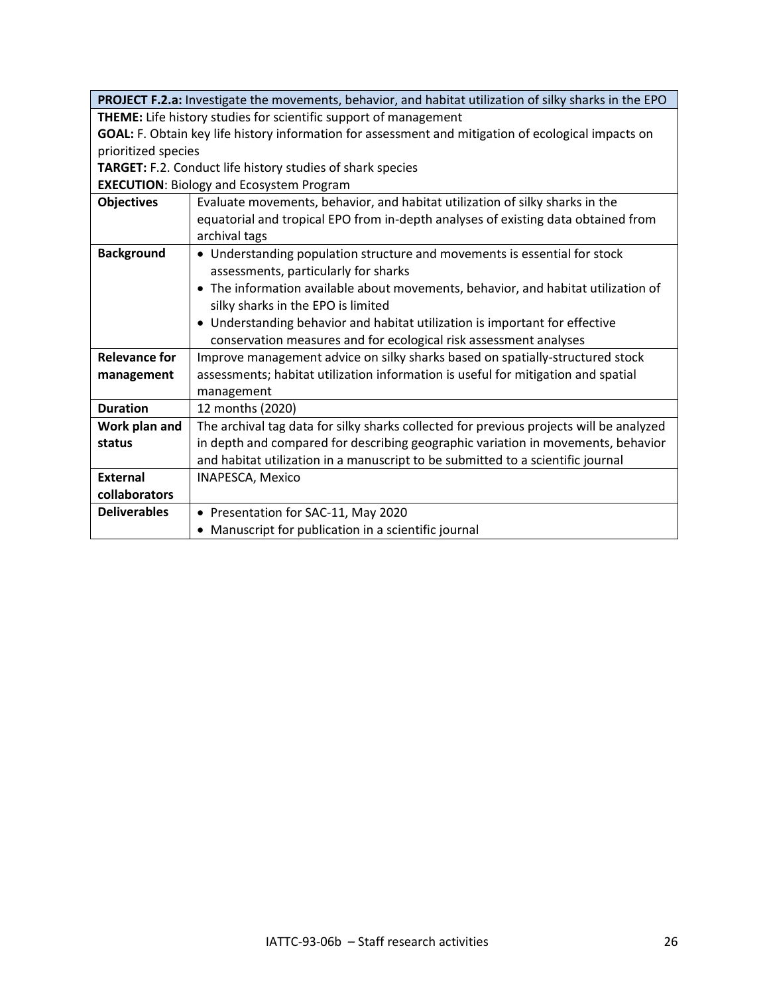|                                                                                                     | PROJECT F.2.a: Investigate the movements, behavior, and habitat utilization of silky sharks in the EPO |
|-----------------------------------------------------------------------------------------------------|--------------------------------------------------------------------------------------------------------|
| THEME: Life history studies for scientific support of management                                    |                                                                                                        |
| GOAL: F. Obtain key life history information for assessment and mitigation of ecological impacts on |                                                                                                        |
| prioritized species                                                                                 |                                                                                                        |
| TARGET: F.2. Conduct life history studies of shark species                                          |                                                                                                        |
| <b>EXECUTION: Biology and Ecosystem Program</b>                                                     |                                                                                                        |
| <b>Objectives</b>                                                                                   | Evaluate movements, behavior, and habitat utilization of silky sharks in the                           |
|                                                                                                     | equatorial and tropical EPO from in-depth analyses of existing data obtained from                      |
|                                                                                                     | archival tags                                                                                          |
| <b>Background</b>                                                                                   | • Understanding population structure and movements is essential for stock                              |
|                                                                                                     | assessments, particularly for sharks                                                                   |
|                                                                                                     | • The information available about movements, behavior, and habitat utilization of                      |
|                                                                                                     | silky sharks in the EPO is limited                                                                     |
|                                                                                                     | • Understanding behavior and habitat utilization is important for effective                            |
|                                                                                                     | conservation measures and for ecological risk assessment analyses                                      |
| <b>Relevance for</b>                                                                                | Improve management advice on silky sharks based on spatially-structured stock                          |
| management                                                                                          | assessments; habitat utilization information is useful for mitigation and spatial                      |
|                                                                                                     | management                                                                                             |
| <b>Duration</b>                                                                                     | 12 months (2020)                                                                                       |
| Work plan and                                                                                       | The archival tag data for silky sharks collected for previous projects will be analyzed                |
| status                                                                                              | in depth and compared for describing geographic variation in movements, behavior                       |
|                                                                                                     | and habitat utilization in a manuscript to be submitted to a scientific journal                        |
| <b>External</b>                                                                                     | <b>INAPESCA, Mexico</b>                                                                                |
| collaborators                                                                                       |                                                                                                        |
| <b>Deliverables</b>                                                                                 | • Presentation for SAC-11, May 2020                                                                    |
|                                                                                                     | • Manuscript for publication in a scientific journal                                                   |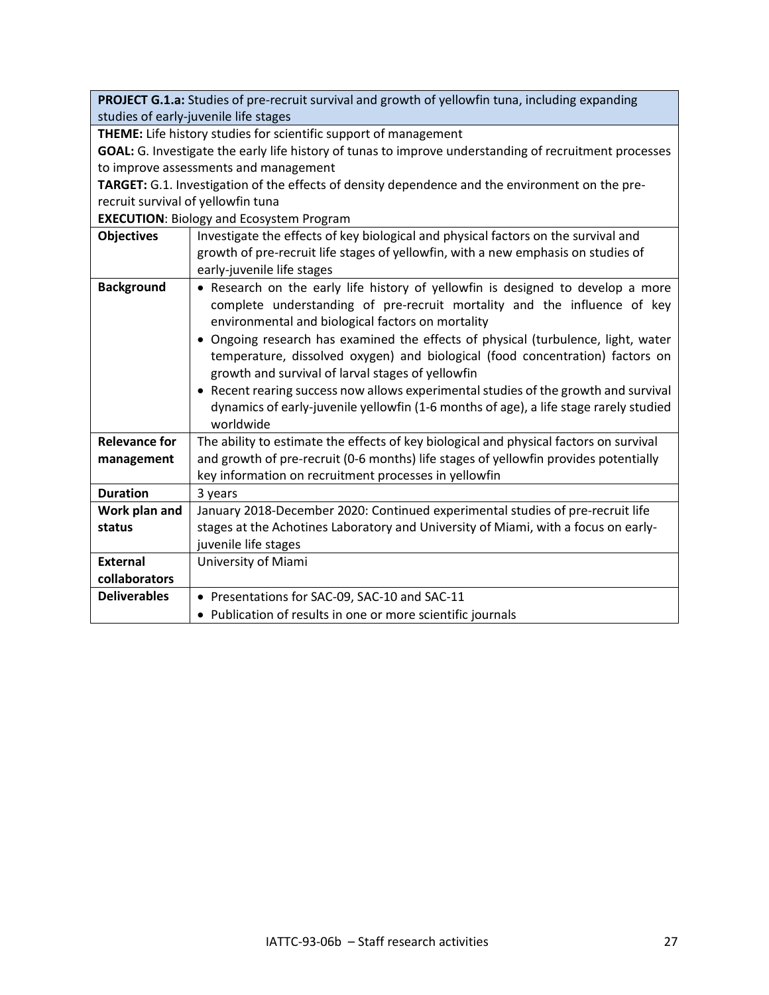**PROJECT G.1.a:** Studies of pre-recruit survival and growth of yellowfin tuna, including expanding studies of early-juvenile life stages

**THEME:** Life history studies for scientific support of management

**GOAL:** G. Investigate the early life history of tunas to improve understanding of recruitment processes to improve assessments and management

**TARGET:** G.1. Investigation of the effects of density dependence and the environment on the prerecruit survival of yellowfin tuna

**EXECUTION**: Biology and Ecosystem Program

| <b>Objectives</b>    | Investigate the effects of key biological and physical factors on the survival and                                                                                                                                                                                                                                                                                                                                                                                                                                                 |
|----------------------|------------------------------------------------------------------------------------------------------------------------------------------------------------------------------------------------------------------------------------------------------------------------------------------------------------------------------------------------------------------------------------------------------------------------------------------------------------------------------------------------------------------------------------|
|                      | growth of pre-recruit life stages of yellowfin, with a new emphasis on studies of                                                                                                                                                                                                                                                                                                                                                                                                                                                  |
|                      | early-juvenile life stages                                                                                                                                                                                                                                                                                                                                                                                                                                                                                                         |
| <b>Background</b>    | • Research on the early life history of yellowfin is designed to develop a more<br>complete understanding of pre-recruit mortality and the influence of key<br>environmental and biological factors on mortality<br>• Ongoing research has examined the effects of physical (turbulence, light, water<br>temperature, dissolved oxygen) and biological (food concentration) factors on<br>growth and survival of larval stages of yellowfin<br>• Recent rearing success now allows experimental studies of the growth and survival |
|                      | dynamics of early-juvenile yellowfin (1-6 months of age), a life stage rarely studied<br>worldwide                                                                                                                                                                                                                                                                                                                                                                                                                                 |
| <b>Relevance for</b> | The ability to estimate the effects of key biological and physical factors on survival                                                                                                                                                                                                                                                                                                                                                                                                                                             |
| management           | and growth of pre-recruit (0-6 months) life stages of yellowfin provides potentially                                                                                                                                                                                                                                                                                                                                                                                                                                               |
|                      | key information on recruitment processes in yellowfin                                                                                                                                                                                                                                                                                                                                                                                                                                                                              |
| <b>Duration</b>      | 3 years                                                                                                                                                                                                                                                                                                                                                                                                                                                                                                                            |
| Work plan and        | January 2018-December 2020: Continued experimental studies of pre-recruit life                                                                                                                                                                                                                                                                                                                                                                                                                                                     |
| status               | stages at the Achotines Laboratory and University of Miami, with a focus on early-                                                                                                                                                                                                                                                                                                                                                                                                                                                 |
|                      | juvenile life stages                                                                                                                                                                                                                                                                                                                                                                                                                                                                                                               |
| <b>External</b>      | University of Miami                                                                                                                                                                                                                                                                                                                                                                                                                                                                                                                |
| collaborators        |                                                                                                                                                                                                                                                                                                                                                                                                                                                                                                                                    |
| <b>Deliverables</b>  | • Presentations for SAC-09, SAC-10 and SAC-11                                                                                                                                                                                                                                                                                                                                                                                                                                                                                      |
|                      | • Publication of results in one or more scientific journals                                                                                                                                                                                                                                                                                                                                                                                                                                                                        |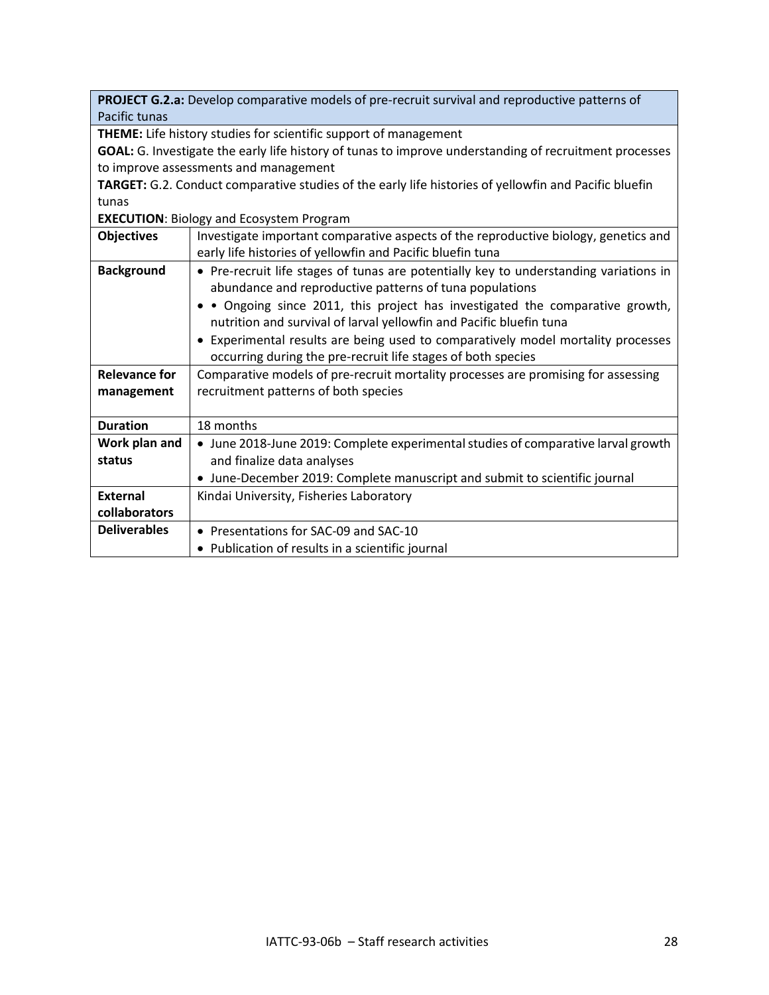| PROJECT G.2.a: Develop comparative models of pre-recruit survival and reproductive patterns of         |                                                                                       |
|--------------------------------------------------------------------------------------------------------|---------------------------------------------------------------------------------------|
| Pacific tunas                                                                                          |                                                                                       |
| THEME: Life history studies for scientific support of management                                       |                                                                                       |
| GOAL: G. Investigate the early life history of tunas to improve understanding of recruitment processes |                                                                                       |
| to improve assessments and management                                                                  |                                                                                       |
| TARGET: G.2. Conduct comparative studies of the early life histories of yellowfin and Pacific bluefin  |                                                                                       |
| tunas                                                                                                  |                                                                                       |
| <b>EXECUTION: Biology and Ecosystem Program</b>                                                        |                                                                                       |
| <b>Objectives</b>                                                                                      | Investigate important comparative aspects of the reproductive biology, genetics and   |
|                                                                                                        | early life histories of yellowfin and Pacific bluefin tuna                            |
| <b>Background</b>                                                                                      | • Pre-recruit life stages of tunas are potentially key to understanding variations in |
|                                                                                                        | abundance and reproductive patterns of tuna populations                               |
|                                                                                                        | • Ongoing since 2011, this project has investigated the comparative growth,           |
|                                                                                                        | nutrition and survival of larval yellowfin and Pacific bluefin tuna                   |
|                                                                                                        | • Experimental results are being used to comparatively model mortality processes      |
|                                                                                                        | occurring during the pre-recruit life stages of both species                          |
| <b>Relevance for</b>                                                                                   | Comparative models of pre-recruit mortality processes are promising for assessing     |
| management                                                                                             | recruitment patterns of both species                                                  |
|                                                                                                        |                                                                                       |
| <b>Duration</b>                                                                                        | 18 months                                                                             |
| Work plan and                                                                                          | • June 2018-June 2019: Complete experimental studies of comparative larval growth     |
| status                                                                                                 | and finalize data analyses                                                            |
|                                                                                                        | • June-December 2019: Complete manuscript and submit to scientific journal            |
| <b>External</b>                                                                                        | Kindai University, Fisheries Laboratory                                               |
| collaborators                                                                                          |                                                                                       |
| <b>Deliverables</b>                                                                                    | • Presentations for SAC-09 and SAC-10                                                 |
|                                                                                                        | • Publication of results in a scientific journal                                      |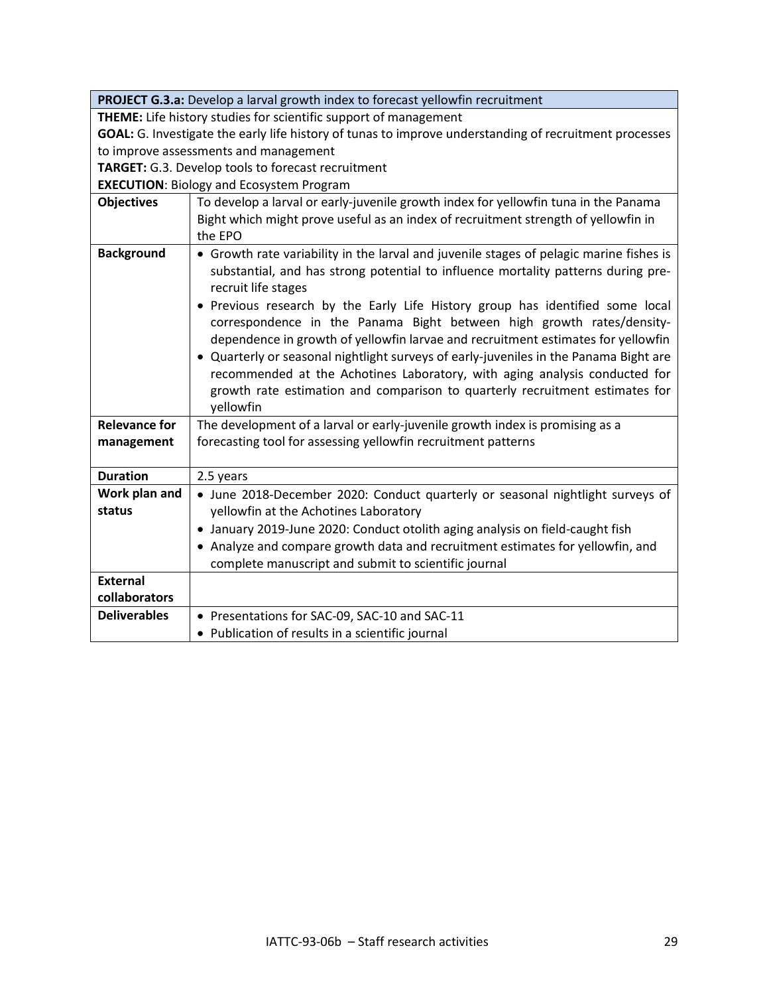| PROJECT G.3.a: Develop a larval growth index to forecast yellowfin recruitment                         |                                                                                                                                                            |  |
|--------------------------------------------------------------------------------------------------------|------------------------------------------------------------------------------------------------------------------------------------------------------------|--|
| <b>THEME:</b> Life history studies for scientific support of management                                |                                                                                                                                                            |  |
| GOAL: G. Investigate the early life history of tunas to improve understanding of recruitment processes |                                                                                                                                                            |  |
| to improve assessments and management                                                                  |                                                                                                                                                            |  |
| TARGET: G.3. Develop tools to forecast recruitment                                                     |                                                                                                                                                            |  |
|                                                                                                        | <b>EXECUTION: Biology and Ecosystem Program</b>                                                                                                            |  |
| <b>Objectives</b>                                                                                      | To develop a larval or early-juvenile growth index for yellowfin tuna in the Panama                                                                        |  |
|                                                                                                        | Bight which might prove useful as an index of recruitment strength of yellowfin in                                                                         |  |
|                                                                                                        | the EPO                                                                                                                                                    |  |
| <b>Background</b>                                                                                      | • Growth rate variability in the larval and juvenile stages of pelagic marine fishes is                                                                    |  |
|                                                                                                        | substantial, and has strong potential to influence mortality patterns during pre-                                                                          |  |
|                                                                                                        | recruit life stages                                                                                                                                        |  |
|                                                                                                        | • Previous research by the Early Life History group has identified some local                                                                              |  |
|                                                                                                        | correspondence in the Panama Bight between high growth rates/density-                                                                                      |  |
|                                                                                                        | dependence in growth of yellowfin larvae and recruitment estimates for yellowfin                                                                           |  |
|                                                                                                        | • Quarterly or seasonal nightlight surveys of early-juveniles in the Panama Bight are                                                                      |  |
|                                                                                                        | recommended at the Achotines Laboratory, with aging analysis conducted for<br>growth rate estimation and comparison to quarterly recruitment estimates for |  |
|                                                                                                        | yellowfin                                                                                                                                                  |  |
| <b>Relevance for</b>                                                                                   | The development of a larval or early-juvenile growth index is promising as a                                                                               |  |
| management                                                                                             | forecasting tool for assessing yellowfin recruitment patterns                                                                                              |  |
|                                                                                                        |                                                                                                                                                            |  |
| <b>Duration</b>                                                                                        | 2.5 years                                                                                                                                                  |  |
| Work plan and                                                                                          | • June 2018-December 2020: Conduct quarterly or seasonal nightlight surveys of                                                                             |  |
| status                                                                                                 | yellowfin at the Achotines Laboratory                                                                                                                      |  |
|                                                                                                        | • January 2019-June 2020: Conduct otolith aging analysis on field-caught fish                                                                              |  |
|                                                                                                        | • Analyze and compare growth data and recruitment estimates for yellowfin, and                                                                             |  |
|                                                                                                        | complete manuscript and submit to scientific journal                                                                                                       |  |
| <b>External</b>                                                                                        |                                                                                                                                                            |  |
| collaborators                                                                                          |                                                                                                                                                            |  |
| <b>Deliverables</b>                                                                                    | • Presentations for SAC-09, SAC-10 and SAC-11                                                                                                              |  |
|                                                                                                        | • Publication of results in a scientific journal                                                                                                           |  |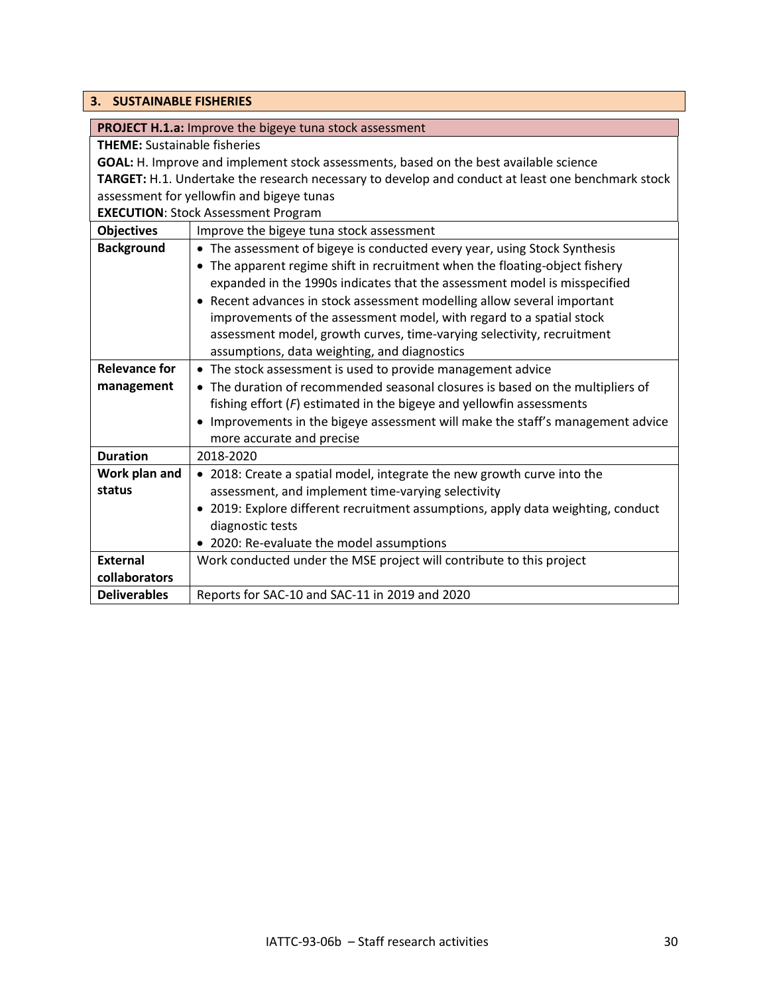#### <span id="page-29-0"></span>**3. SUSTAINABLE FISHERIES**

| <b>PROJECT H.1.a:</b> Improve the bigeye tuna stock assessment |
|----------------------------------------------------------------|
|                                                                |

**THEME:** Sustainable fisheries

**GOAL:** H. Improve and implement stock assessments, based on the best available science **TARGET:** H.1. Undertake the research necessary to develop and conduct at least one benchmark stock assessment for yellowfin and bigeye tunas

**EXECUTION**: Stock Assessment Program

| <b>Objectives</b>    | Improve the bigeye tuna stock assessment                                           |
|----------------------|------------------------------------------------------------------------------------|
| <b>Background</b>    | • The assessment of bigeye is conducted every year, using Stock Synthesis          |
|                      | The apparent regime shift in recruitment when the floating-object fishery          |
|                      | expanded in the 1990s indicates that the assessment model is misspecified          |
|                      | Recent advances in stock assessment modelling allow several important<br>$\bullet$ |
|                      | improvements of the assessment model, with regard to a spatial stock               |
|                      | assessment model, growth curves, time-varying selectivity, recruitment             |
|                      | assumptions, data weighting, and diagnostics                                       |
| <b>Relevance for</b> | • The stock assessment is used to provide management advice                        |
| management           | • The duration of recommended seasonal closures is based on the multipliers of     |
|                      | fishing effort $(F)$ estimated in the bigeye and yellowfin assessments             |
|                      | Improvements in the bigeye assessment will make the staff's management advice      |
|                      | more accurate and precise                                                          |
| <b>Duration</b>      | 2018-2020                                                                          |
| Work plan and        | • 2018: Create a spatial model, integrate the new growth curve into the            |
| status               | assessment, and implement time-varying selectivity                                 |
|                      | • 2019: Explore different recruitment assumptions, apply data weighting, conduct   |
|                      | diagnostic tests                                                                   |
|                      | • 2020: Re-evaluate the model assumptions                                          |
| <b>External</b>      | Work conducted under the MSE project will contribute to this project               |
| collaborators        |                                                                                    |
| <b>Deliverables</b>  | Reports for SAC-10 and SAC-11 in 2019 and 2020                                     |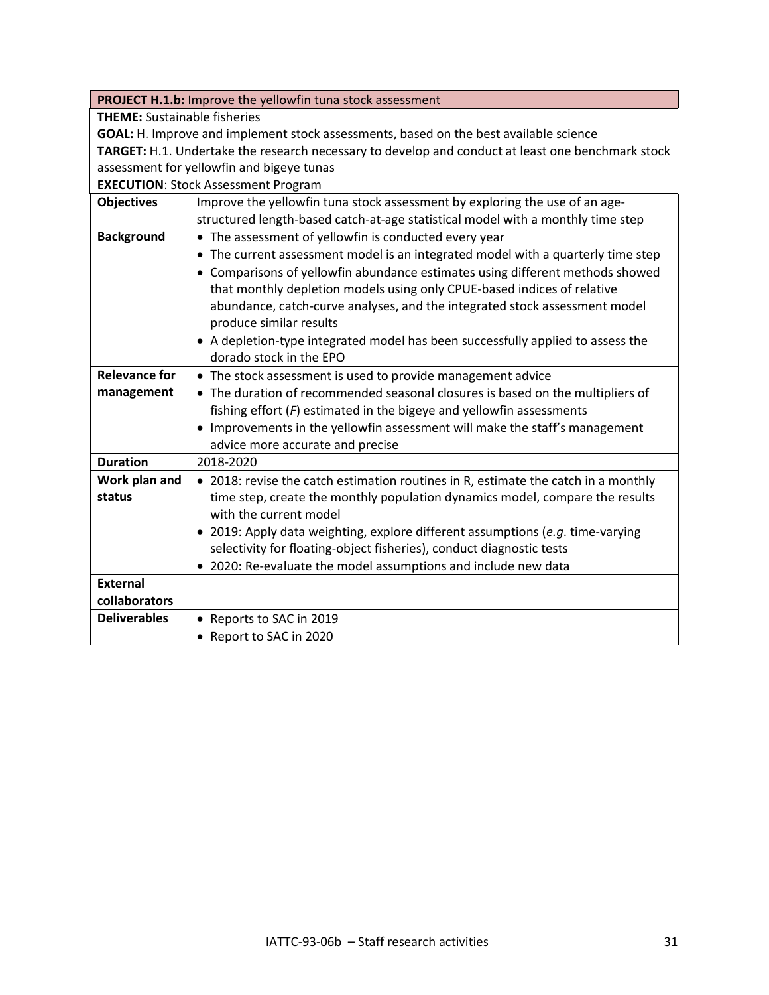|                                                                                                   | PROJECT H.1.b: Improve the yellowfin tuna stock assessment                                                                                             |
|---------------------------------------------------------------------------------------------------|--------------------------------------------------------------------------------------------------------------------------------------------------------|
| <b>THEME:</b> Sustainable fisheries                                                               |                                                                                                                                                        |
| GOAL: H. Improve and implement stock assessments, based on the best available science             |                                                                                                                                                        |
| TARGET: H.1. Undertake the research necessary to develop and conduct at least one benchmark stock |                                                                                                                                                        |
| assessment for yellowfin and bigeye tunas                                                         |                                                                                                                                                        |
|                                                                                                   | <b>EXECUTION: Stock Assessment Program</b>                                                                                                             |
| <b>Objectives</b>                                                                                 | Improve the yellowfin tuna stock assessment by exploring the use of an age-                                                                            |
|                                                                                                   | structured length-based catch-at-age statistical model with a monthly time step                                                                        |
| <b>Background</b>                                                                                 | • The assessment of yellowfin is conducted every year                                                                                                  |
|                                                                                                   | • The current assessment model is an integrated model with a quarterly time step                                                                       |
|                                                                                                   | • Comparisons of yellowfin abundance estimates using different methods showed                                                                          |
|                                                                                                   | that monthly depletion models using only CPUE-based indices of relative                                                                                |
|                                                                                                   | abundance, catch-curve analyses, and the integrated stock assessment model                                                                             |
|                                                                                                   | produce similar results                                                                                                                                |
|                                                                                                   | • A depletion-type integrated model has been successfully applied to assess the                                                                        |
|                                                                                                   | dorado stock in the EPO                                                                                                                                |
| <b>Relevance for</b>                                                                              | • The stock assessment is used to provide management advice                                                                                            |
| management                                                                                        | • The duration of recommended seasonal closures is based on the multipliers of                                                                         |
|                                                                                                   | fishing effort $(F)$ estimated in the bigeye and yellowfin assessments                                                                                 |
|                                                                                                   | • Improvements in the yellowfin assessment will make the staff's management                                                                            |
|                                                                                                   | advice more accurate and precise                                                                                                                       |
| <b>Duration</b>                                                                                   | 2018-2020                                                                                                                                              |
| Work plan and                                                                                     | • 2018: revise the catch estimation routines in R, estimate the catch in a monthly                                                                     |
| status                                                                                            | time step, create the monthly population dynamics model, compare the results<br>with the current model                                                 |
|                                                                                                   |                                                                                                                                                        |
|                                                                                                   | • 2019: Apply data weighting, explore different assumptions (e.g. time-varying<br>selectivity for floating-object fisheries), conduct diagnostic tests |
|                                                                                                   | • 2020: Re-evaluate the model assumptions and include new data                                                                                         |
| <b>External</b>                                                                                   |                                                                                                                                                        |
| collaborators                                                                                     |                                                                                                                                                        |
| <b>Deliverables</b>                                                                               | Reports to SAC in 2019                                                                                                                                 |
|                                                                                                   | Report to SAC in 2020                                                                                                                                  |
|                                                                                                   |                                                                                                                                                        |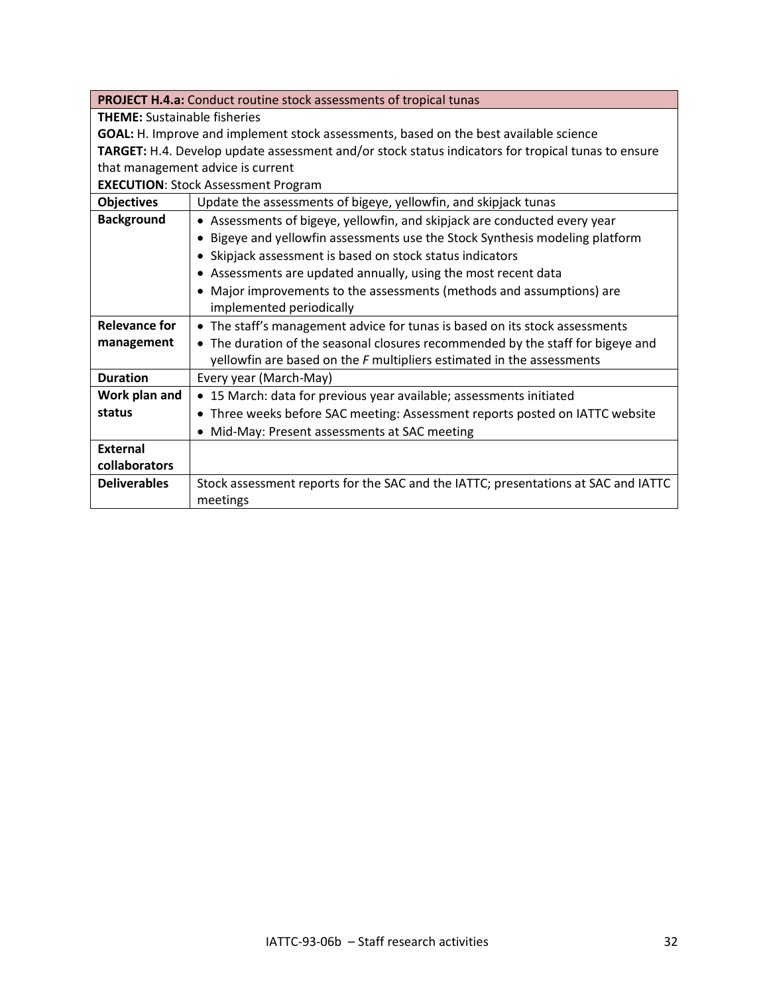|                                                                                                    | <b>PROJECT H.4.a:</b> Conduct routine stock assessments of tropical tunas          |
|----------------------------------------------------------------------------------------------------|------------------------------------------------------------------------------------|
| <b>THEME:</b> Sustainable fisheries                                                                |                                                                                    |
| GOAL: H. Improve and implement stock assessments, based on the best available science              |                                                                                    |
| TARGET: H.4. Develop update assessment and/or stock status indicators for tropical tunas to ensure |                                                                                    |
| that management advice is current                                                                  |                                                                                    |
| <b>EXECUTION: Stock Assessment Program</b>                                                         |                                                                                    |
| <b>Objectives</b>                                                                                  | Update the assessments of bigeye, yellowfin, and skipjack tunas                    |
| <b>Background</b>                                                                                  | • Assessments of bigeye, yellowfin, and skipjack are conducted every year          |
|                                                                                                    | • Bigeye and yellowfin assessments use the Stock Synthesis modeling platform       |
|                                                                                                    | • Skipjack assessment is based on stock status indicators                          |
|                                                                                                    | • Assessments are updated annually, using the most recent data                     |
|                                                                                                    | • Major improvements to the assessments (methods and assumptions) are              |
|                                                                                                    | implemented periodically                                                           |
| <b>Relevance for</b>                                                                               | • The staff's management advice for tunas is based on its stock assessments        |
| management                                                                                         | • The duration of the seasonal closures recommended by the staff for bigeye and    |
|                                                                                                    | yellowfin are based on the $F$ multipliers estimated in the assessments            |
| <b>Duration</b>                                                                                    | Every year (March-May)                                                             |
| Work plan and                                                                                      | • 15 March: data for previous year available; assessments initiated                |
| status                                                                                             | • Three weeks before SAC meeting: Assessment reports posted on IATTC website       |
|                                                                                                    | • Mid-May: Present assessments at SAC meeting                                      |
| <b>External</b>                                                                                    |                                                                                    |
| collaborators                                                                                      |                                                                                    |
| <b>Deliverables</b>                                                                                | Stock assessment reports for the SAC and the IATTC; presentations at SAC and IATTC |
|                                                                                                    | meetings                                                                           |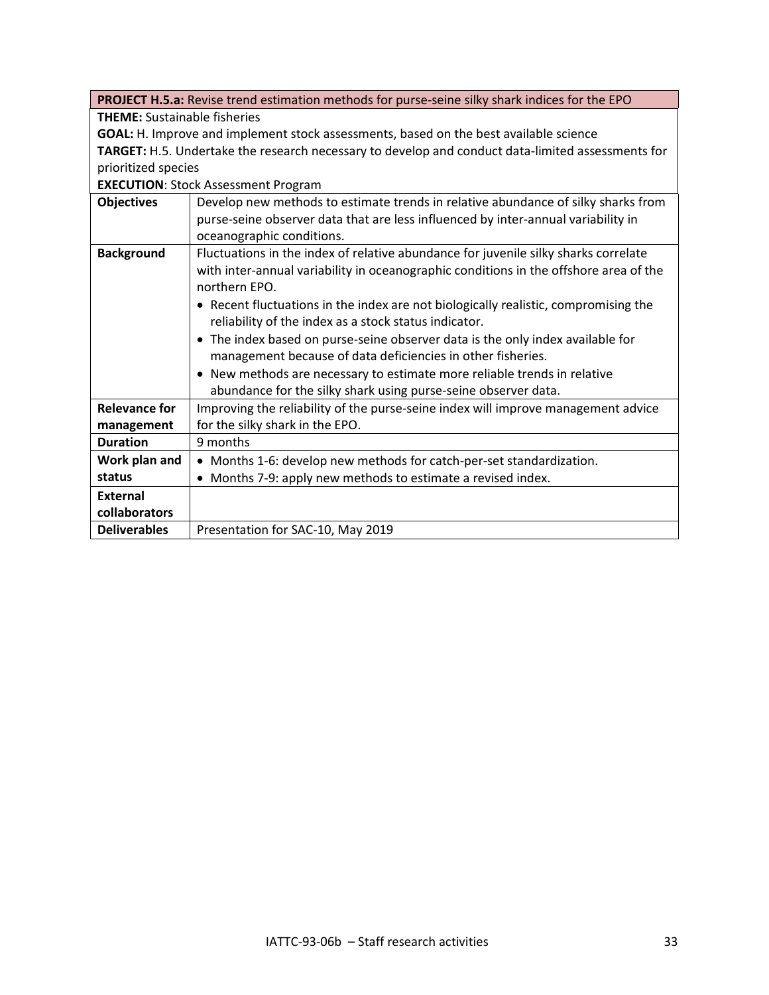|                                                                                                   | PROJECT H.5.a: Revise trend estimation methods for purse-seine silky shark indices for the EPO |
|---------------------------------------------------------------------------------------------------|------------------------------------------------------------------------------------------------|
| <b>THEME:</b> Sustainable fisheries                                                               |                                                                                                |
| GOAL: H. Improve and implement stock assessments, based on the best available science             |                                                                                                |
| TARGET: H.5. Undertake the research necessary to develop and conduct data-limited assessments for |                                                                                                |
| prioritized species                                                                               |                                                                                                |
|                                                                                                   | <b>EXECUTION: Stock Assessment Program</b>                                                     |
| <b>Objectives</b>                                                                                 | Develop new methods to estimate trends in relative abundance of silky sharks from              |
|                                                                                                   | purse-seine observer data that are less influenced by inter-annual variability in              |
|                                                                                                   | oceanographic conditions.                                                                      |
| <b>Background</b>                                                                                 | Fluctuations in the index of relative abundance for juvenile silky sharks correlate            |
|                                                                                                   | with inter-annual variability in oceanographic conditions in the offshore area of the          |
|                                                                                                   | northern EPO.                                                                                  |
|                                                                                                   | • Recent fluctuations in the index are not biologically realistic, compromising the            |
|                                                                                                   | reliability of the index as a stock status indicator.                                          |
|                                                                                                   | • The index based on purse-seine observer data is the only index available for                 |
|                                                                                                   | management because of data deficiencies in other fisheries.                                    |
|                                                                                                   | • New methods are necessary to estimate more reliable trends in relative                       |
|                                                                                                   | abundance for the silky shark using purse-seine observer data.                                 |
| <b>Relevance for</b>                                                                              | Improving the reliability of the purse-seine index will improve management advice              |
| management                                                                                        | for the silky shark in the EPO.                                                                |
| <b>Duration</b>                                                                                   | 9 months                                                                                       |
| Work plan and                                                                                     | • Months 1-6: develop new methods for catch-per-set standardization.                           |
| status                                                                                            | • Months 7-9: apply new methods to estimate a revised index.                                   |
| <b>External</b>                                                                                   |                                                                                                |
| collaborators                                                                                     |                                                                                                |
| <b>Deliverables</b>                                                                               | Presentation for SAC-10, May 2019                                                              |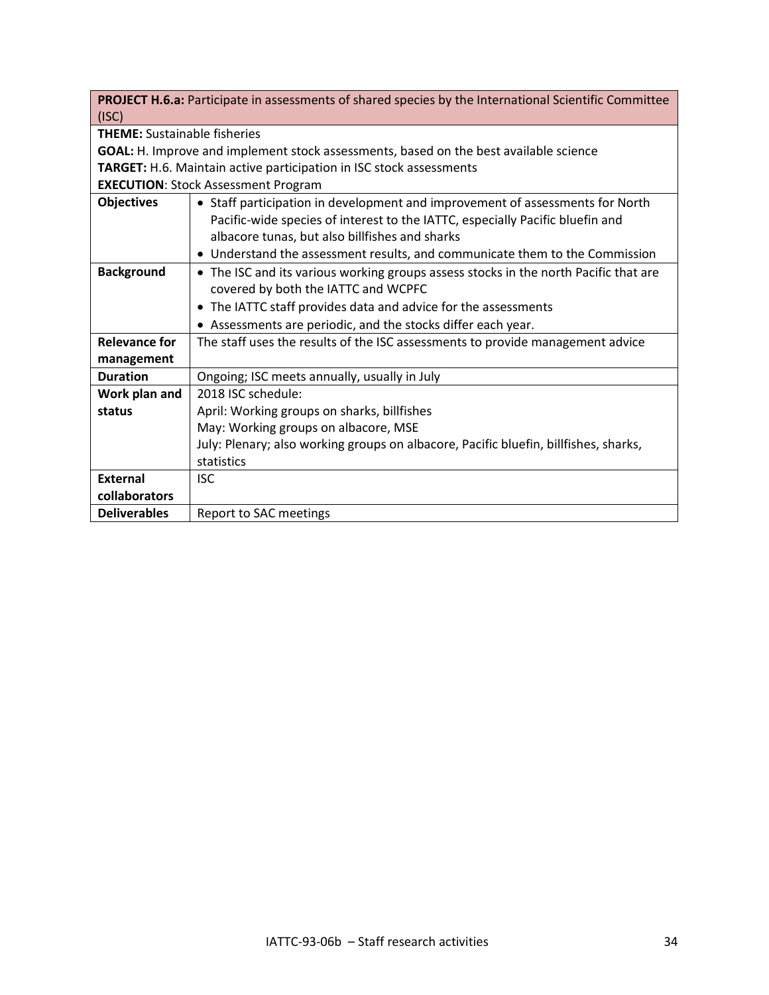| <b>PROJECT H.6.a:</b> Participate in assessments of shared species by the International Scientific Committee |
|--------------------------------------------------------------------------------------------------------------|
| (ISC)                                                                                                        |

**THEME:** Sustainable fisheries

**GOAL:** H. Improve and implement stock assessments, based on the best available science **TARGET:** H.6. Maintain active participation in ISC stock assessments

**EXECUTION**: Stock Assessment Program

| <b>Objectives</b>   | • Staff participation in development and improvement of assessments for North        |
|---------------------|--------------------------------------------------------------------------------------|
|                     | Pacific-wide species of interest to the IATTC, especially Pacific bluefin and        |
|                     | albacore tunas, but also billfishes and sharks                                       |
|                     | • Understand the assessment results, and communicate them to the Commission          |
| <b>Background</b>   | • The ISC and its various working groups assess stocks in the north Pacific that are |
|                     | covered by both the IATTC and WCPFC                                                  |
|                     | • The IATTC staff provides data and advice for the assessments                       |
|                     | • Assessments are periodic, and the stocks differ each year.                         |
| Relevance for       | The staff uses the results of the ISC assessments to provide management advice       |
| management          |                                                                                      |
| <b>Duration</b>     | Ongoing; ISC meets annually, usually in July                                         |
| Work plan and       | 2018 ISC schedule:                                                                   |
| status              | April: Working groups on sharks, billfishes                                          |
|                     | May: Working groups on albacore, MSE                                                 |
|                     | July: Plenary; also working groups on albacore, Pacific bluefin, billfishes, sharks, |
|                     | statistics                                                                           |
| <b>External</b>     | <b>ISC</b>                                                                           |
| collaborators       |                                                                                      |
| <b>Deliverables</b> | Report to SAC meetings                                                               |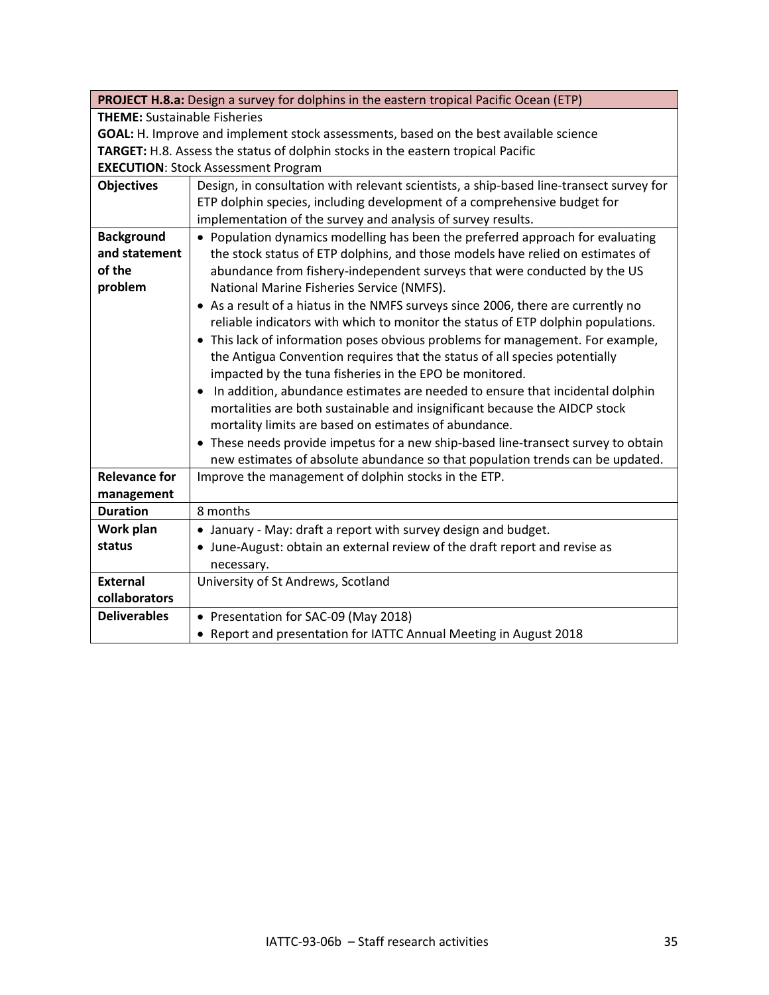|                                                                                       | PROJECT H.8.a: Design a survey for dolphins in the eastern tropical Pacific Ocean (ETP) |  |
|---------------------------------------------------------------------------------------|-----------------------------------------------------------------------------------------|--|
| <b>THEME:</b> Sustainable Fisheries                                                   |                                                                                         |  |
| GOAL: H. Improve and implement stock assessments, based on the best available science |                                                                                         |  |
| TARGET: H.8. Assess the status of dolphin stocks in the eastern tropical Pacific      |                                                                                         |  |
|                                                                                       | <b>EXECUTION: Stock Assessment Program</b>                                              |  |
| <b>Objectives</b>                                                                     | Design, in consultation with relevant scientists, a ship-based line-transect survey for |  |
|                                                                                       | ETP dolphin species, including development of a comprehensive budget for                |  |
|                                                                                       | implementation of the survey and analysis of survey results.                            |  |
| <b>Background</b>                                                                     | • Population dynamics modelling has been the preferred approach for evaluating          |  |
| and statement                                                                         | the stock status of ETP dolphins, and those models have relied on estimates of          |  |
| of the                                                                                | abundance from fishery-independent surveys that were conducted by the US                |  |
| problem                                                                               | National Marine Fisheries Service (NMFS).                                               |  |
|                                                                                       | • As a result of a hiatus in the NMFS surveys since 2006, there are currently no        |  |
|                                                                                       | reliable indicators with which to monitor the status of ETP dolphin populations.        |  |
|                                                                                       | • This lack of information poses obvious problems for management. For example,          |  |
|                                                                                       | the Antigua Convention requires that the status of all species potentially              |  |
|                                                                                       | impacted by the tuna fisheries in the EPO be monitored.                                 |  |
|                                                                                       | In addition, abundance estimates are needed to ensure that incidental dolphin           |  |
|                                                                                       | mortalities are both sustainable and insignificant because the AIDCP stock              |  |
|                                                                                       | mortality limits are based on estimates of abundance.                                   |  |
|                                                                                       | • These needs provide impetus for a new ship-based line-transect survey to obtain       |  |
|                                                                                       | new estimates of absolute abundance so that population trends can be updated.           |  |
| <b>Relevance for</b>                                                                  | Improve the management of dolphin stocks in the ETP.                                    |  |
| management                                                                            |                                                                                         |  |
| <b>Duration</b>                                                                       | 8 months                                                                                |  |
| Work plan                                                                             | • January - May: draft a report with survey design and budget.                          |  |
| status                                                                                | • June-August: obtain an external review of the draft report and revise as              |  |
|                                                                                       | necessary.                                                                              |  |
| <b>External</b>                                                                       | University of St Andrews, Scotland                                                      |  |
| collaborators                                                                         |                                                                                         |  |
| <b>Deliverables</b>                                                                   | • Presentation for SAC-09 (May 2018)                                                    |  |
|                                                                                       | • Report and presentation for IATTC Annual Meeting in August 2018                       |  |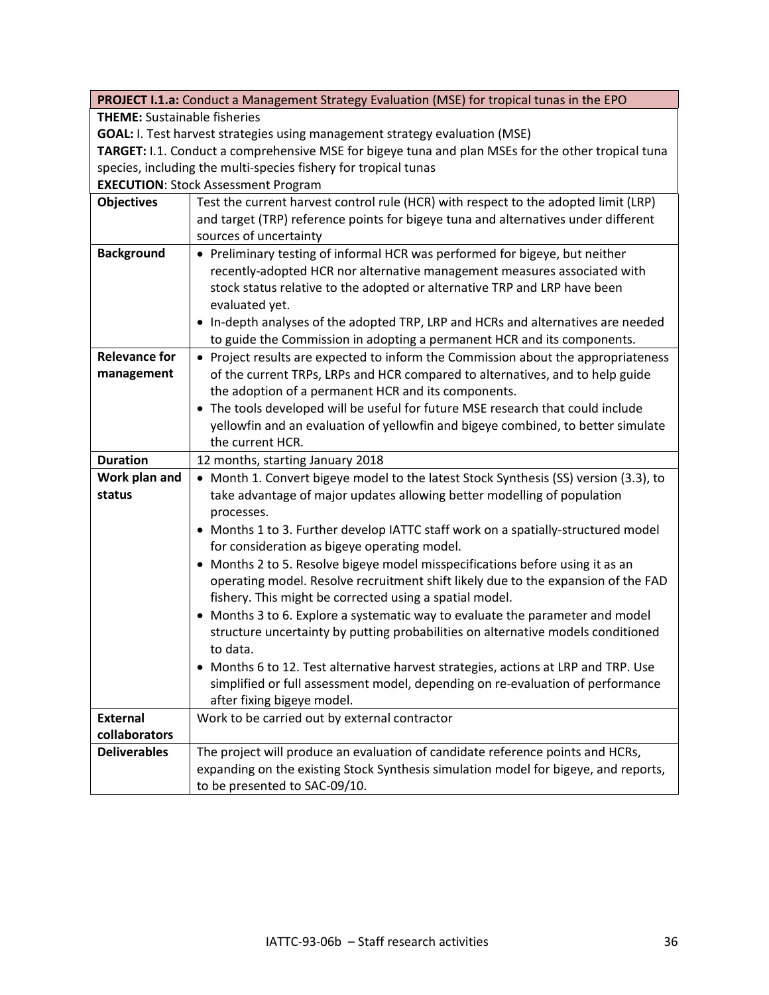|                                                                 | PROJECT I.1.a: Conduct a Management Strategy Evaluation (MSE) for tropical tunas in the EPO        |  |
|-----------------------------------------------------------------|----------------------------------------------------------------------------------------------------|--|
|                                                                 | <b>THEME:</b> Sustainable fisheries                                                                |  |
|                                                                 | <b>GOAL:</b> I. Test harvest strategies using management strategy evaluation (MSE)                 |  |
|                                                                 | TARGET: I.1. Conduct a comprehensive MSE for bigeye tuna and plan MSEs for the other tropical tuna |  |
| species, including the multi-species fishery for tropical tunas |                                                                                                    |  |
|                                                                 | <b>EXECUTION: Stock Assessment Program</b>                                                         |  |
| <b>Objectives</b>                                               | Test the current harvest control rule (HCR) with respect to the adopted limit (LRP)                |  |
|                                                                 | and target (TRP) reference points for bigeye tuna and alternatives under different                 |  |
|                                                                 | sources of uncertainty                                                                             |  |
| <b>Background</b>                                               | • Preliminary testing of informal HCR was performed for bigeye, but neither                        |  |
|                                                                 | recently-adopted HCR nor alternative management measures associated with                           |  |
|                                                                 | stock status relative to the adopted or alternative TRP and LRP have been                          |  |
|                                                                 | evaluated yet.                                                                                     |  |
|                                                                 | • In-depth analyses of the adopted TRP, LRP and HCRs and alternatives are needed                   |  |
|                                                                 | to guide the Commission in adopting a permanent HCR and its components.                            |  |
| <b>Relevance for</b>                                            | • Project results are expected to inform the Commission about the appropriateness                  |  |
| management                                                      | of the current TRPs, LRPs and HCR compared to alternatives, and to help guide                      |  |
|                                                                 | the adoption of a permanent HCR and its components.                                                |  |
|                                                                 | • The tools developed will be useful for future MSE research that could include                    |  |
|                                                                 | yellowfin and an evaluation of yellowfin and bigeye combined, to better simulate                   |  |
|                                                                 | the current HCR.                                                                                   |  |
| <b>Duration</b>                                                 | 12 months, starting January 2018                                                                   |  |
| Work plan and                                                   | • Month 1. Convert bigeye model to the latest Stock Synthesis (SS) version (3.3), to               |  |
| status                                                          | take advantage of major updates allowing better modelling of population                            |  |
|                                                                 | processes.                                                                                         |  |
|                                                                 | • Months 1 to 3. Further develop IATTC staff work on a spatially-structured model                  |  |
|                                                                 | for consideration as bigeye operating model.                                                       |  |
|                                                                 | • Months 2 to 5. Resolve bigeye model misspecifications before using it as an                      |  |
|                                                                 | operating model. Resolve recruitment shift likely due to the expansion of the FAD                  |  |
|                                                                 | fishery. This might be corrected using a spatial model.                                            |  |
|                                                                 | • Months 3 to 6. Explore a systematic way to evaluate the parameter and model                      |  |
|                                                                 | structure uncertainty by putting probabilities on alternative models conditioned                   |  |
|                                                                 | to data.                                                                                           |  |
|                                                                 | • Months 6 to 12. Test alternative harvest strategies, actions at LRP and TRP. Use                 |  |
|                                                                 | simplified or full assessment model, depending on re-evaluation of performance                     |  |
|                                                                 | after fixing bigeye model.                                                                         |  |
| <b>External</b>                                                 | Work to be carried out by external contractor                                                      |  |
| collaborators                                                   |                                                                                                    |  |
| <b>Deliverables</b>                                             | The project will produce an evaluation of candidate reference points and HCRs,                     |  |
|                                                                 | expanding on the existing Stock Synthesis simulation model for bigeye, and reports,                |  |
|                                                                 | to be presented to SAC-09/10.                                                                      |  |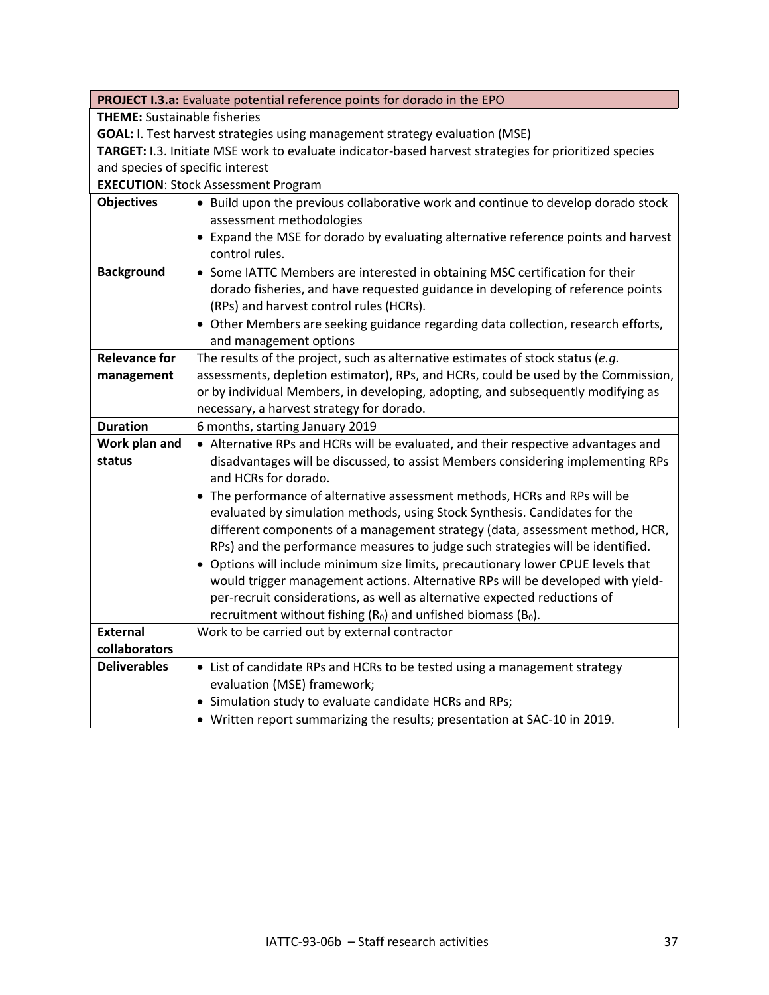| PROJECT I.3.a: Evaluate potential reference points for dorado in the EPO                                            |  |
|---------------------------------------------------------------------------------------------------------------------|--|
| <b>THEME:</b> Sustainable fisheries                                                                                 |  |
| GOAL: I. Test harvest strategies using management strategy evaluation (MSE)                                         |  |
| TARGET: I.3. Initiate MSE work to evaluate indicator-based harvest strategies for prioritized species               |  |
| and species of specific interest                                                                                    |  |
| <b>EXECUTION: Stock Assessment Program</b>                                                                          |  |
| • Build upon the previous collaborative work and continue to develop dorado stock                                   |  |
| assessment methodologies                                                                                            |  |
| • Expand the MSE for dorado by evaluating alternative reference points and harvest                                  |  |
| control rules.                                                                                                      |  |
| • Some IATTC Members are interested in obtaining MSC certification for their                                        |  |
| dorado fisheries, and have requested guidance in developing of reference points                                     |  |
| (RPs) and harvest control rules (HCRs).                                                                             |  |
| • Other Members are seeking guidance regarding data collection, research efforts,                                   |  |
| and management options                                                                                              |  |
| The results of the project, such as alternative estimates of stock status (e.g.                                     |  |
| assessments, depletion estimator), RPs, and HCRs, could be used by the Commission,                                  |  |
| or by individual Members, in developing, adopting, and subsequently modifying as                                    |  |
| necessary, a harvest strategy for dorado.                                                                           |  |
| 6 months, starting January 2019                                                                                     |  |
| • Alternative RPs and HCRs will be evaluated, and their respective advantages and                                   |  |
| disadvantages will be discussed, to assist Members considering implementing RPs                                     |  |
| and HCRs for dorado.                                                                                                |  |
| • The performance of alternative assessment methods, HCRs and RPs will be                                           |  |
| evaluated by simulation methods, using Stock Synthesis. Candidates for the                                          |  |
| different components of a management strategy (data, assessment method, HCR,                                        |  |
| RPs) and the performance measures to judge such strategies will be identified.                                      |  |
| • Options will include minimum size limits, precautionary lower CPUE levels that                                    |  |
| would trigger management actions. Alternative RPs will be developed with yield-                                     |  |
| per-recruit considerations, as well as alternative expected reductions of                                           |  |
| recruitment without fishing $(R_0)$ and unfished biomass $(B_0)$ .<br>Work to be carried out by external contractor |  |
|                                                                                                                     |  |
|                                                                                                                     |  |
| • List of candidate RPs and HCRs to be tested using a management strategy<br>evaluation (MSE) framework;            |  |
| • Simulation study to evaluate candidate HCRs and RPs;                                                              |  |
| • Written report summarizing the results; presentation at SAC-10 in 2019.                                           |  |
|                                                                                                                     |  |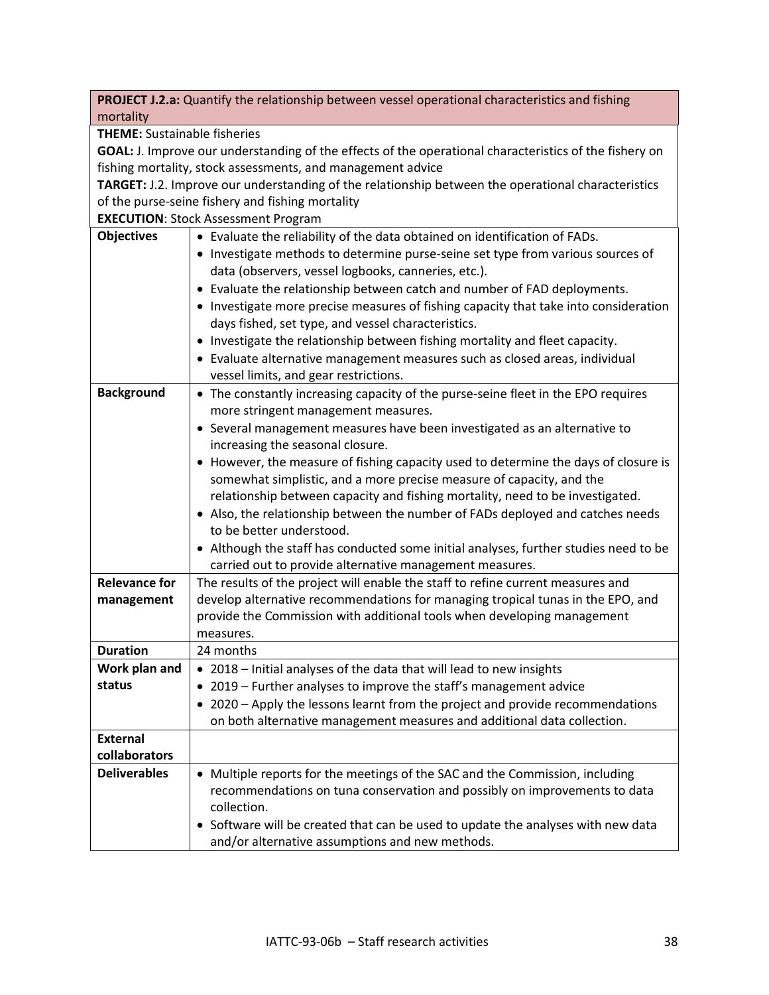|                                                                                                        | PROJECT J.2.a: Quantify the relationship between vessel operational characteristics and fishing |
|--------------------------------------------------------------------------------------------------------|-------------------------------------------------------------------------------------------------|
| mortality                                                                                              |                                                                                                 |
| <b>THEME:</b> Sustainable fisheries                                                                    |                                                                                                 |
| GOAL: J. Improve our understanding of the effects of the operational characteristics of the fishery on |                                                                                                 |
| fishing mortality, stock assessments, and management advice                                            |                                                                                                 |
| TARGET: J.2. Improve our understanding of the relationship between the operational characteristics     |                                                                                                 |
| of the purse-seine fishery and fishing mortality                                                       |                                                                                                 |
|                                                                                                        | <b>EXECUTION: Stock Assessment Program</b>                                                      |
| <b>Objectives</b>                                                                                      | • Evaluate the reliability of the data obtained on identification of FADs.                      |
|                                                                                                        | • Investigate methods to determine purse-seine set type from various sources of                 |
|                                                                                                        | data (observers, vessel logbooks, canneries, etc.).                                             |
|                                                                                                        | • Evaluate the relationship between catch and number of FAD deployments.                        |
|                                                                                                        | • Investigate more precise measures of fishing capacity that take into consideration            |
|                                                                                                        | days fished, set type, and vessel characteristics.                                              |
|                                                                                                        | • Investigate the relationship between fishing mortality and fleet capacity.                    |
|                                                                                                        | • Evaluate alternative management measures such as closed areas, individual                     |
|                                                                                                        | vessel limits, and gear restrictions.                                                           |
| <b>Background</b>                                                                                      | • The constantly increasing capacity of the purse-seine fleet in the EPO requires               |
|                                                                                                        | more stringent management measures.                                                             |
|                                                                                                        | • Several management measures have been investigated as an alternative to                       |
|                                                                                                        | increasing the seasonal closure.                                                                |
|                                                                                                        | • However, the measure of fishing capacity used to determine the days of closure is             |
|                                                                                                        | somewhat simplistic, and a more precise measure of capacity, and the                            |
|                                                                                                        | relationship between capacity and fishing mortality, need to be investigated.                   |
|                                                                                                        | • Also, the relationship between the number of FADs deployed and catches needs                  |
|                                                                                                        | to be better understood.                                                                        |
|                                                                                                        | • Although the staff has conducted some initial analyses, further studies need to be            |
|                                                                                                        | carried out to provide alternative management measures.                                         |
| <b>Relevance for</b>                                                                                   | The results of the project will enable the staff to refine current measures and                 |
| management                                                                                             | develop alternative recommendations for managing tropical tunas in the EPO, and                 |
|                                                                                                        | provide the Commission with additional tools when developing management                         |
|                                                                                                        | measures.                                                                                       |
| <b>Duration</b>                                                                                        | 24 months                                                                                       |
| Work plan and                                                                                          | • 2018 - Initial analyses of the data that will lead to new insights                            |
| status                                                                                                 | • 2019 - Further analyses to improve the staff's management advice                              |
|                                                                                                        | • 2020 - Apply the lessons learnt from the project and provide recommendations                  |
|                                                                                                        | on both alternative management measures and additional data collection.                         |
| <b>External</b>                                                                                        |                                                                                                 |
| collaborators                                                                                          |                                                                                                 |
| <b>Deliverables</b>                                                                                    | • Multiple reports for the meetings of the SAC and the Commission, including                    |
|                                                                                                        | recommendations on tuna conservation and possibly on improvements to data                       |
|                                                                                                        | collection.                                                                                     |
|                                                                                                        | • Software will be created that can be used to update the analyses with new data                |
|                                                                                                        | and/or alternative assumptions and new methods.                                                 |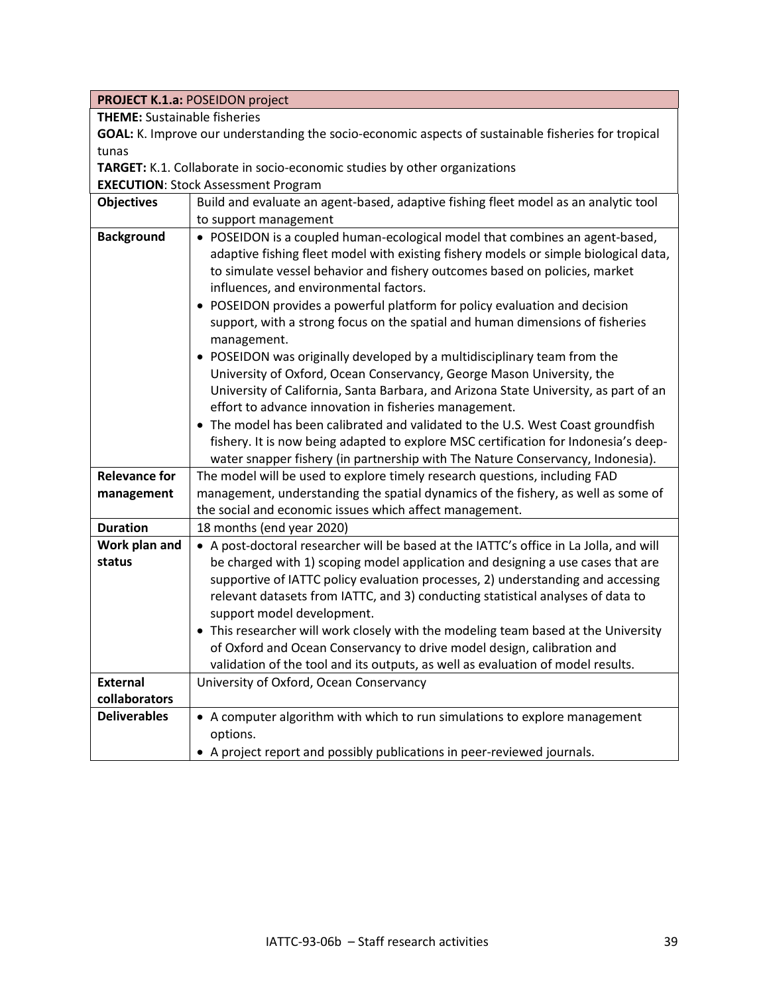|                                     | <b>PROJECT K.1.a: POSEIDON project</b>                                                              |  |
|-------------------------------------|-----------------------------------------------------------------------------------------------------|--|
| <b>THEME:</b> Sustainable fisheries |                                                                                                     |  |
|                                     | GOAL: K. Improve our understanding the socio-economic aspects of sustainable fisheries for tropical |  |
| tunas                               |                                                                                                     |  |
|                                     | TARGET: K.1. Collaborate in socio-economic studies by other organizations                           |  |
|                                     | <b>EXECUTION: Stock Assessment Program</b>                                                          |  |
| <b>Objectives</b>                   | Build and evaluate an agent-based, adaptive fishing fleet model as an analytic tool                 |  |
|                                     | to support management                                                                               |  |
| <b>Background</b>                   | • POSEIDON is a coupled human-ecological model that combines an agent-based,                        |  |
|                                     | adaptive fishing fleet model with existing fishery models or simple biological data,                |  |
|                                     | to simulate vessel behavior and fishery outcomes based on policies, market                          |  |
|                                     | influences, and environmental factors.                                                              |  |
|                                     | POSEIDON provides a powerful platform for policy evaluation and decision                            |  |
|                                     | support, with a strong focus on the spatial and human dimensions of fisheries                       |  |
|                                     | management.                                                                                         |  |
|                                     | POSEIDON was originally developed by a multidisciplinary team from the                              |  |
|                                     | University of Oxford, Ocean Conservancy, George Mason University, the                               |  |
|                                     | University of California, Santa Barbara, and Arizona State University, as part of an                |  |
|                                     | effort to advance innovation in fisheries management.                                               |  |
|                                     | • The model has been calibrated and validated to the U.S. West Coast groundfish                     |  |
|                                     | fishery. It is now being adapted to explore MSC certification for Indonesia's deep-                 |  |
|                                     | water snapper fishery (in partnership with The Nature Conservancy, Indonesia).                      |  |
| <b>Relevance for</b>                | The model will be used to explore timely research questions, including FAD                          |  |
| management                          | management, understanding the spatial dynamics of the fishery, as well as some of                   |  |
|                                     | the social and economic issues which affect management.                                             |  |
| <b>Duration</b>                     | 18 months (end year 2020)                                                                           |  |
| Work plan and                       | • A post-doctoral researcher will be based at the IATTC's office in La Jolla, and will              |  |
| status                              | be charged with 1) scoping model application and designing a use cases that are                     |  |
|                                     | supportive of IATTC policy evaluation processes, 2) understanding and accessing                     |  |
|                                     | relevant datasets from IATTC, and 3) conducting statistical analyses of data to                     |  |
|                                     | support model development.                                                                          |  |
|                                     | • This researcher will work closely with the modeling team based at the University                  |  |
|                                     | of Oxford and Ocean Conservancy to drive model design, calibration and                              |  |
|                                     | validation of the tool and its outputs, as well as evaluation of model results.                     |  |
| <b>External</b>                     | University of Oxford, Ocean Conservancy                                                             |  |
| collaborators                       |                                                                                                     |  |
| <b>Deliverables</b>                 | • A computer algorithm with which to run simulations to explore management                          |  |
|                                     | options.                                                                                            |  |
|                                     | A project report and possibly publications in peer-reviewed journals.                               |  |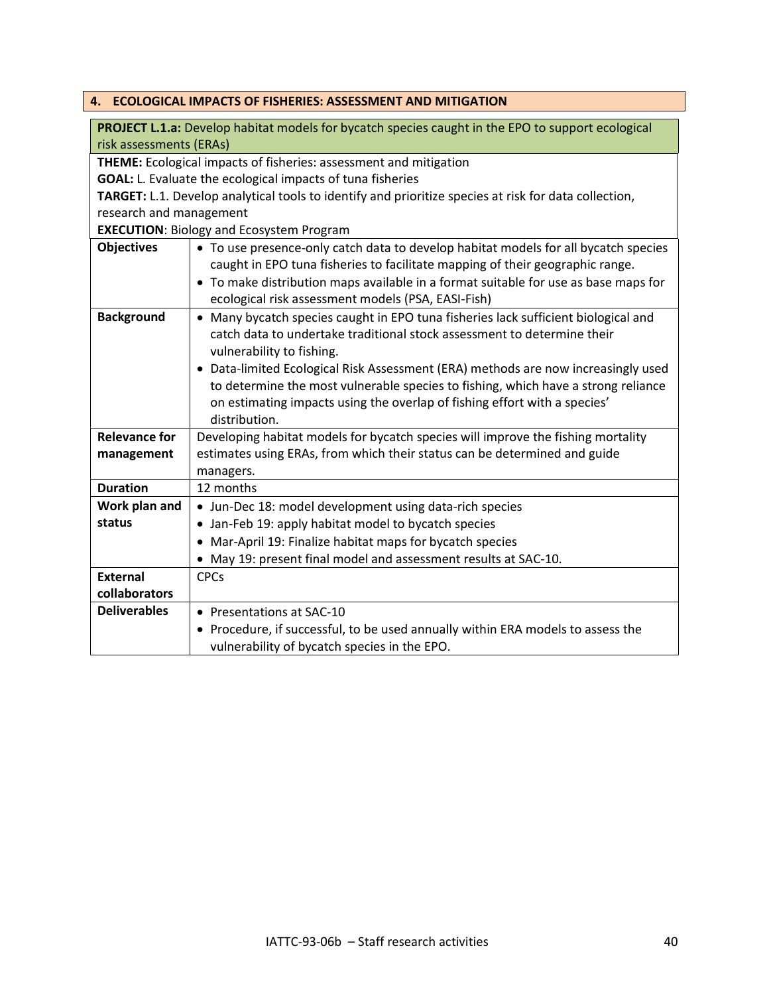<span id="page-39-0"></span>

|                                                                                                          | 4. ECOLOGICAL IMPACTS OF FISHERIES: ASSESSMENT AND MITIGATION                              |
|----------------------------------------------------------------------------------------------------------|--------------------------------------------------------------------------------------------|
|                                                                                                          |                                                                                            |
| <b>PROJECT L.1.a:</b> Develop habitat models for bycatch species caught in the EPO to support ecological |                                                                                            |
| risk assessments (ERAs)                                                                                  |                                                                                            |
| THEME: Ecological impacts of fisheries: assessment and mitigation                                        |                                                                                            |
| <b>GOAL:</b> L. Evaluate the ecological impacts of tuna fisheries                                        |                                                                                            |
| TARGET: L.1. Develop analytical tools to identify and prioritize species at risk for data collection,    |                                                                                            |
| research and management                                                                                  |                                                                                            |
|                                                                                                          | <b>EXECUTION: Biology and Ecosystem Program</b>                                            |
| <b>Objectives</b>                                                                                        | • To use presence-only catch data to develop habitat models for all bycatch species        |
|                                                                                                          | caught in EPO tuna fisheries to facilitate mapping of their geographic range.              |
|                                                                                                          | • To make distribution maps available in a format suitable for use as base maps for        |
|                                                                                                          | ecological risk assessment models (PSA, EASI-Fish)                                         |
| <b>Background</b>                                                                                        | • Many bycatch species caught in EPO tuna fisheries lack sufficient biological and         |
|                                                                                                          | catch data to undertake traditional stock assessment to determine their                    |
|                                                                                                          | vulnerability to fishing.                                                                  |
|                                                                                                          | • Data-limited Ecological Risk Assessment (ERA) methods are now increasingly used          |
|                                                                                                          | to determine the most vulnerable species to fishing, which have a strong reliance          |
|                                                                                                          | on estimating impacts using the overlap of fishing effort with a species'<br>distribution. |
| <b>Relevance for</b>                                                                                     | Developing habitat models for bycatch species will improve the fishing mortality           |
| management                                                                                               | estimates using ERAs, from which their status can be determined and guide                  |
|                                                                                                          | managers.                                                                                  |
| <b>Duration</b>                                                                                          | 12 months                                                                                  |
| Work plan and                                                                                            | • Jun-Dec 18: model development using data-rich species                                    |
| status                                                                                                   | • Jan-Feb 19: apply habitat model to bycatch species                                       |
|                                                                                                          | • Mar-April 19: Finalize habitat maps for bycatch species                                  |
|                                                                                                          | • May 19: present final model and assessment results at SAC-10.                            |
| <b>External</b>                                                                                          | <b>CPCs</b>                                                                                |
| collaborators                                                                                            |                                                                                            |
| <b>Deliverables</b>                                                                                      | • Presentations at SAC-10                                                                  |
|                                                                                                          | • Procedure, if successful, to be used annually within ERA models to assess the            |
|                                                                                                          | vulnerability of bycatch species in the EPO.                                               |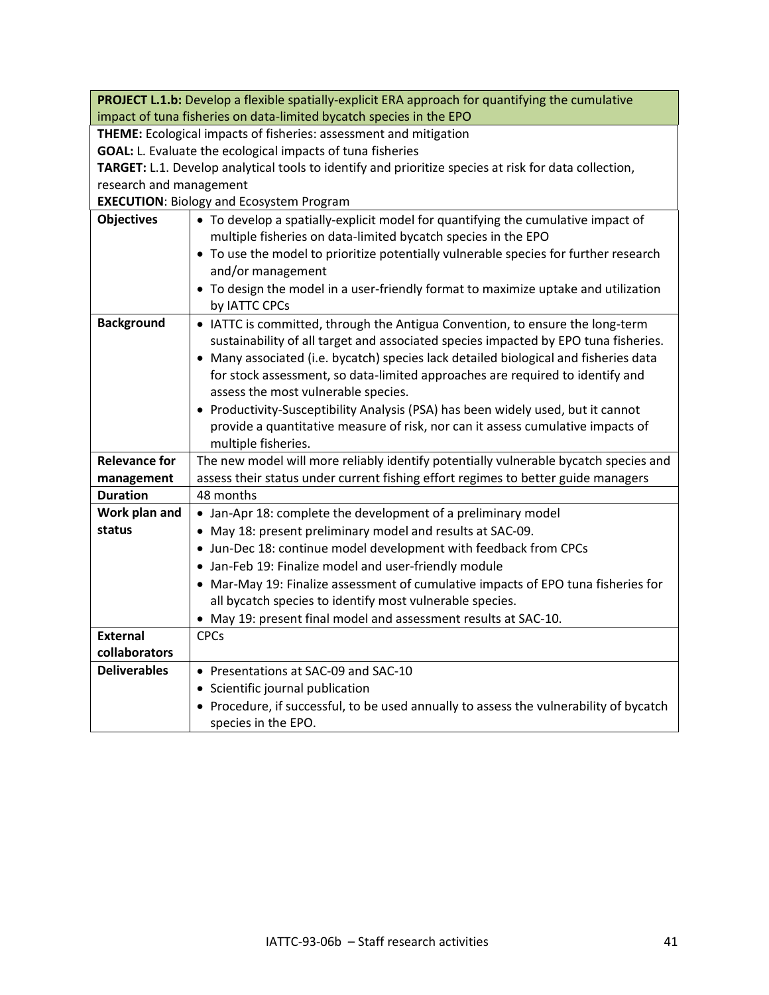| <b>PROJECT L.1.b:</b> Develop a flexible spatially-explicit ERA approach for quantifying the cumulative<br>impact of tuna fisheries on data-limited bycatch species in the EPO |                                                                                        |
|--------------------------------------------------------------------------------------------------------------------------------------------------------------------------------|----------------------------------------------------------------------------------------|
| THEME: Ecological impacts of fisheries: assessment and mitigation                                                                                                              |                                                                                        |
| GOAL: L. Evaluate the ecological impacts of tuna fisheries                                                                                                                     |                                                                                        |
| TARGET: L.1. Develop analytical tools to identify and prioritize species at risk for data collection,                                                                          |                                                                                        |
| research and management                                                                                                                                                        |                                                                                        |
| <b>EXECUTION: Biology and Ecosystem Program</b>                                                                                                                                |                                                                                        |
| <b>Objectives</b>                                                                                                                                                              | • To develop a spatially-explicit model for quantifying the cumulative impact of       |
|                                                                                                                                                                                | multiple fisheries on data-limited bycatch species in the EPO                          |
|                                                                                                                                                                                | • To use the model to prioritize potentially vulnerable species for further research   |
|                                                                                                                                                                                | and/or management                                                                      |
|                                                                                                                                                                                | • To design the model in a user-friendly format to maximize uptake and utilization     |
|                                                                                                                                                                                | by IATTC CPCs                                                                          |
| <b>Background</b>                                                                                                                                                              | • IATTC is committed, through the Antigua Convention, to ensure the long-term          |
|                                                                                                                                                                                | sustainability of all target and associated species impacted by EPO tuna fisheries.    |
|                                                                                                                                                                                | • Many associated (i.e. bycatch) species lack detailed biological and fisheries data   |
|                                                                                                                                                                                | for stock assessment, so data-limited approaches are required to identify and          |
|                                                                                                                                                                                | assess the most vulnerable species.                                                    |
|                                                                                                                                                                                | • Productivity-Susceptibility Analysis (PSA) has been widely used, but it cannot       |
|                                                                                                                                                                                | provide a quantitative measure of risk, nor can it assess cumulative impacts of        |
|                                                                                                                                                                                | multiple fisheries.                                                                    |
| <b>Relevance for</b>                                                                                                                                                           | The new model will more reliably identify potentially vulnerable bycatch species and   |
| management                                                                                                                                                                     | assess their status under current fishing effort regimes to better guide managers      |
| <b>Duration</b>                                                                                                                                                                | 48 months                                                                              |
| Work plan and                                                                                                                                                                  | • Jan-Apr 18: complete the development of a preliminary model                          |
| status                                                                                                                                                                         | • May 18: present preliminary model and results at SAC-09.                             |
|                                                                                                                                                                                | • Jun-Dec 18: continue model development with feedback from CPCs                       |
|                                                                                                                                                                                | • Jan-Feb 19: Finalize model and user-friendly module                                  |
|                                                                                                                                                                                | • Mar-May 19: Finalize assessment of cumulative impacts of EPO tuna fisheries for      |
|                                                                                                                                                                                | all bycatch species to identify most vulnerable species.                               |
|                                                                                                                                                                                | • May 19: present final model and assessment results at SAC-10.                        |
| <b>External</b>                                                                                                                                                                | <b>CPCs</b>                                                                            |
| collaborators                                                                                                                                                                  |                                                                                        |
| <b>Deliverables</b>                                                                                                                                                            | • Presentations at SAC-09 and SAC-10                                                   |
|                                                                                                                                                                                | • Scientific journal publication                                                       |
|                                                                                                                                                                                | • Procedure, if successful, to be used annually to assess the vulnerability of bycatch |
|                                                                                                                                                                                | species in the EPO.                                                                    |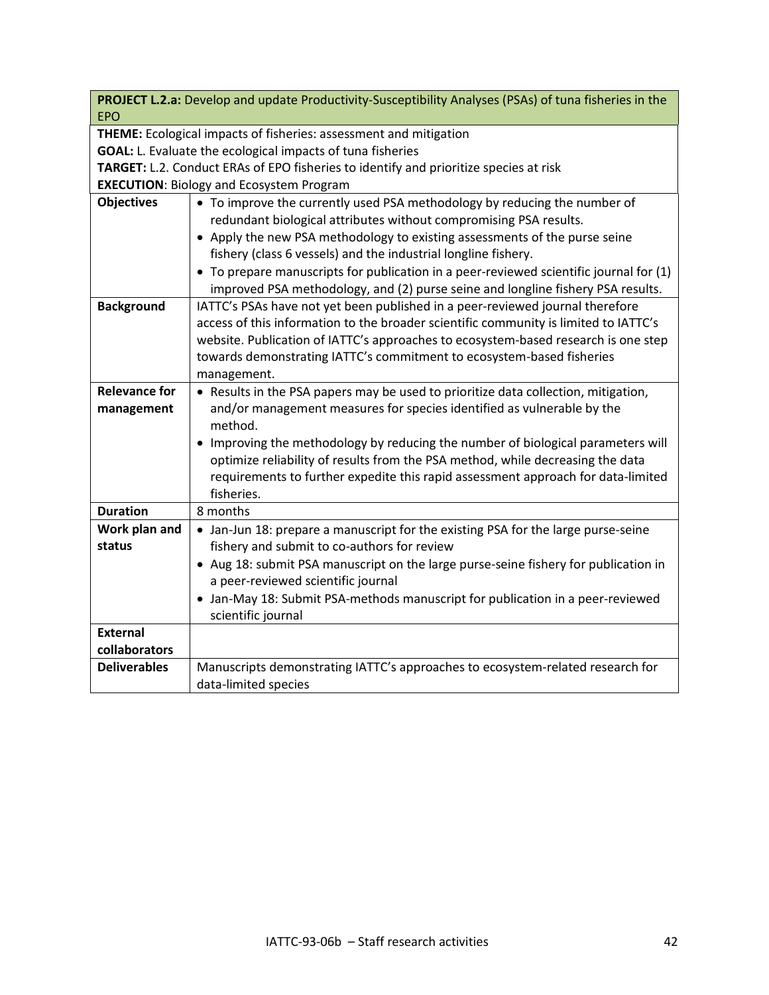|                                                                                       | PROJECT L.2.a: Develop and update Productivity-Susceptibility Analyses (PSAs) of tuna fisheries in the |
|---------------------------------------------------------------------------------------|--------------------------------------------------------------------------------------------------------|
| <b>EPO</b>                                                                            |                                                                                                        |
|                                                                                       | THEME: Ecological impacts of fisheries: assessment and mitigation                                      |
| GOAL: L. Evaluate the ecological impacts of tuna fisheries                            |                                                                                                        |
| TARGET: L.2. Conduct ERAs of EPO fisheries to identify and prioritize species at risk |                                                                                                        |
|                                                                                       | <b>EXECUTION: Biology and Ecosystem Program</b>                                                        |
| <b>Objectives</b>                                                                     | • To improve the currently used PSA methodology by reducing the number of                              |
|                                                                                       | redundant biological attributes without compromising PSA results.                                      |
|                                                                                       | • Apply the new PSA methodology to existing assessments of the purse seine                             |
|                                                                                       | fishery (class 6 vessels) and the industrial longline fishery.                                         |
|                                                                                       | • To prepare manuscripts for publication in a peer-reviewed scientific journal for (1)                 |
|                                                                                       | improved PSA methodology, and (2) purse seine and longline fishery PSA results.                        |
| <b>Background</b>                                                                     | IATTC's PSAs have not yet been published in a peer-reviewed journal therefore                          |
|                                                                                       | access of this information to the broader scientific community is limited to IATTC's                   |
|                                                                                       | website. Publication of IATTC's approaches to ecosystem-based research is one step                     |
|                                                                                       | towards demonstrating IATTC's commitment to ecosystem-based fisheries                                  |
|                                                                                       | management.                                                                                            |
| <b>Relevance for</b>                                                                  | • Results in the PSA papers may be used to prioritize data collection, mitigation,                     |
| management                                                                            | and/or management measures for species identified as vulnerable by the<br>method.                      |
|                                                                                       | • Improving the methodology by reducing the number of biological parameters will                       |
|                                                                                       | optimize reliability of results from the PSA method, while decreasing the data                         |
|                                                                                       | requirements to further expedite this rapid assessment approach for data-limited                       |
|                                                                                       | fisheries.                                                                                             |
| <b>Duration</b>                                                                       | 8 months                                                                                               |
| Work plan and                                                                         | • Jan-Jun 18: prepare a manuscript for the existing PSA for the large purse-seine                      |
| status                                                                                | fishery and submit to co-authors for review                                                            |
|                                                                                       | • Aug 18: submit PSA manuscript on the large purse-seine fishery for publication in                    |
|                                                                                       | a peer-reviewed scientific journal                                                                     |
|                                                                                       | • Jan-May 18: Submit PSA-methods manuscript for publication in a peer-reviewed                         |
|                                                                                       | scientific journal                                                                                     |
| <b>External</b>                                                                       |                                                                                                        |
| collaborators                                                                         |                                                                                                        |
| <b>Deliverables</b>                                                                   | Manuscripts demonstrating IATTC's approaches to ecosystem-related research for                         |
|                                                                                       | data-limited species                                                                                   |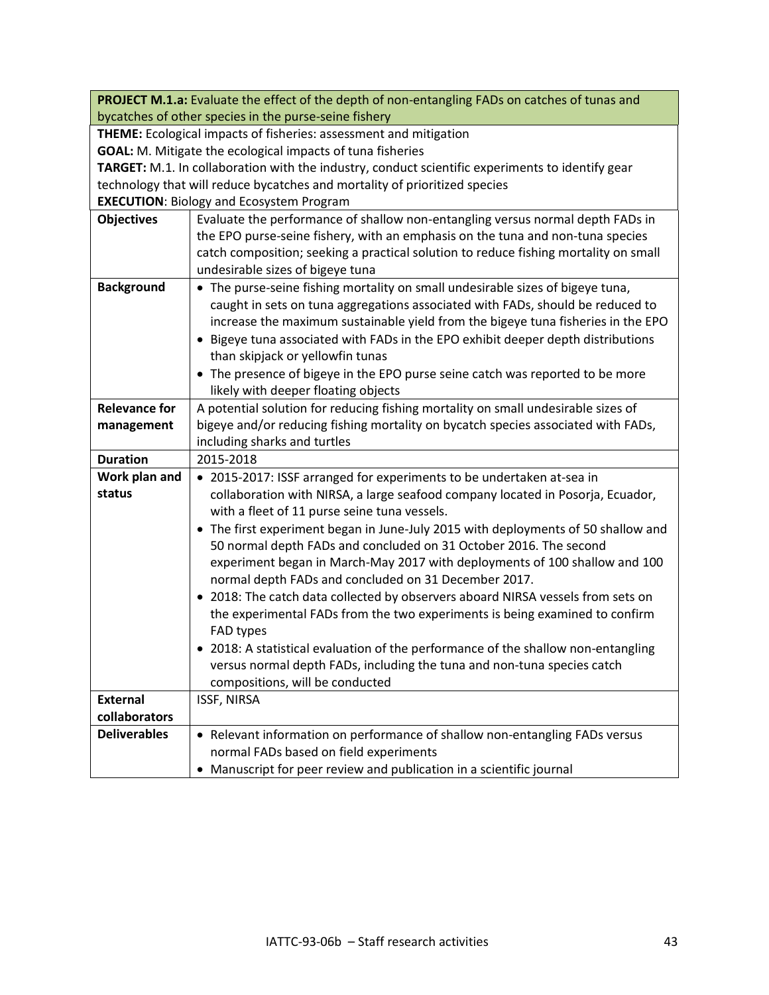|                                                                   | PROJECT M.1.a: Evaluate the effect of the depth of non-entangling FADs on catches of tunas and                                 |
|-------------------------------------------------------------------|--------------------------------------------------------------------------------------------------------------------------------|
| bycatches of other species in the purse-seine fishery             |                                                                                                                                |
|                                                                   | THEME: Ecological impacts of fisheries: assessment and mitigation                                                              |
| <b>GOAL:</b> M. Mitigate the ecological impacts of tuna fisheries |                                                                                                                                |
|                                                                   | TARGET: M.1. In collaboration with the industry, conduct scientific experiments to identify gear                               |
|                                                                   | technology that will reduce bycatches and mortality of prioritized species                                                     |
|                                                                   | <b>EXECUTION: Biology and Ecosystem Program</b>                                                                                |
| <b>Objectives</b>                                                 | Evaluate the performance of shallow non-entangling versus normal depth FADs in                                                 |
|                                                                   | the EPO purse-seine fishery, with an emphasis on the tuna and non-tuna species                                                 |
|                                                                   | catch composition; seeking a practical solution to reduce fishing mortality on small                                           |
|                                                                   | undesirable sizes of bigeye tuna                                                                                               |
| <b>Background</b>                                                 | • The purse-seine fishing mortality on small undesirable sizes of bigeye tuna,                                                 |
|                                                                   | caught in sets on tuna aggregations associated with FADs, should be reduced to                                                 |
|                                                                   | increase the maximum sustainable yield from the bigeye tuna fisheries in the EPO                                               |
|                                                                   | • Bigeye tuna associated with FADs in the EPO exhibit deeper depth distributions                                               |
|                                                                   | than skipjack or yellowfin tunas                                                                                               |
|                                                                   | • The presence of bigeye in the EPO purse seine catch was reported to be more                                                  |
|                                                                   | likely with deeper floating objects                                                                                            |
| <b>Relevance for</b>                                              | A potential solution for reducing fishing mortality on small undesirable sizes of                                              |
| management                                                        | bigeye and/or reducing fishing mortality on bycatch species associated with FADs,                                              |
| <b>Duration</b>                                                   | including sharks and turtles<br>2015-2018                                                                                      |
| Work plan and                                                     |                                                                                                                                |
| status                                                            | • 2015-2017: ISSF arranged for experiments to be undertaken at-sea in                                                          |
|                                                                   | collaboration with NIRSA, a large seafood company located in Posorja, Ecuador,<br>with a fleet of 11 purse seine tuna vessels. |
|                                                                   | • The first experiment began in June-July 2015 with deployments of 50 shallow and                                              |
|                                                                   | 50 normal depth FADs and concluded on 31 October 2016. The second                                                              |
|                                                                   | experiment began in March-May 2017 with deployments of 100 shallow and 100                                                     |
|                                                                   | normal depth FADs and concluded on 31 December 2017.                                                                           |
|                                                                   | • 2018: The catch data collected by observers aboard NIRSA vessels from sets on                                                |
|                                                                   | the experimental FADs from the two experiments is being examined to confirm                                                    |
|                                                                   | FAD types                                                                                                                      |
|                                                                   | 2018: A statistical evaluation of the performance of the shallow non-entangling                                                |
|                                                                   | versus normal depth FADs, including the tuna and non-tuna species catch                                                        |
|                                                                   | compositions, will be conducted                                                                                                |
| <b>External</b>                                                   | ISSF, NIRSA                                                                                                                    |
| collaborators                                                     |                                                                                                                                |
| <b>Deliverables</b>                                               | • Relevant information on performance of shallow non-entangling FADs versus                                                    |
|                                                                   | normal FADs based on field experiments                                                                                         |
|                                                                   | Manuscript for peer review and publication in a scientific journal<br>٠                                                        |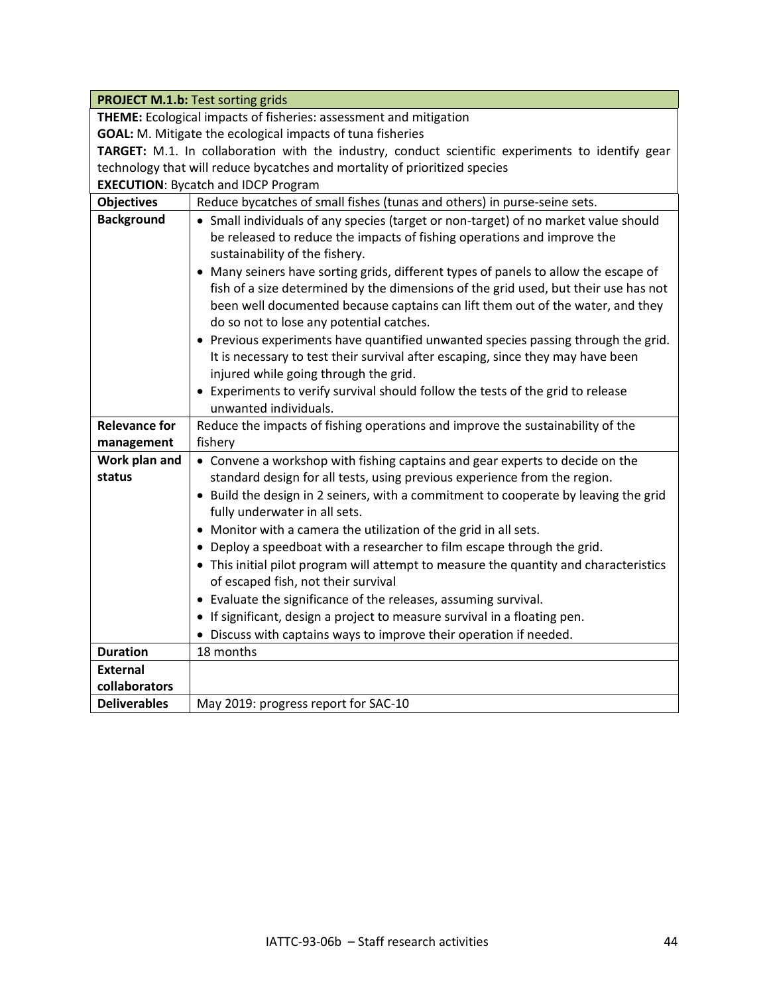|                                                                   | <b>PROJECT M.1.b: Test sorting grids</b>                                                                                                                                                                                                                                                                                                                                                                                                                                                                                                                                                          |
|-------------------------------------------------------------------|---------------------------------------------------------------------------------------------------------------------------------------------------------------------------------------------------------------------------------------------------------------------------------------------------------------------------------------------------------------------------------------------------------------------------------------------------------------------------------------------------------------------------------------------------------------------------------------------------|
| THEME: Ecological impacts of fisheries: assessment and mitigation |                                                                                                                                                                                                                                                                                                                                                                                                                                                                                                                                                                                                   |
|                                                                   | <b>GOAL:</b> M. Mitigate the ecological impacts of tuna fisheries                                                                                                                                                                                                                                                                                                                                                                                                                                                                                                                                 |
|                                                                   | TARGET: M.1. In collaboration with the industry, conduct scientific experiments to identify gear                                                                                                                                                                                                                                                                                                                                                                                                                                                                                                  |
|                                                                   | technology that will reduce bycatches and mortality of prioritized species                                                                                                                                                                                                                                                                                                                                                                                                                                                                                                                        |
|                                                                   | <b>EXECUTION: Bycatch and IDCP Program</b>                                                                                                                                                                                                                                                                                                                                                                                                                                                                                                                                                        |
| <b>Objectives</b>                                                 | Reduce bycatches of small fishes (tunas and others) in purse-seine sets.                                                                                                                                                                                                                                                                                                                                                                                                                                                                                                                          |
| <b>Background</b>                                                 | • Small individuals of any species (target or non-target) of no market value should<br>be released to reduce the impacts of fishing operations and improve the<br>sustainability of the fishery.<br>• Many seiners have sorting grids, different types of panels to allow the escape of<br>fish of a size determined by the dimensions of the grid used, but their use has not<br>been well documented because captains can lift them out of the water, and they<br>do so not to lose any potential catches.<br>• Previous experiments have quantified unwanted species passing through the grid. |
|                                                                   | It is necessary to test their survival after escaping, since they may have been<br>injured while going through the grid.                                                                                                                                                                                                                                                                                                                                                                                                                                                                          |
|                                                                   | • Experiments to verify survival should follow the tests of the grid to release                                                                                                                                                                                                                                                                                                                                                                                                                                                                                                                   |
|                                                                   | unwanted individuals.                                                                                                                                                                                                                                                                                                                                                                                                                                                                                                                                                                             |
| <b>Relevance for</b>                                              | Reduce the impacts of fishing operations and improve the sustainability of the                                                                                                                                                                                                                                                                                                                                                                                                                                                                                                                    |
| management                                                        | fishery                                                                                                                                                                                                                                                                                                                                                                                                                                                                                                                                                                                           |
| Work plan and                                                     | • Convene a workshop with fishing captains and gear experts to decide on the                                                                                                                                                                                                                                                                                                                                                                                                                                                                                                                      |
| status                                                            | standard design for all tests, using previous experience from the region.                                                                                                                                                                                                                                                                                                                                                                                                                                                                                                                         |
|                                                                   | • Build the design in 2 seiners, with a commitment to cooperate by leaving the grid<br>fully underwater in all sets.                                                                                                                                                                                                                                                                                                                                                                                                                                                                              |
|                                                                   | • Monitor with a camera the utilization of the grid in all sets.                                                                                                                                                                                                                                                                                                                                                                                                                                                                                                                                  |
|                                                                   | • Deploy a speedboat with a researcher to film escape through the grid.                                                                                                                                                                                                                                                                                                                                                                                                                                                                                                                           |
|                                                                   | • This initial pilot program will attempt to measure the quantity and characteristics<br>of escaped fish, not their survival                                                                                                                                                                                                                                                                                                                                                                                                                                                                      |
|                                                                   | • Evaluate the significance of the releases, assuming survival.                                                                                                                                                                                                                                                                                                                                                                                                                                                                                                                                   |
|                                                                   | • If significant, design a project to measure survival in a floating pen.                                                                                                                                                                                                                                                                                                                                                                                                                                                                                                                         |
|                                                                   | • Discuss with captains ways to improve their operation if needed.                                                                                                                                                                                                                                                                                                                                                                                                                                                                                                                                |
| <b>Duration</b>                                                   | 18 months                                                                                                                                                                                                                                                                                                                                                                                                                                                                                                                                                                                         |
| <b>External</b>                                                   |                                                                                                                                                                                                                                                                                                                                                                                                                                                                                                                                                                                                   |
| collaborators                                                     |                                                                                                                                                                                                                                                                                                                                                                                                                                                                                                                                                                                                   |
| <b>Deliverables</b>                                               | May 2019: progress report for SAC-10                                                                                                                                                                                                                                                                                                                                                                                                                                                                                                                                                              |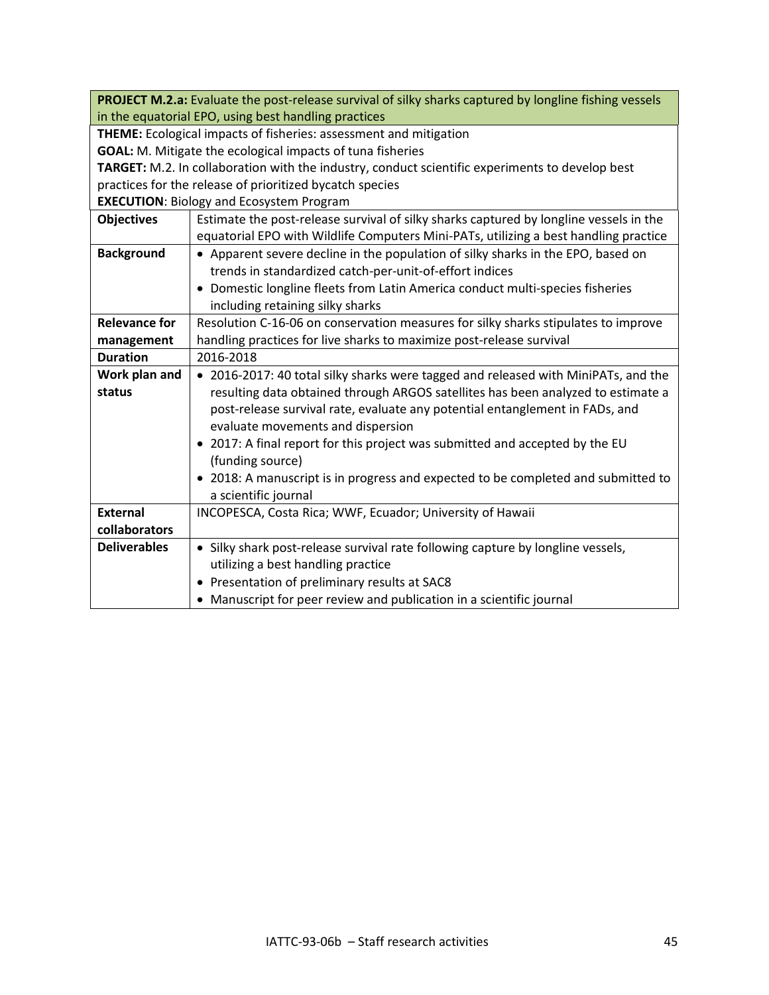|                                                                                                 | PROJECT M.2.a: Evaluate the post-release survival of silky sharks captured by longline fishing vessels |
|-------------------------------------------------------------------------------------------------|--------------------------------------------------------------------------------------------------------|
| in the equatorial EPO, using best handling practices                                            |                                                                                                        |
| THEME: Ecological impacts of fisheries: assessment and mitigation                               |                                                                                                        |
| <b>GOAL:</b> M. Mitigate the ecological impacts of tuna fisheries                               |                                                                                                        |
| TARGET: M.2. In collaboration with the industry, conduct scientific experiments to develop best |                                                                                                        |
| practices for the release of prioritized bycatch species                                        |                                                                                                        |
|                                                                                                 | <b>EXECUTION: Biology and Ecosystem Program</b>                                                        |
| <b>Objectives</b>                                                                               | Estimate the post-release survival of silky sharks captured by longline vessels in the                 |
|                                                                                                 | equatorial EPO with Wildlife Computers Mini-PATs, utilizing a best handling practice                   |
| <b>Background</b>                                                                               | • Apparent severe decline in the population of silky sharks in the EPO, based on                       |
|                                                                                                 | trends in standardized catch-per-unit-of-effort indices                                                |
|                                                                                                 | Domestic longline fleets from Latin America conduct multi-species fisheries                            |
|                                                                                                 | including retaining silky sharks                                                                       |
| <b>Relevance for</b>                                                                            | Resolution C-16-06 on conservation measures for silky sharks stipulates to improve                     |
| management                                                                                      | handling practices for live sharks to maximize post-release survival                                   |
| <b>Duration</b>                                                                                 | 2016-2018                                                                                              |
| Work plan and                                                                                   | • 2016-2017: 40 total silky sharks were tagged and released with MiniPATs, and the                     |
| status                                                                                          | resulting data obtained through ARGOS satellites has been analyzed to estimate a                       |
|                                                                                                 | post-release survival rate, evaluate any potential entanglement in FADs, and                           |
|                                                                                                 | evaluate movements and dispersion                                                                      |
|                                                                                                 | • 2017: A final report for this project was submitted and accepted by the EU                           |
|                                                                                                 | (funding source)                                                                                       |
|                                                                                                 | • 2018: A manuscript is in progress and expected to be completed and submitted to                      |
|                                                                                                 | a scientific journal                                                                                   |
| <b>External</b>                                                                                 | INCOPESCA, Costa Rica; WWF, Ecuador; University of Hawaii                                              |
| collaborators                                                                                   |                                                                                                        |
| <b>Deliverables</b>                                                                             | • Silky shark post-release survival rate following capture by longline vessels,                        |
|                                                                                                 | utilizing a best handling practice                                                                     |
|                                                                                                 | • Presentation of preliminary results at SAC8                                                          |
|                                                                                                 | • Manuscript for peer review and publication in a scientific journal                                   |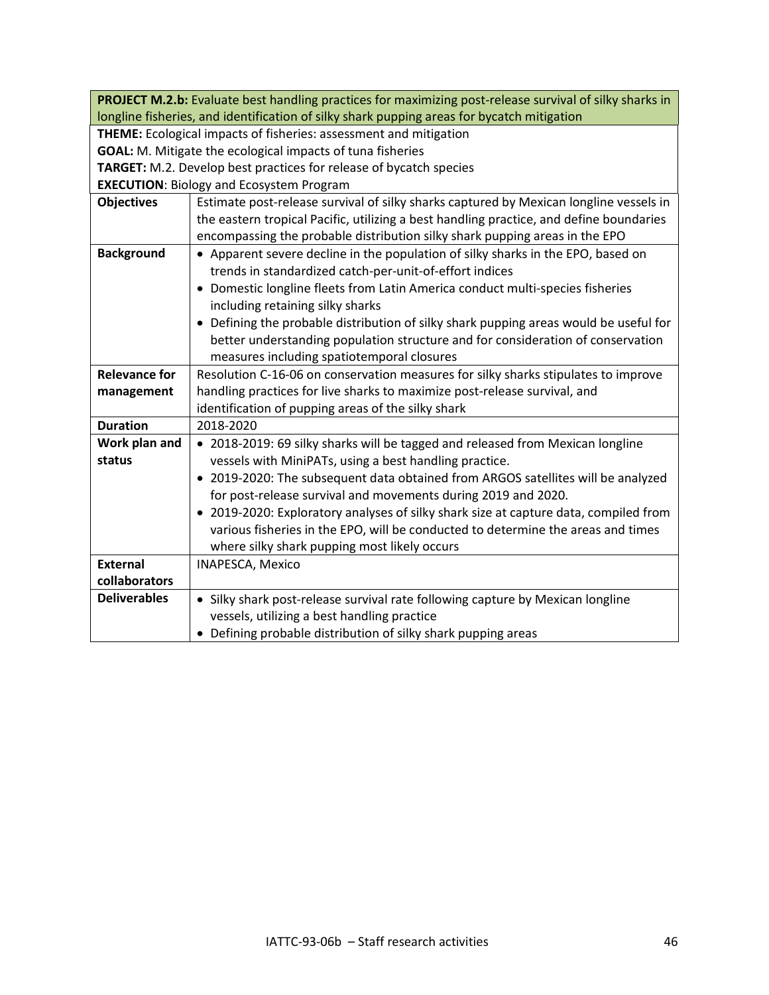|                                                                                            | PROJECT M.2.b: Evaluate best handling practices for maximizing post-release survival of silky sharks in |
|--------------------------------------------------------------------------------------------|---------------------------------------------------------------------------------------------------------|
| longline fisheries, and identification of silky shark pupping areas for bycatch mitigation |                                                                                                         |
| <b>THEME:</b> Ecological impacts of fisheries: assessment and mitigation                   |                                                                                                         |
| <b>GOAL:</b> M. Mitigate the ecological impacts of tuna fisheries                          |                                                                                                         |
| TARGET: M.2. Develop best practices for release of bycatch species                         |                                                                                                         |
| <b>EXECUTION: Biology and Ecosystem Program</b>                                            |                                                                                                         |
| <b>Objectives</b>                                                                          | Estimate post-release survival of silky sharks captured by Mexican longline vessels in                  |
|                                                                                            | the eastern tropical Pacific, utilizing a best handling practice, and define boundaries                 |
|                                                                                            | encompassing the probable distribution silky shark pupping areas in the EPO                             |
| <b>Background</b>                                                                          | • Apparent severe decline in the population of silky sharks in the EPO, based on                        |
|                                                                                            | trends in standardized catch-per-unit-of-effort indices                                                 |
|                                                                                            | Domestic longline fleets from Latin America conduct multi-species fisheries                             |
|                                                                                            | including retaining silky sharks                                                                        |
|                                                                                            | • Defining the probable distribution of silky shark pupping areas would be useful for                   |
|                                                                                            | better understanding population structure and for consideration of conservation                         |
|                                                                                            | measures including spatiotemporal closures                                                              |
| <b>Relevance for</b>                                                                       | Resolution C-16-06 on conservation measures for silky sharks stipulates to improve                      |
| management                                                                                 | handling practices for live sharks to maximize post-release survival, and                               |
|                                                                                            | identification of pupping areas of the silky shark                                                      |
| <b>Duration</b>                                                                            | 2018-2020                                                                                               |
| Work plan and                                                                              | • 2018-2019: 69 silky sharks will be tagged and released from Mexican longline                          |
| status                                                                                     | vessels with MiniPATs, using a best handling practice.                                                  |
|                                                                                            | • 2019-2020: The subsequent data obtained from ARGOS satellites will be analyzed                        |
|                                                                                            | for post-release survival and movements during 2019 and 2020.                                           |
|                                                                                            | • 2019-2020: Exploratory analyses of silky shark size at capture data, compiled from                    |
|                                                                                            | various fisheries in the EPO, will be conducted to determine the areas and times                        |
|                                                                                            | where silky shark pupping most likely occurs                                                            |
| <b>External</b>                                                                            | INAPESCA, Mexico                                                                                        |
| collaborators                                                                              |                                                                                                         |
| <b>Deliverables</b>                                                                        | • Silky shark post-release survival rate following capture by Mexican longline                          |
|                                                                                            | vessels, utilizing a best handling practice                                                             |
|                                                                                            | • Defining probable distribution of silky shark pupping areas                                           |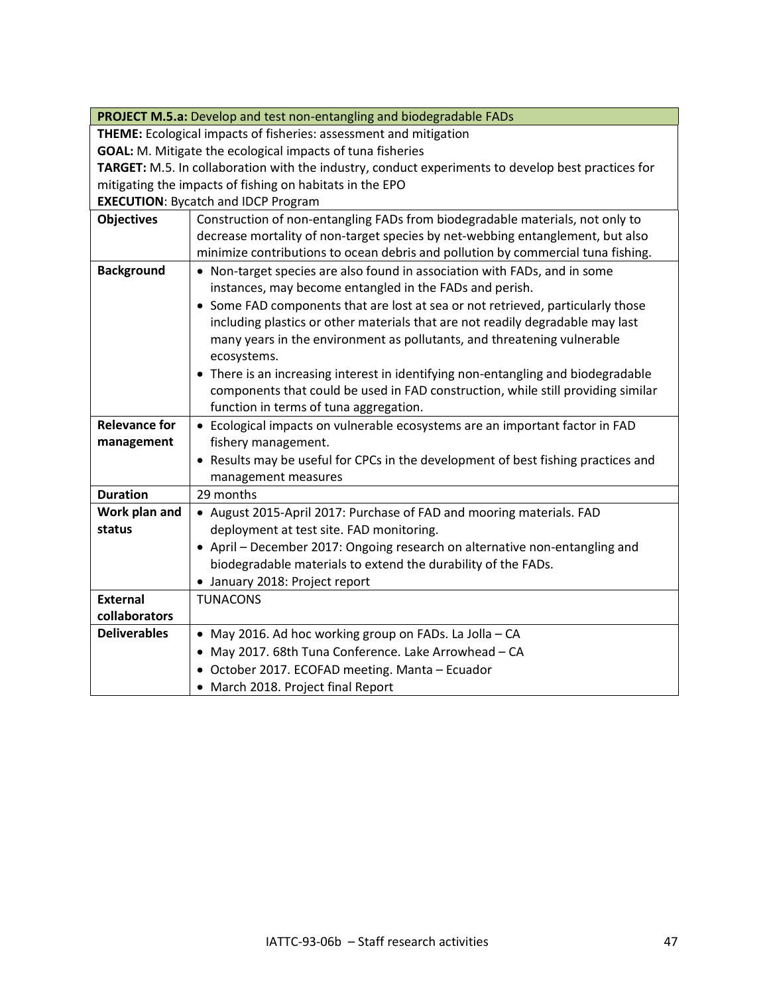|                                                                   | PROJECT M.5.a: Develop and test non-entangling and biodegradable FADs                              |
|-------------------------------------------------------------------|----------------------------------------------------------------------------------------------------|
| THEME: Ecological impacts of fisheries: assessment and mitigation |                                                                                                    |
| <b>GOAL:</b> M. Mitigate the ecological impacts of tuna fisheries |                                                                                                    |
|                                                                   | TARGET: M.5. In collaboration with the industry, conduct experiments to develop best practices for |
| mitigating the impacts of fishing on habitats in the EPO          |                                                                                                    |
| <b>EXECUTION: Bycatch and IDCP Program</b>                        |                                                                                                    |
| <b>Objectives</b>                                                 | Construction of non-entangling FADs from biodegradable materials, not only to                      |
|                                                                   | decrease mortality of non-target species by net-webbing entanglement, but also                     |
|                                                                   | minimize contributions to ocean debris and pollution by commercial tuna fishing.                   |
| <b>Background</b>                                                 | • Non-target species are also found in association with FADs, and in some                          |
|                                                                   | instances, may become entangled in the FADs and perish.                                            |
|                                                                   | • Some FAD components that are lost at sea or not retrieved, particularly those                    |
|                                                                   | including plastics or other materials that are not readily degradable may last                     |
|                                                                   | many years in the environment as pollutants, and threatening vulnerable                            |
|                                                                   | ecosystems.                                                                                        |
|                                                                   | • There is an increasing interest in identifying non-entangling and biodegradable                  |
|                                                                   | components that could be used in FAD construction, while still providing similar                   |
|                                                                   | function in terms of tuna aggregation.                                                             |
| <b>Relevance for</b>                                              | • Ecological impacts on vulnerable ecosystems are an important factor in FAD                       |
| management                                                        | fishery management.                                                                                |
|                                                                   | Results may be useful for CPCs in the development of best fishing practices and                    |
|                                                                   | management measures                                                                                |
| <b>Duration</b>                                                   | 29 months                                                                                          |
| Work plan and                                                     | • August 2015-April 2017: Purchase of FAD and mooring materials. FAD                               |
| status                                                            | deployment at test site. FAD monitoring.                                                           |
|                                                                   | • April - December 2017: Ongoing research on alternative non-entangling and                        |
|                                                                   | biodegradable materials to extend the durability of the FADs.                                      |
|                                                                   | • January 2018: Project report                                                                     |
| <b>External</b>                                                   | <b>TUNACONS</b>                                                                                    |
| collaborators                                                     |                                                                                                    |
| <b>Deliverables</b>                                               | • May 2016. Ad hoc working group on FADs. La Jolla - CA                                            |
|                                                                   | • May 2017. 68th Tuna Conference. Lake Arrowhead - CA                                              |
|                                                                   | • October 2017. ECOFAD meeting. Manta - Ecuador                                                    |
|                                                                   | • March 2018. Project final Report                                                                 |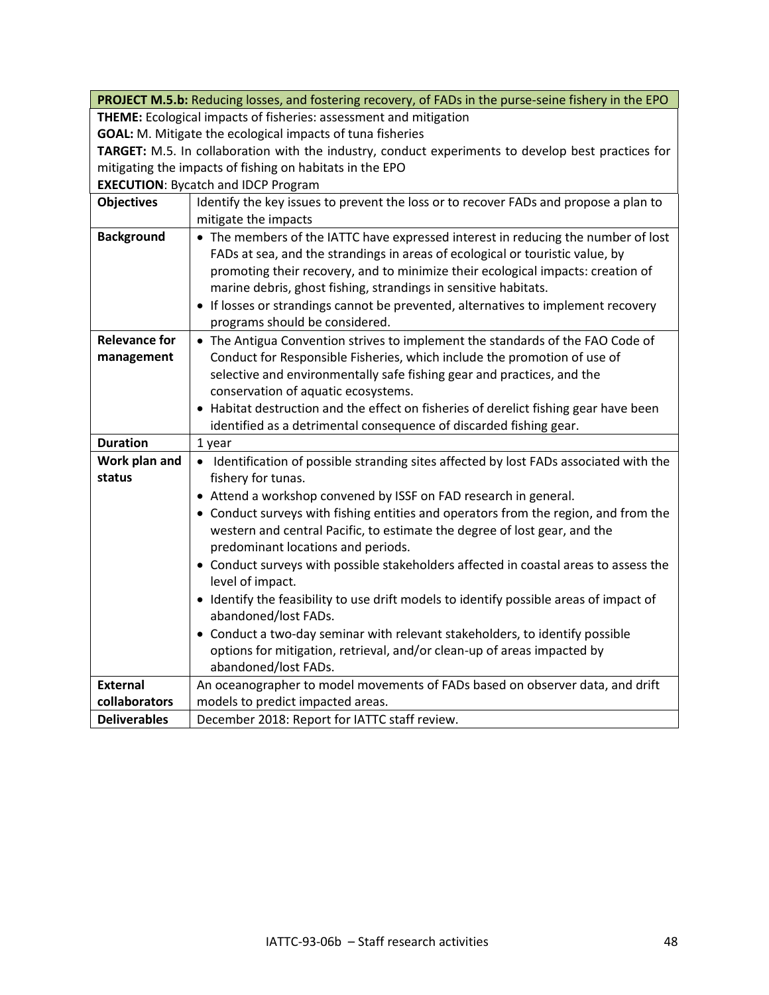|                                                                                                    | PROJECT M.5.b: Reducing losses, and fostering recovery, of FADs in the purse-seine fishery in the EPO |
|----------------------------------------------------------------------------------------------------|-------------------------------------------------------------------------------------------------------|
| THEME: Ecological impacts of fisheries: assessment and mitigation                                  |                                                                                                       |
| <b>GOAL:</b> M. Mitigate the ecological impacts of tuna fisheries                                  |                                                                                                       |
| TARGET: M.5. In collaboration with the industry, conduct experiments to develop best practices for |                                                                                                       |
| mitigating the impacts of fishing on habitats in the EPO                                           |                                                                                                       |
|                                                                                                    | <b>EXECUTION: Bycatch and IDCP Program</b>                                                            |
| <b>Objectives</b>                                                                                  | Identify the key issues to prevent the loss or to recover FADs and propose a plan to                  |
|                                                                                                    | mitigate the impacts                                                                                  |
| <b>Background</b>                                                                                  | • The members of the IATTC have expressed interest in reducing the number of lost                     |
|                                                                                                    | FADs at sea, and the strandings in areas of ecological or touristic value, by                         |
|                                                                                                    | promoting their recovery, and to minimize their ecological impacts: creation of                       |
|                                                                                                    | marine debris, ghost fishing, strandings in sensitive habitats.                                       |
|                                                                                                    | • If losses or strandings cannot be prevented, alternatives to implement recovery                     |
|                                                                                                    | programs should be considered.                                                                        |
| <b>Relevance for</b>                                                                               | • The Antigua Convention strives to implement the standards of the FAO Code of                        |
| management                                                                                         | Conduct for Responsible Fisheries, which include the promotion of use of                              |
|                                                                                                    | selective and environmentally safe fishing gear and practices, and the                                |
|                                                                                                    | conservation of aquatic ecosystems.                                                                   |
|                                                                                                    | • Habitat destruction and the effect on fisheries of derelict fishing gear have been                  |
|                                                                                                    | identified as a detrimental consequence of discarded fishing gear.                                    |
| <b>Duration</b>                                                                                    | 1 year                                                                                                |
| Work plan and                                                                                      | • Identification of possible stranding sites affected by lost FADs associated with the                |
| status                                                                                             | fishery for tunas.                                                                                    |
|                                                                                                    | • Attend a workshop convened by ISSF on FAD research in general.                                      |
|                                                                                                    | • Conduct surveys with fishing entities and operators from the region, and from the                   |
|                                                                                                    | western and central Pacific, to estimate the degree of lost gear, and the                             |
|                                                                                                    | predominant locations and periods.                                                                    |
|                                                                                                    | • Conduct surveys with possible stakeholders affected in coastal areas to assess the                  |
|                                                                                                    | level of impact.                                                                                      |
|                                                                                                    | • Identify the feasibility to use drift models to identify possible areas of impact of                |
|                                                                                                    | abandoned/lost FADs.                                                                                  |
|                                                                                                    | • Conduct a two-day seminar with relevant stakeholders, to identify possible                          |
|                                                                                                    | options for mitigation, retrieval, and/or clean-up of areas impacted by                               |
|                                                                                                    | abandoned/lost FADs.                                                                                  |
| <b>External</b>                                                                                    | An oceanographer to model movements of FADs based on observer data, and drift                         |
| collaborators                                                                                      | models to predict impacted areas.                                                                     |
| <b>Deliverables</b>                                                                                | December 2018: Report for IATTC staff review.                                                         |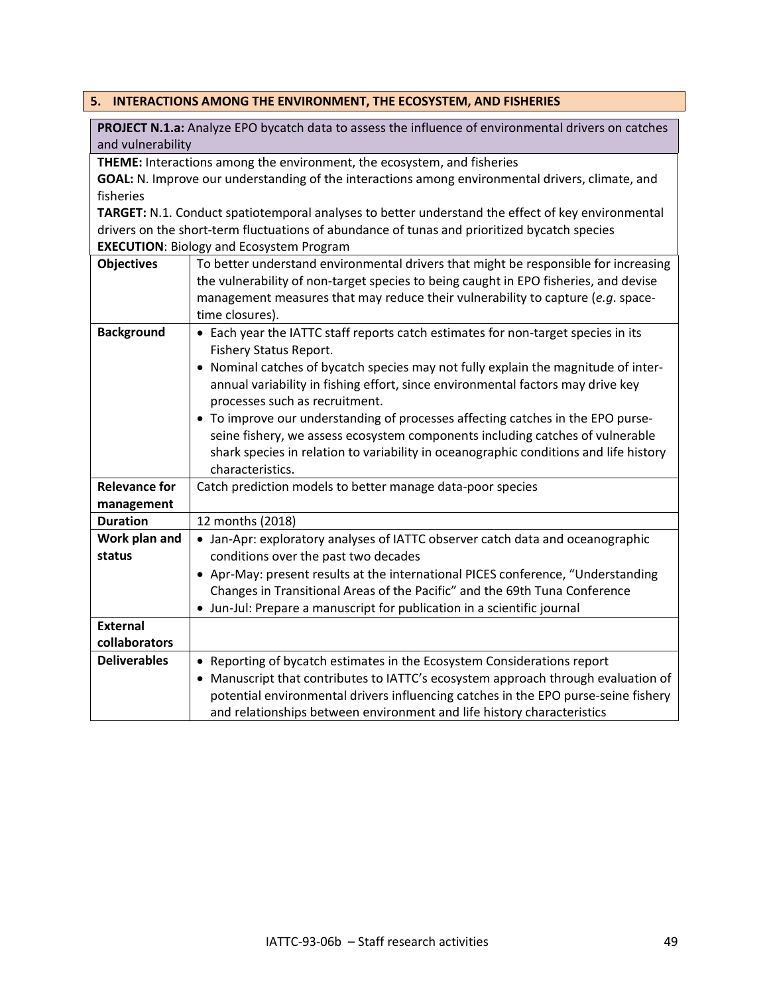## <span id="page-48-0"></span>**5. INTERACTIONS AMONG THE ENVIRONMENT, THE ECOSYSTEM, AND FISHERIES**

**PROJECT N.1.a:** Analyze EPO bycatch data to assess the influence of environmental drivers on catches and vulnerability

**THEME:** Interactions among the environment, the ecosystem, and fisheries

**GOAL:** N. Improve our understanding of the interactions among environmental drivers, climate, and fisheries

**TARGET:** N.1. Conduct spatiotemporal analyses to better understand the effect of key environmental drivers on the short-term fluctuations of abundance of tunas and prioritized bycatch species **EXECUTION**: Biology and Ecosystem Program

| <b>Objectives</b>    | To better understand environmental drivers that might be responsible for increasing   |
|----------------------|---------------------------------------------------------------------------------------|
|                      | the vulnerability of non-target species to being caught in EPO fisheries, and devise  |
|                      | management measures that may reduce their vulnerability to capture (e.g. space-       |
|                      | time closures).                                                                       |
| <b>Background</b>    | • Each year the IATTC staff reports catch estimates for non-target species in its     |
|                      | <b>Fishery Status Report.</b>                                                         |
|                      | • Nominal catches of bycatch species may not fully explain the magnitude of inter-    |
|                      | annual variability in fishing effort, since environmental factors may drive key       |
|                      | processes such as recruitment.                                                        |
|                      | • To improve our understanding of processes affecting catches in the EPO purse-       |
|                      | seine fishery, we assess ecosystem components including catches of vulnerable         |
|                      | shark species in relation to variability in oceanographic conditions and life history |
|                      | characteristics.                                                                      |
| <b>Relevance for</b> | Catch prediction models to better manage data-poor species                            |
| management           |                                                                                       |
| <b>Duration</b>      | 12 months (2018)                                                                      |
| Work plan and        | • Jan-Apr: exploratory analyses of IATTC observer catch data and oceanographic        |
| status               | conditions over the past two decades                                                  |
|                      | • Apr-May: present results at the international PICES conference, "Understanding      |
|                      | Changes in Transitional Areas of the Pacific" and the 69th Tuna Conference            |
|                      | • Jun-Jul: Prepare a manuscript for publication in a scientific journal               |
| <b>External</b>      |                                                                                       |
| collaborators        |                                                                                       |
| <b>Deliverables</b>  | • Reporting of bycatch estimates in the Ecosystem Considerations report               |
|                      | • Manuscript that contributes to IATTC's ecosystem approach through evaluation of     |
|                      | potential environmental drivers influencing catches in the EPO purse-seine fishery    |
|                      | and relationships between environment and life history characteristics                |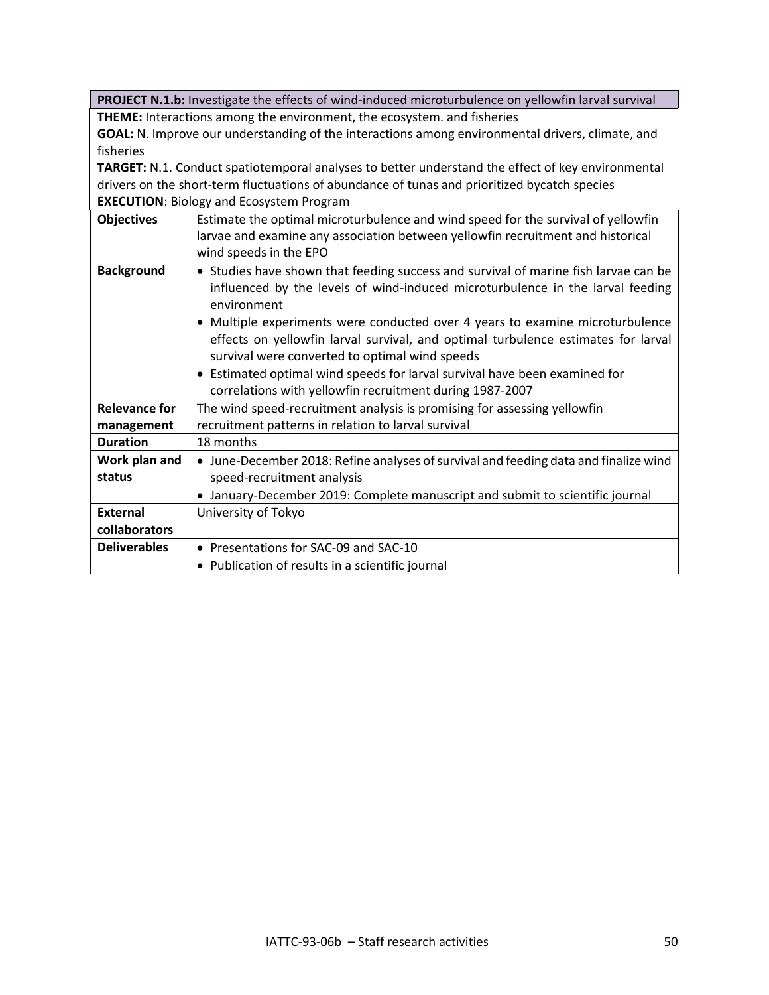**PROJECT N.1.b:** Investigate the effects of wind-induced microturbulence on yellowfin larval survival **THEME:** Interactions among the environment, the ecosystem. and fisheries

**GOAL:** N. Improve our understanding of the interactions among environmental drivers, climate, and fisheries

**TARGET:** N.1. Conduct spatiotemporal analyses to better understand the effect of key environmental drivers on the short-term fluctuations of abundance of tunas and prioritized bycatch species **EXECUTION**: Biology and Ecosystem Program

| <b>Objectives</b>    | Estimate the optimal microturbulence and wind speed for the survival of yellowfin<br>larvae and examine any association between yellowfin recruitment and historical<br>wind speeds in the EPO                                                                                                                                                                                                               |
|----------------------|--------------------------------------------------------------------------------------------------------------------------------------------------------------------------------------------------------------------------------------------------------------------------------------------------------------------------------------------------------------------------------------------------------------|
| <b>Background</b>    | • Studies have shown that feeding success and survival of marine fish larvae can be<br>influenced by the levels of wind-induced microturbulence in the larval feeding<br>environment<br>• Multiple experiments were conducted over 4 years to examine microturbulence<br>effects on yellowfin larval survival, and optimal turbulence estimates for larval<br>survival were converted to optimal wind speeds |
|                      | • Estimated optimal wind speeds for larval survival have been examined for<br>correlations with yellowfin recruitment during 1987-2007                                                                                                                                                                                                                                                                       |
| <b>Relevance for</b> | The wind speed-recruitment analysis is promising for assessing yellowfin                                                                                                                                                                                                                                                                                                                                     |
| management           | recruitment patterns in relation to larval survival                                                                                                                                                                                                                                                                                                                                                          |
| <b>Duration</b>      | 18 months                                                                                                                                                                                                                                                                                                                                                                                                    |
| Work plan and        | • June-December 2018: Refine analyses of survival and feeding data and finalize wind                                                                                                                                                                                                                                                                                                                         |
| status               | speed-recruitment analysis                                                                                                                                                                                                                                                                                                                                                                                   |
|                      | • January-December 2019: Complete manuscript and submit to scientific journal                                                                                                                                                                                                                                                                                                                                |
| <b>External</b>      | University of Tokyo                                                                                                                                                                                                                                                                                                                                                                                          |
| collaborators        |                                                                                                                                                                                                                                                                                                                                                                                                              |
| <b>Deliverables</b>  | • Presentations for SAC-09 and SAC-10                                                                                                                                                                                                                                                                                                                                                                        |
|                      | • Publication of results in a scientific journal                                                                                                                                                                                                                                                                                                                                                             |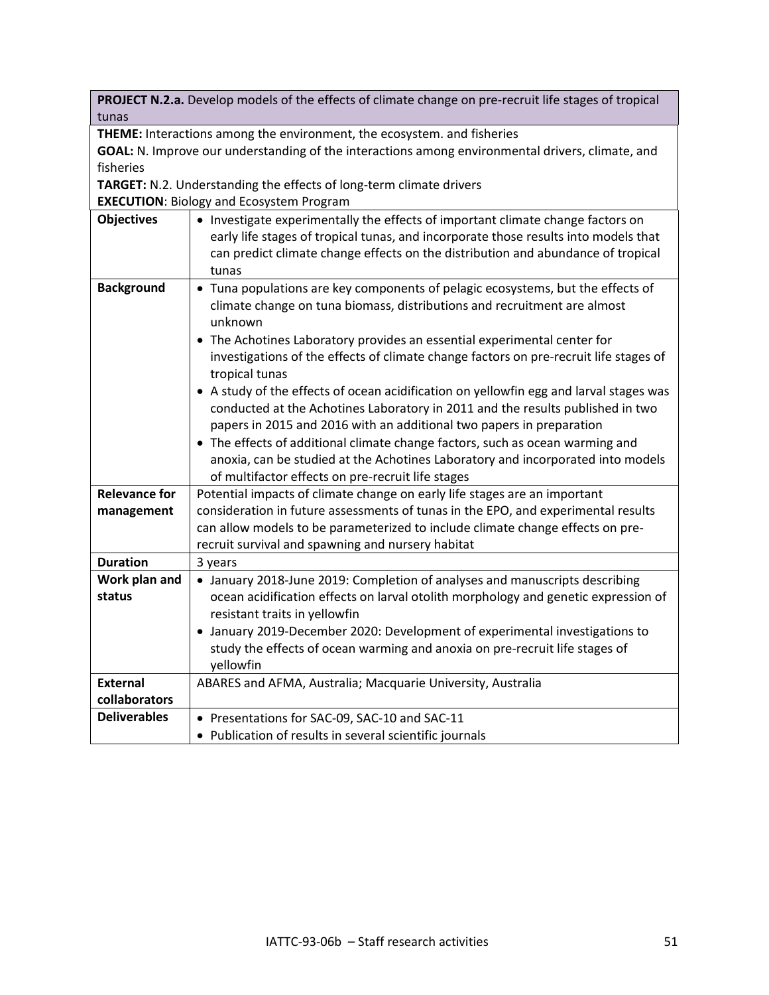**PROJECT N.2.a.** Develop models of the effects of climate change on pre-recruit life stages of tropical tunas

**THEME:** Interactions among the environment, the ecosystem. and fisheries

**GOAL:** N. Improve our understanding of the interactions among environmental drivers, climate, and fisheries

**TARGET:** N.2. Understanding the effects of long-term climate drivers

**EXECUTION**: Biology and Ecosystem Program

| <b>Objectives</b>       | • Investigate experimentally the effects of important climate change factors on<br>early life stages of tropical tunas, and incorporate those results into models that<br>can predict climate change effects on the distribution and abundance of tropical<br>tunas                                                                                                                                                                                                                                                                                                                                                                                                                                                                                                                                                                        |
|-------------------------|--------------------------------------------------------------------------------------------------------------------------------------------------------------------------------------------------------------------------------------------------------------------------------------------------------------------------------------------------------------------------------------------------------------------------------------------------------------------------------------------------------------------------------------------------------------------------------------------------------------------------------------------------------------------------------------------------------------------------------------------------------------------------------------------------------------------------------------------|
| <b>Background</b>       | • Tuna populations are key components of pelagic ecosystems, but the effects of<br>climate change on tuna biomass, distributions and recruitment are almost<br>unknown<br>• The Achotines Laboratory provides an essential experimental center for<br>investigations of the effects of climate change factors on pre-recruit life stages of<br>tropical tunas<br>• A study of the effects of ocean acidification on yellowfin egg and larval stages was<br>conducted at the Achotines Laboratory in 2011 and the results published in two<br>papers in 2015 and 2016 with an additional two papers in preparation<br>• The effects of additional climate change factors, such as ocean warming and<br>anoxia, can be studied at the Achotines Laboratory and incorporated into models<br>of multifactor effects on pre-recruit life stages |
| <b>Relevance for</b>    | Potential impacts of climate change on early life stages are an important                                                                                                                                                                                                                                                                                                                                                                                                                                                                                                                                                                                                                                                                                                                                                                  |
| management              | consideration in future assessments of tunas in the EPO, and experimental results                                                                                                                                                                                                                                                                                                                                                                                                                                                                                                                                                                                                                                                                                                                                                          |
|                         | can allow models to be parameterized to include climate change effects on pre-<br>recruit survival and spawning and nursery habitat                                                                                                                                                                                                                                                                                                                                                                                                                                                                                                                                                                                                                                                                                                        |
| <b>Duration</b>         | 3 years                                                                                                                                                                                                                                                                                                                                                                                                                                                                                                                                                                                                                                                                                                                                                                                                                                    |
| Work plan and<br>status | • January 2018-June 2019: Completion of analyses and manuscripts describing<br>ocean acidification effects on larval otolith morphology and genetic expression of<br>resistant traits in yellowfin<br>• January 2019-December 2020: Development of experimental investigations to<br>study the effects of ocean warming and anoxia on pre-recruit life stages of                                                                                                                                                                                                                                                                                                                                                                                                                                                                           |
|                         | yellowfin                                                                                                                                                                                                                                                                                                                                                                                                                                                                                                                                                                                                                                                                                                                                                                                                                                  |
| <b>External</b>         | ABARES and AFMA, Australia; Macquarie University, Australia                                                                                                                                                                                                                                                                                                                                                                                                                                                                                                                                                                                                                                                                                                                                                                                |
| collaborators           |                                                                                                                                                                                                                                                                                                                                                                                                                                                                                                                                                                                                                                                                                                                                                                                                                                            |
| <b>Deliverables</b>     | • Presentations for SAC-09, SAC-10 and SAC-11                                                                                                                                                                                                                                                                                                                                                                                                                                                                                                                                                                                                                                                                                                                                                                                              |
|                         | • Publication of results in several scientific journals                                                                                                                                                                                                                                                                                                                                                                                                                                                                                                                                                                                                                                                                                                                                                                                    |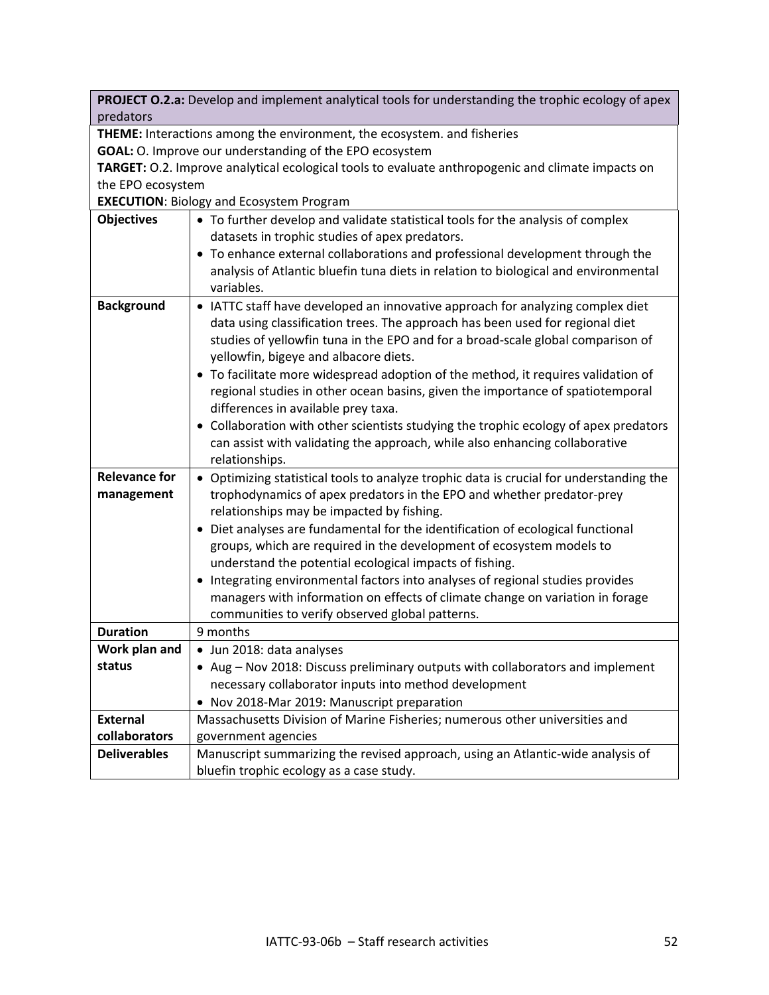|                      | PROJECT O.2.a: Develop and implement analytical tools for understanding the trophic ecology of apex |
|----------------------|-----------------------------------------------------------------------------------------------------|
| predators            |                                                                                                     |
|                      | THEME: Interactions among the environment, the ecosystem. and fisheries                             |
|                      | GOAL: O. Improve our understanding of the EPO ecosystem                                             |
|                      | TARGET: O.2. Improve analytical ecological tools to evaluate anthropogenic and climate impacts on   |
| the EPO ecosystem    |                                                                                                     |
|                      | <b>EXECUTION: Biology and Ecosystem Program</b>                                                     |
| <b>Objectives</b>    | • To further develop and validate statistical tools for the analysis of complex                     |
|                      | datasets in trophic studies of apex predators.                                                      |
|                      | • To enhance external collaborations and professional development through the                       |
|                      | analysis of Atlantic bluefin tuna diets in relation to biological and environmental                 |
|                      | variables.                                                                                          |
| <b>Background</b>    | • IATTC staff have developed an innovative approach for analyzing complex diet                      |
|                      | data using classification trees. The approach has been used for regional diet                       |
|                      | studies of yellowfin tuna in the EPO and for a broad-scale global comparison of                     |
|                      | yellowfin, bigeye and albacore diets.                                                               |
|                      | • To facilitate more widespread adoption of the method, it requires validation of                   |
|                      | regional studies in other ocean basins, given the importance of spatiotemporal                      |
|                      | differences in available prey taxa.                                                                 |
|                      | • Collaboration with other scientists studying the trophic ecology of apex predators                |
|                      | can assist with validating the approach, while also enhancing collaborative                         |
|                      | relationships.                                                                                      |
| <b>Relevance for</b> | • Optimizing statistical tools to analyze trophic data is crucial for understanding the             |
| management           | trophodynamics of apex predators in the EPO and whether predator-prey                               |
|                      | relationships may be impacted by fishing.                                                           |
|                      | • Diet analyses are fundamental for the identification of ecological functional                     |
|                      | groups, which are required in the development of ecosystem models to                                |
|                      | understand the potential ecological impacts of fishing.                                             |
|                      | • Integrating environmental factors into analyses of regional studies provides                      |
|                      | managers with information on effects of climate change on variation in forage                       |
|                      | communities to verify observed global patterns.                                                     |
| <b>Duration</b>      | 9 months                                                                                            |
| Work plan and        | Jun 2018: data analyses                                                                             |
| status               | • Aug - Nov 2018: Discuss preliminary outputs with collaborators and implement                      |
|                      | necessary collaborator inputs into method development                                               |
|                      | Nov 2018-Mar 2019: Manuscript preparation                                                           |
| <b>External</b>      | Massachusetts Division of Marine Fisheries; numerous other universities and                         |
| collaborators        | government agencies                                                                                 |
| <b>Deliverables</b>  | Manuscript summarizing the revised approach, using an Atlantic-wide analysis of                     |
|                      |                                                                                                     |
|                      | bluefin trophic ecology as a case study.                                                            |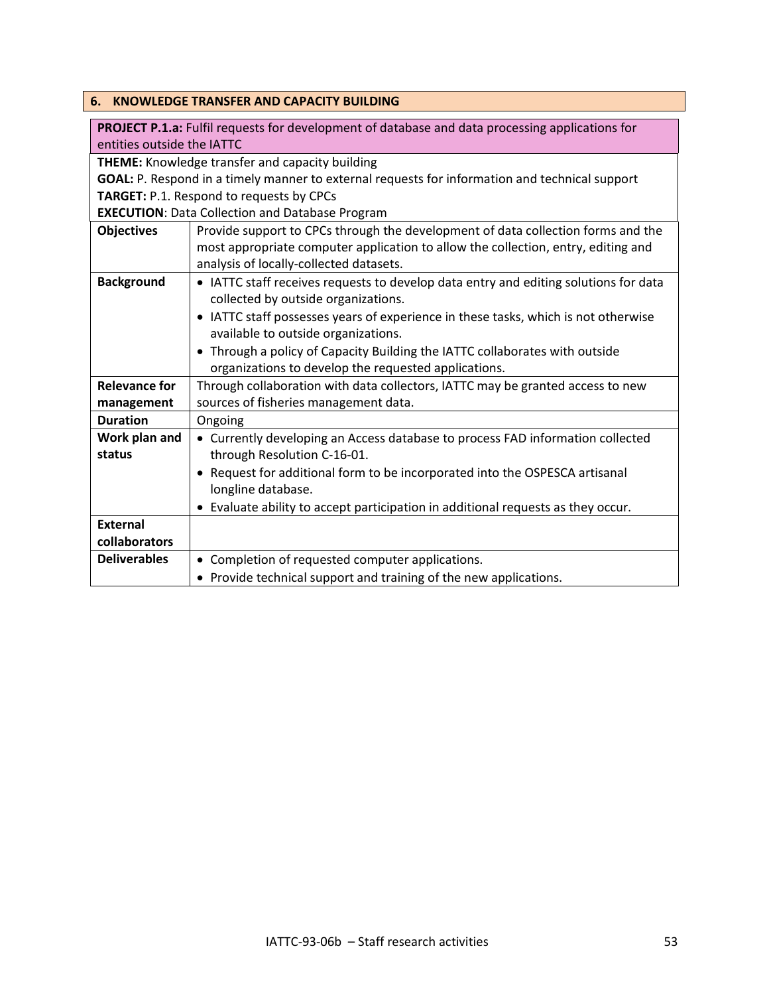<span id="page-52-0"></span>

| 6.                                                                                             | <b>KNOWLEDGE TRANSFER AND CAPACITY BUILDING</b>                                                        |  |
|------------------------------------------------------------------------------------------------|--------------------------------------------------------------------------------------------------------|--|
|                                                                                                | <b>PROJECT P.1.a:</b> Fulfil requests for development of database and data processing applications for |  |
| entities outside the IATTC                                                                     |                                                                                                        |  |
|                                                                                                | <b>THEME:</b> Knowledge transfer and capacity building                                                 |  |
| GOAL: P. Respond in a timely manner to external requests for information and technical support |                                                                                                        |  |
|                                                                                                | TARGET: P.1. Respond to requests by CPCs                                                               |  |
|                                                                                                | <b>EXECUTION: Data Collection and Database Program</b>                                                 |  |
| <b>Objectives</b>                                                                              | Provide support to CPCs through the development of data collection forms and the                       |  |
|                                                                                                | most appropriate computer application to allow the collection, entry, editing and                      |  |
|                                                                                                | analysis of locally-collected datasets.                                                                |  |
| <b>Background</b>                                                                              | • IATTC staff receives requests to develop data entry and editing solutions for data                   |  |
|                                                                                                | collected by outside organizations.                                                                    |  |
|                                                                                                | • IATTC staff possesses years of experience in these tasks, which is not otherwise                     |  |
|                                                                                                | available to outside organizations.                                                                    |  |
|                                                                                                | • Through a policy of Capacity Building the IATTC collaborates with outside                            |  |
|                                                                                                | organizations to develop the requested applications.                                                   |  |
| <b>Relevance for</b>                                                                           | Through collaboration with data collectors, IATTC may be granted access to new                         |  |
| management                                                                                     | sources of fisheries management data.                                                                  |  |
| <b>Duration</b>                                                                                | Ongoing                                                                                                |  |
| Work plan and                                                                                  | • Currently developing an Access database to process FAD information collected                         |  |
| status                                                                                         | through Resolution C-16-01.                                                                            |  |
|                                                                                                | • Request for additional form to be incorporated into the OSPESCA artisanal                            |  |
|                                                                                                | longline database.                                                                                     |  |
|                                                                                                | • Evaluate ability to accept participation in additional requests as they occur.                       |  |
| <b>External</b>                                                                                |                                                                                                        |  |
| collaborators                                                                                  |                                                                                                        |  |
| <b>Deliverables</b>                                                                            | • Completion of requested computer applications.                                                       |  |
|                                                                                                | • Provide technical support and training of the new applications.                                      |  |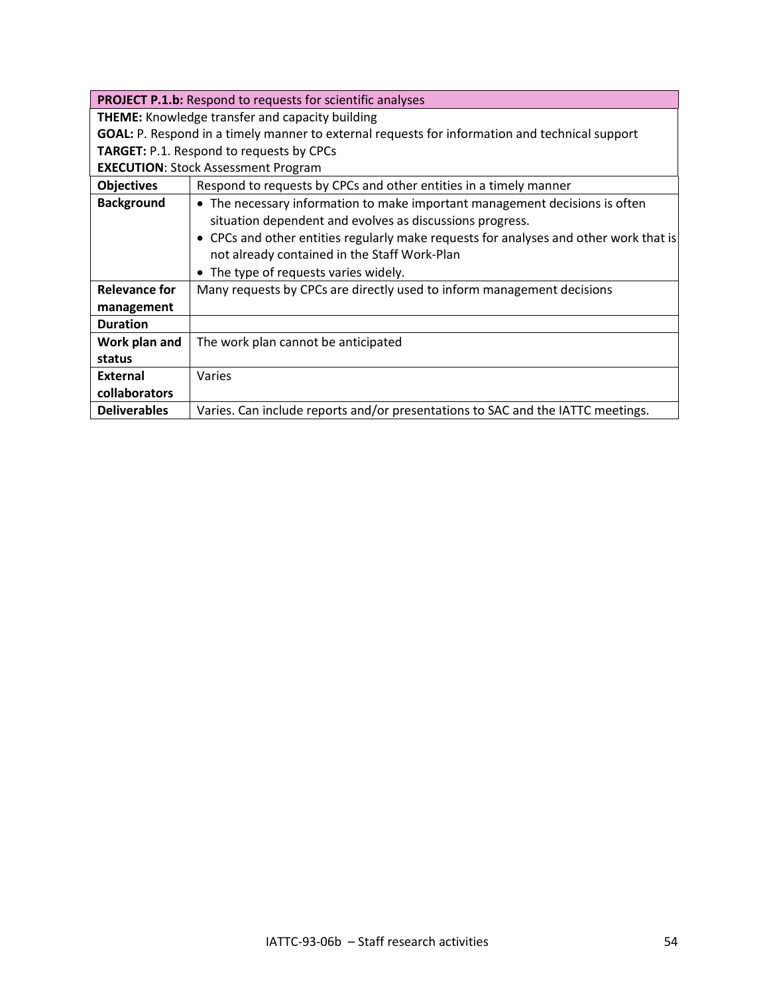| <b>PROJECT P.1.b:</b> Respond to requests for scientific analyses                                     |                                                                                       |
|-------------------------------------------------------------------------------------------------------|---------------------------------------------------------------------------------------|
| <b>THEME:</b> Knowledge transfer and capacity building                                                |                                                                                       |
| <b>GOAL:</b> P. Respond in a timely manner to external requests for information and technical support |                                                                                       |
| <b>TARGET:</b> P.1. Respond to requests by CPCs                                                       |                                                                                       |
| <b>EXECUTION: Stock Assessment Program</b>                                                            |                                                                                       |
| <b>Objectives</b>                                                                                     | Respond to requests by CPCs and other entities in a timely manner                     |
| <b>Background</b>                                                                                     | • The necessary information to make important management decisions is often           |
|                                                                                                       | situation dependent and evolves as discussions progress.                              |
|                                                                                                       | • CPCs and other entities regularly make requests for analyses and other work that is |
|                                                                                                       | not already contained in the Staff Work-Plan                                          |
|                                                                                                       | The type of requests varies widely.                                                   |
| <b>Relevance for</b>                                                                                  | Many requests by CPCs are directly used to inform management decisions                |
| management                                                                                            |                                                                                       |
| <b>Duration</b>                                                                                       |                                                                                       |
| Work plan and                                                                                         | The work plan cannot be anticipated                                                   |
| status                                                                                                |                                                                                       |
| External                                                                                              | Varies                                                                                |
| collaborators                                                                                         |                                                                                       |
| <b>Deliverables</b>                                                                                   | Varies. Can include reports and/or presentations to SAC and the IATTC meetings.       |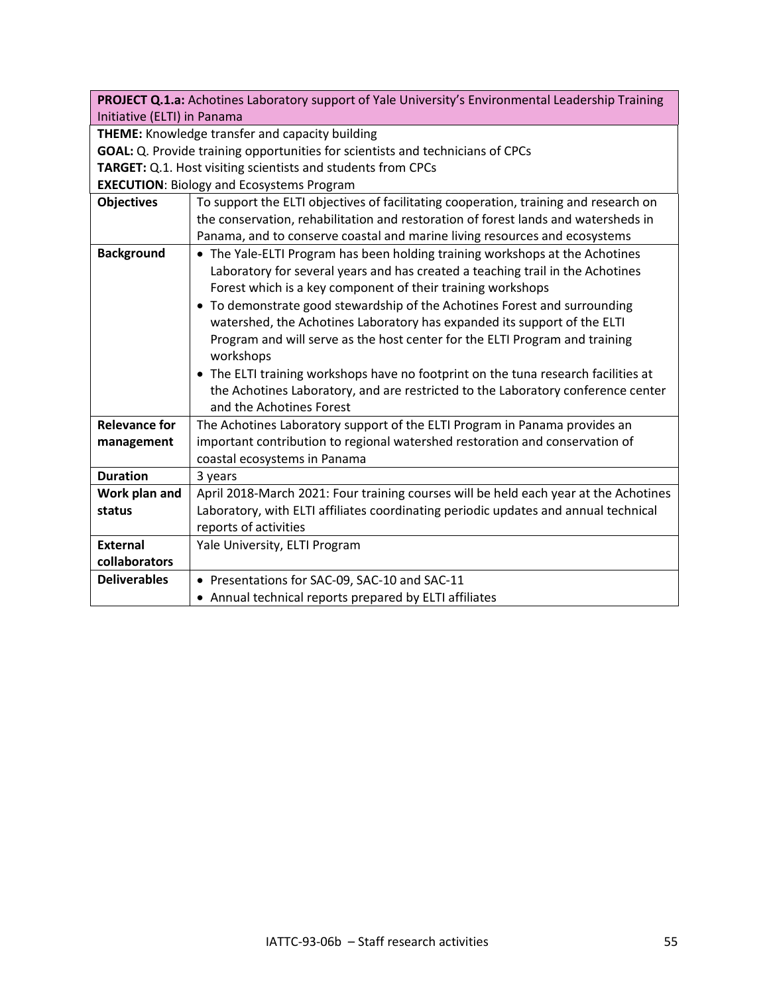|                                                                                | PROJECT Q.1.a: Achotines Laboratory support of Yale University's Environmental Leadership Training |  |
|--------------------------------------------------------------------------------|----------------------------------------------------------------------------------------------------|--|
| Initiative (ELTI) in Panama                                                    |                                                                                                    |  |
| THEME: Knowledge transfer and capacity building                                |                                                                                                    |  |
| GOAL: Q. Provide training opportunities for scientists and technicians of CPCs |                                                                                                    |  |
| TARGET: Q.1. Host visiting scientists and students from CPCs                   |                                                                                                    |  |
|                                                                                | <b>EXECUTION: Biology and Ecosystems Program</b>                                                   |  |
| <b>Objectives</b>                                                              | To support the ELTI objectives of facilitating cooperation, training and research on               |  |
|                                                                                | the conservation, rehabilitation and restoration of forest lands and watersheds in                 |  |
|                                                                                | Panama, and to conserve coastal and marine living resources and ecosystems                         |  |
| <b>Background</b>                                                              | • The Yale-ELTI Program has been holding training workshops at the Achotines                       |  |
|                                                                                | Laboratory for several years and has created a teaching trail in the Achotines                     |  |
|                                                                                | Forest which is a key component of their training workshops                                        |  |
|                                                                                | • To demonstrate good stewardship of the Achotines Forest and surrounding                          |  |
|                                                                                | watershed, the Achotines Laboratory has expanded its support of the ELTI                           |  |
|                                                                                | Program and will serve as the host center for the ELTI Program and training                        |  |
|                                                                                | workshops                                                                                          |  |
|                                                                                | • The ELTI training workshops have no footprint on the tuna research facilities at                 |  |
|                                                                                | the Achotines Laboratory, and are restricted to the Laboratory conference center                   |  |
|                                                                                | and the Achotines Forest                                                                           |  |
| <b>Relevance for</b>                                                           | The Achotines Laboratory support of the ELTI Program in Panama provides an                         |  |
| management                                                                     | important contribution to regional watershed restoration and conservation of                       |  |
|                                                                                | coastal ecosystems in Panama                                                                       |  |
| <b>Duration</b>                                                                | 3 years                                                                                            |  |
| Work plan and                                                                  | April 2018-March 2021: Four training courses will be held each year at the Achotines               |  |
| status                                                                         | Laboratory, with ELTI affiliates coordinating periodic updates and annual technical                |  |
|                                                                                | reports of activities                                                                              |  |
| <b>External</b>                                                                | Yale University, ELTI Program                                                                      |  |
| collaborators                                                                  |                                                                                                    |  |
| <b>Deliverables</b>                                                            | • Presentations for SAC-09, SAC-10 and SAC-11                                                      |  |
|                                                                                | • Annual technical reports prepared by ELTI affiliates                                             |  |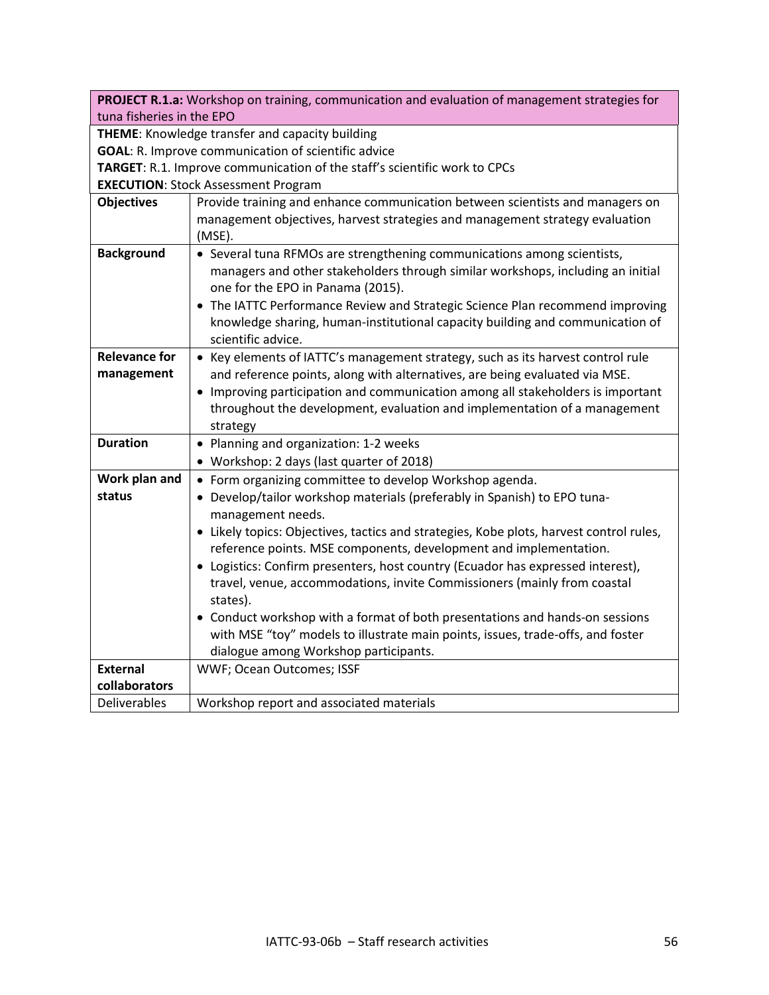| PROJECT R.1.a: Workshop on training, communication and evaluation of management strategies for                          |                                                                                                                                                                          |
|-------------------------------------------------------------------------------------------------------------------------|--------------------------------------------------------------------------------------------------------------------------------------------------------------------------|
| tuna fisheries in the EPO<br>THEME: Knowledge transfer and capacity building                                            |                                                                                                                                                                          |
|                                                                                                                         |                                                                                                                                                                          |
| <b>GOAL:</b> R. Improve communication of scientific advice                                                              |                                                                                                                                                                          |
| TARGET: R.1. Improve communication of the staff's scientific work to CPCs<br><b>EXECUTION: Stock Assessment Program</b> |                                                                                                                                                                          |
|                                                                                                                         |                                                                                                                                                                          |
| <b>Objectives</b>                                                                                                       | Provide training and enhance communication between scientists and managers on<br>management objectives, harvest strategies and management strategy evaluation<br>(MSE).  |
| <b>Background</b>                                                                                                       | • Several tuna RFMOs are strengthening communications among scientists,                                                                                                  |
|                                                                                                                         | managers and other stakeholders through similar workshops, including an initial<br>one for the EPO in Panama (2015).                                                     |
|                                                                                                                         | • The IATTC Performance Review and Strategic Science Plan recommend improving<br>knowledge sharing, human-institutional capacity building and communication of           |
|                                                                                                                         | scientific advice.                                                                                                                                                       |
| <b>Relevance for</b>                                                                                                    | • Key elements of IATTC's management strategy, such as its harvest control rule                                                                                          |
| management                                                                                                              | and reference points, along with alternatives, are being evaluated via MSE.                                                                                              |
|                                                                                                                         | • Improving participation and communication among all stakeholders is important<br>throughout the development, evaluation and implementation of a management<br>strategy |
| <b>Duration</b>                                                                                                         | • Planning and organization: 1-2 weeks                                                                                                                                   |
|                                                                                                                         | • Workshop: 2 days (last quarter of 2018)                                                                                                                                |
| Work plan and                                                                                                           | • Form organizing committee to develop Workshop agenda.                                                                                                                  |
| status                                                                                                                  | • Develop/tailor workshop materials (preferably in Spanish) to EPO tuna-<br>management needs.                                                                            |
|                                                                                                                         | • Likely topics: Objectives, tactics and strategies, Kobe plots, harvest control rules,<br>reference points. MSE components, development and implementation.             |
|                                                                                                                         | • Logistics: Confirm presenters, host country (Ecuador has expressed interest),                                                                                          |
|                                                                                                                         | travel, venue, accommodations, invite Commissioners (mainly from coastal<br>states).                                                                                     |
|                                                                                                                         | • Conduct workshop with a format of both presentations and hands-on sessions                                                                                             |
|                                                                                                                         | with MSE "toy" models to illustrate main points, issues, trade-offs, and foster                                                                                          |
|                                                                                                                         | dialogue among Workshop participants.                                                                                                                                    |
| <b>External</b>                                                                                                         | WWF; Ocean Outcomes; ISSF                                                                                                                                                |
| collaborators                                                                                                           |                                                                                                                                                                          |
| <b>Deliverables</b>                                                                                                     | Workshop report and associated materials                                                                                                                                 |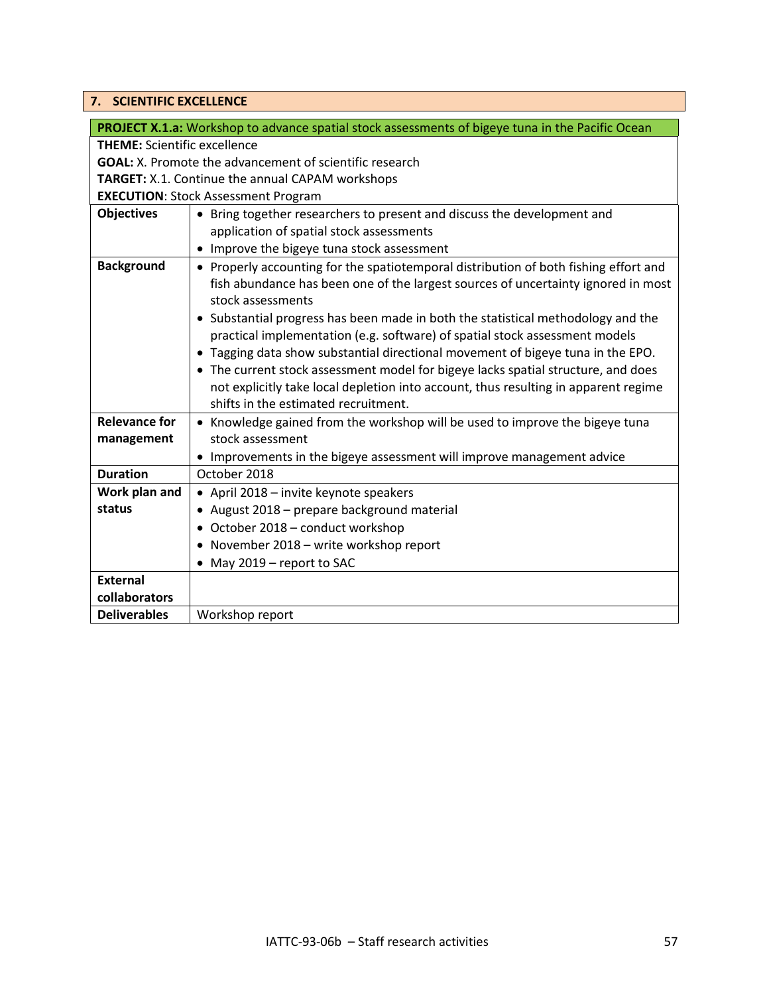# <span id="page-56-0"></span>**7. SCIENTIFIC EXCELLENCE**

|                                                                | <b>PROJECT X.1.a:</b> Workshop to advance spatial stock assessments of bigeye tuna in the Pacific Ocean                                                                                                          |
|----------------------------------------------------------------|------------------------------------------------------------------------------------------------------------------------------------------------------------------------------------------------------------------|
| <b>THEME:</b> Scientific excellence                            |                                                                                                                                                                                                                  |
| <b>GOAL:</b> X. Promote the advancement of scientific research |                                                                                                                                                                                                                  |
| <b>TARGET:</b> X.1. Continue the annual CAPAM workshops        |                                                                                                                                                                                                                  |
|                                                                | <b>EXECUTION: Stock Assessment Program</b>                                                                                                                                                                       |
| <b>Objectives</b>                                              | • Bring together researchers to present and discuss the development and                                                                                                                                          |
|                                                                | application of spatial stock assessments                                                                                                                                                                         |
|                                                                | • Improve the bigeye tuna stock assessment                                                                                                                                                                       |
| <b>Background</b>                                              | • Properly accounting for the spatiotemporal distribution of both fishing effort and<br>fish abundance has been one of the largest sources of uncertainty ignored in most<br>stock assessments                   |
|                                                                | • Substantial progress has been made in both the statistical methodology and the<br>practical implementation (e.g. software) of spatial stock assessment models                                                  |
|                                                                | . Tagging data show substantial directional movement of bigeye tuna in the EPO.                                                                                                                                  |
|                                                                | • The current stock assessment model for bigeye lacks spatial structure, and does<br>not explicitly take local depletion into account, thus resulting in apparent regime<br>shifts in the estimated recruitment. |
| <b>Relevance for</b>                                           | • Knowledge gained from the workshop will be used to improve the bigeye tuna                                                                                                                                     |
| management                                                     | stock assessment                                                                                                                                                                                                 |
|                                                                | • Improvements in the bigeye assessment will improve management advice                                                                                                                                           |
| <b>Duration</b>                                                | October 2018                                                                                                                                                                                                     |
| Work plan and                                                  | • April 2018 - invite keynote speakers                                                                                                                                                                           |
| status                                                         | • August 2018 - prepare background material                                                                                                                                                                      |
|                                                                | • October 2018 - conduct workshop                                                                                                                                                                                |
|                                                                | • November 2018 - write workshop report                                                                                                                                                                          |
|                                                                | • May 2019 - report to SAC                                                                                                                                                                                       |
| <b>External</b>                                                |                                                                                                                                                                                                                  |
| collaborators                                                  |                                                                                                                                                                                                                  |
| <b>Deliverables</b>                                            | Workshop report                                                                                                                                                                                                  |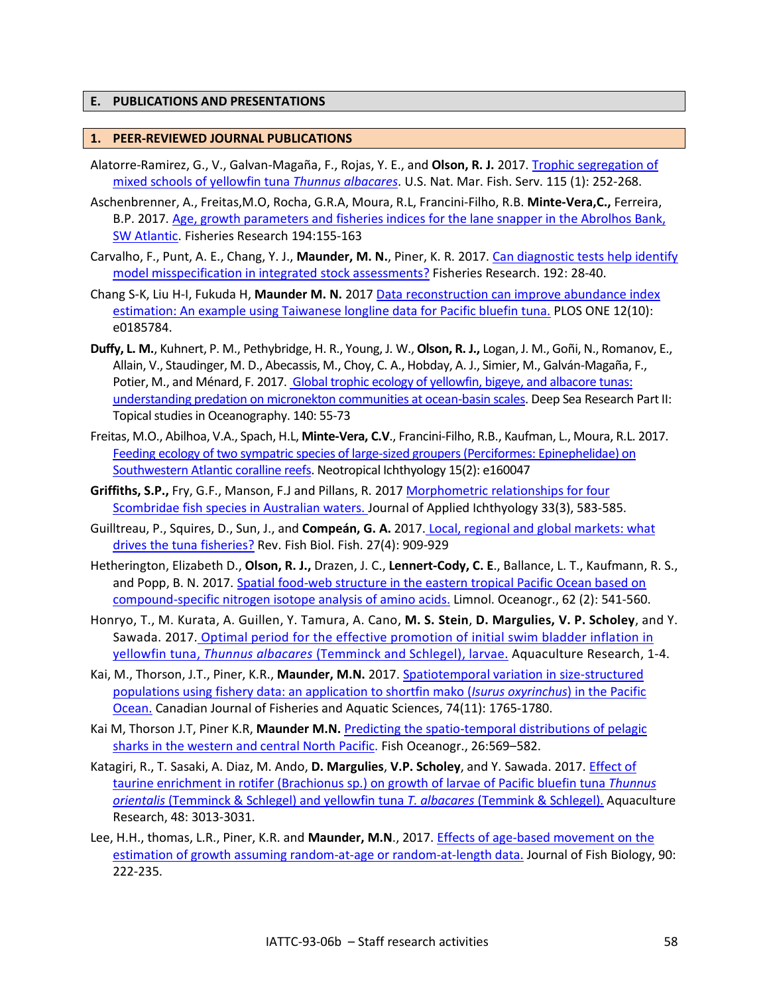#### <span id="page-57-0"></span>**E. PUBLICATIONS AND PRESENTATIONS**

#### **1. PEER-REVIEWED JOURNAL PUBLICATIONS**

- Alatorre-Ramirez, G., V., Galvan-Magaña, F., Rojas, Y. E., and **Olson, R. J.** 2017. [Trophic segregation of](https://www.st.nmfs.noaa.gov/spo/FishBull/1152/alatorre.pdf)  [mixed schools of yellowfin tuna](https://www.st.nmfs.noaa.gov/spo/FishBull/1152/alatorre.pdf) *Thunnus albacares*. U.S. Nat. Mar. Fish. Serv. 115 (1): 252-268.
- Aschenbrenner, A., Freitas,M.O, Rocha, G.R.A, Moura, R.L, Francini-Filho, R.B. **Minte-Vera,C.,** Ferreira, B.P. 2017. [Age, growth parameters and fisheries indices for the lane snapper in the Abrolhos Bank,](https://doi.org/10.1016/j.fishres.2017.06.004)  [SW Atlantic.](https://doi.org/10.1016/j.fishres.2017.06.004) Fisheries Research 194:155-163
- Carvalho, F., Punt, A. E., Chang, Y. J., **Maunder, M. N.**, Piner, K. R. 2017. [Can diagnostic tests help identify](https://www.sciencedirect.com/science/article/pii/S0165783616303113) [model misspecification in integrated stock assessments?](https://www.sciencedirect.com/science/article/pii/S0165783616303113) Fisheries Research. 192: 28-40.
- Chang S-K, Liu H-I, Fukuda H, **Maunder M. N.** 2017 [Data reconstruction can improve abundance index](http://journals.plos.org/plosone/article?id=10.1371/journal.pone.0185784)  [estimation: An example using Taiwanese longline data for Pacific bluefin tuna.](http://journals.plos.org/plosone/article?id=10.1371/journal.pone.0185784) PLOS ONE 12(10): e0185784.
- **Duffy, L. M.**, Kuhnert, P. M., Pethybridge, H. R., Young, J. W., **Olson, R. J.,** Logan, J. M., Goñi, N., Romanov, E., Allain, V., Staudinger, M. D., Abecassis, M., Choy, C. A., Hobday, A. J., Simier, M., Galván-Magaña, F., Potier, M., and Ménard, F. 2017. [Global trophic ecology of yellowfin, bigeye, and albacore tunas:](https://www.sciencedirect.com/science/article/pii/S0967064517300620)  [understanding predation on micronekton communities at ocean-basin scales.](https://www.sciencedirect.com/science/article/pii/S0967064517300620) Deep Sea Research Part II: Topical studies in Oceanography. 140: 55-73
- Freitas, M.O., Abilhoa, V.A., Spach, H.L, **Minte-Vera, C.V**., Francini-Filho, R.B., Kaufman, L., Moura, R.L. 2017. [Feeding ecology of two sympatric species of large-sized groupers \(Perciformes: Epinephelidae\) on](http://dx.doi.org/10.1590/1982-0224-20160047)  [Southwestern Atlantic coralline reefs.](http://dx.doi.org/10.1590/1982-0224-20160047) Neotropical Ichthyology 15(2): e160047
- **Griffiths, S.P.,** Fry, G.F., Manson, F.J and Pillans, R. 2017 [Morphometric relationships for four](http://onlinelibrary.wiley.com/doi/10.1111/jai.13136/full)  [Scombridae fish species in Australian waters. J](http://onlinelibrary.wiley.com/doi/10.1111/jai.13136/full)ournal of Applied Ichthyology 33(3), 583-585.
- Guilltreau, P., Squires, D., Sun, J., and **Compeán, G. A.** 2017. [Local, regional and global markets: what](https://link.springer.com/article/10.1007/s11160-016-9456-8)  [drives the tuna fisheries?](https://link.springer.com/article/10.1007/s11160-016-9456-8) Rev. Fish Biol. Fish. 27(4): 909-929
- Hetherington, Elizabeth D., **Olson, R. J.,** Drazen, J. C., **Lennert-Cody, C. E**., Ballance, L. T., Kaufmann, R. S., and Popp, B. N. 2017. [Spatial food-web structure in the eastern tropical Pacific Ocean based on](http://onlinelibrary.wiley.com/doi/10.1002/lno.10443/abstract)  [compound-specific nitrogen isotope analysis of amino acids.](http://onlinelibrary.wiley.com/doi/10.1002/lno.10443/abstract) Limnol. Oceanogr., 62 (2): 541-560.
- Honryo, T., M. Kurata, A. Guillen, Y. Tamura, A. Cano, **M. S. Stein**, **D. Margulies, V. P. Scholey**, and Y. Sawada. 2017. [Optimal period for the effective promotion of initial swim bladder inflation in](https://www.researchgate.net/publication/316483528_Optimal_period_for_the_effective_promotion_of_initial_swim_bladder_inflation_in_yellowfin_tuna_Thunnus_albacares_Temminck_and_Schlegel_larvae)  yellowfin tuna, *Thunnus albacares* [\(Temminck and Schlegel\), larvae.](https://www.researchgate.net/publication/316483528_Optimal_period_for_the_effective_promotion_of_initial_swim_bladder_inflation_in_yellowfin_tuna_Thunnus_albacares_Temminck_and_Schlegel_larvae) Aquaculture Research, 1-4.
- Kai, M., Thorson, J.T., Piner, K.R., **Maunder, M.N.** 2017. [Spatiotemporal variation in size-structured](http://www.nrcresearchpress.com/doi/10.1139/cjfas-2016-0327#.Wp2cUmeWzyo)  [populations using fishery data: an application to shortfin mako \(](http://www.nrcresearchpress.com/doi/10.1139/cjfas-2016-0327#.Wp2cUmeWzyo)*Isurus oxyrinchus*) in the Pacific [Ocean.](http://www.nrcresearchpress.com/doi/10.1139/cjfas-2016-0327#.Wp2cUmeWzyo) Canadian Journal of Fisheries and Aquatic Sciences, 74(11): 1765-1780.
- Kai M, Thorson J.T, Piner K.R, **Maunder M.N.** [Predicting the spatio-temporal distributions of pelagic](http://onlinelibrary.wiley.com/doi/10.1111/fog.12217/abstract)  [sharks in the western and central North Pacific.](http://onlinelibrary.wiley.com/doi/10.1111/fog.12217/abstract) Fish Oceanogr., 26:569–582.
- Katagiri, R., T. Sasaki, A. Diaz, M. Ando, **D. Margulies**, **V.P. Scholey**, and Y. Sawada. 2017. [Effect of](http://onlinelibrary.wiley.com/doi/10.1111/are.13134/abstract)  taurine enrichment [in rotifer \(Brachionus sp.\) on growth of larvae of Pacific bluefin tuna](http://onlinelibrary.wiley.com/doi/10.1111/are.13134/abstract) *Thunnus orientalis* [\(Temminck & Schlegel\) and yellowfin tuna](http://onlinelibrary.wiley.com/doi/10.1111/are.13134/abstract) *T. albacares* (Temmink & Schlegel). Aquaculture Research, 48: 3013-3031.
- Lee, H.H., thomas, L.R., Piner, K.R. and **Maunder, M.N**., 2017. [Effects of age-based movement on the](http://onlinelibrary.wiley.com/doi/10.1111/jfb.13177/full)  [estimation of growth assuming random-at-age or random-at-length data.](http://onlinelibrary.wiley.com/doi/10.1111/jfb.13177/full) Journal of Fish Biology, 90: 222-235.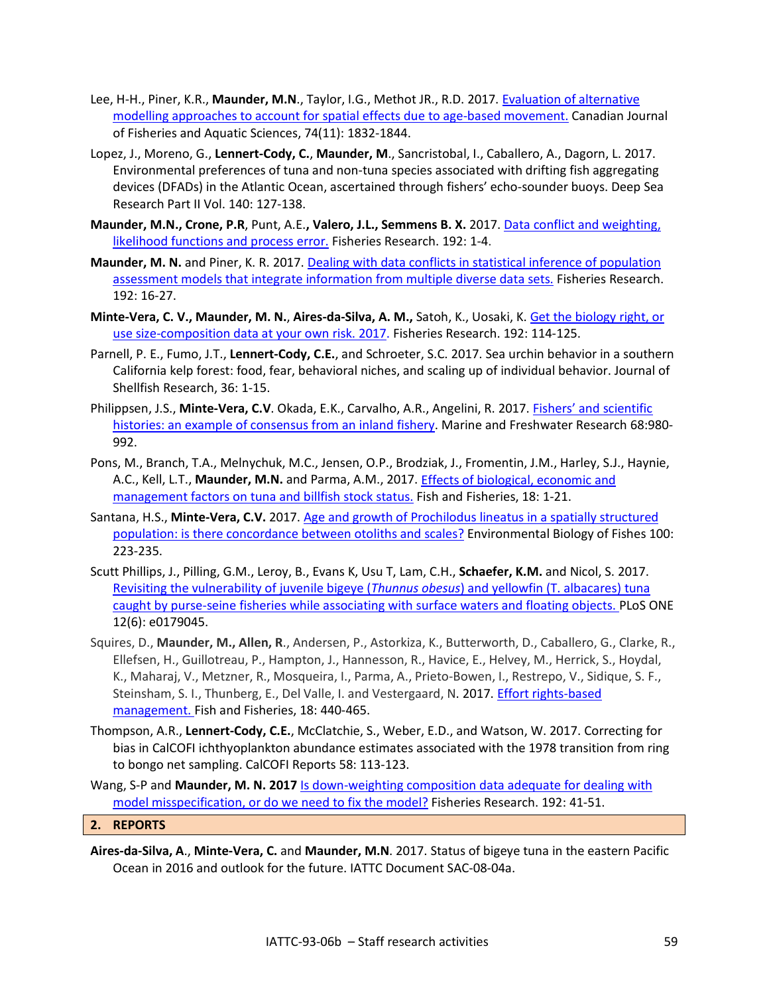- Lee, H-H., Piner, K.R., **Maunder, M.N**., Taylor, I.G., Methot JR., R.D. 2017. [Evaluation of alternative](http://www.nrcresearchpress.com/doi/10.1139/cjfas-2016-0294)  [modelling approaches to account for spatial effects due to age-based movement.](http://www.nrcresearchpress.com/doi/10.1139/cjfas-2016-0294) Canadian Journal of Fisheries and Aquatic Sciences, 74(11): 1832-1844.
- Lopez, J., Moreno, G., **Lennert-Cody, C.**, **Maunder, M**., Sancristobal, I., Caballero, A., Dagorn, L. 2017. Environmental preferences of tuna and non-tuna species associated with drifting fish aggregating devices (DFADs) in the Atlantic Ocean, ascertained through fishers' echo-sounder buoys. Deep Sea Research Part II Vol. 140: 127-138.
- **Maunder, M.N., Crone, P.R**, Punt, A.E.**, Valero, J.L., Semmens B. X.** 2017. [Data conflict and weighting,](https://www.sciencedirect.com/science/article/pii/S0165783617300735)  [likelihood functions and process error.](https://www.sciencedirect.com/science/article/pii/S0165783617300735) Fisheries Research. 192: 1-4.
- **Maunder, M. N.** and Piner, K. R. 2017. [Dealing with data conflicts in statistical inference of population](https://www.sciencedirect.com/science/article/pii/S0165783616301394)  [assessment models that integrate information from multiple diverse data sets.](https://www.sciencedirect.com/science/article/pii/S0165783616301394) Fisheries Research. 192: 16-27.
- **Minte-Vera, C. V., Maunder, M. N.**, **Aires-da-Silva, A. M.,** Satoh, K., Uosaki, K. [Get the biology right, or](https://www.sciencedirect.com/science/article/pii/S0165783617300231)  [use size-composition data at your own risk. 2017.](https://www.sciencedirect.com/science/article/pii/S0165783617300231) Fisheries Research. 192: 114-125.
- Parnell, P. E., Fumo, J.T., **Lennert-Cody, C.E.**, and Schroeter, S.C. 2017. Sea urchin behavior in a southern California kelp forest: food, fear, behavioral niches, and scaling up of individual behavior. Journal of Shellfish Research, 36: 1-15.
- Philippsen, J.S., Minte-Vera, C.V. Okada, E.K., Carvalho, A.R., Angelini, R. 2017. **Fishers' and scientific** [histories: an example of consensus from an inland fishery.](https://doi.org/10.1071/MF16053) Marine and Freshwater Research 68:980-992.
- Pons, M., Branch, T.A., Melnychuk, M.C., Jensen, O.P., Brodziak, J., Fromentin, J.M., Harley, S.J., Haynie, A.C., Kell, L.T., **Maunder, M.N.** and Parma, A.M., 2017. [Effects of biological, economic and](http://onlinelibrary.wiley.com/doi/10.1111/faf.12163/full)  [management factors on tuna and billfish stock status.](http://onlinelibrary.wiley.com/doi/10.1111/faf.12163/full) Fish and Fisheries, 18: 1-21.
- Santana, H.S., **Minte-Vera, C.V.** 2017. [Age and growth of Prochilodus lineatus in a spatially structured](https://link.springer.com/article/10.1007/s10641-017-0574-5)  [population: is there concordance between otoliths and scales?](https://link.springer.com/article/10.1007/s10641-017-0574-5) Environmental Biology of Fishes 100: 223-235.
- Scutt Phillips, J., Pilling, G.M., Leroy, B., Evans K, Usu T, Lam, C.H., **Schaefer, K.M.** and Nicol, S. 2017. [Revisiting the vulnerability of juvenile bigeye \(](http://journals.plos.org/plosone/article?id=10.1371/journal.pone.0179045)*Thunnus obesus*) and yellowfin (T. albacares) tuna [caught by purse-seine fisheries while associating with surface waters and floating objects. P](http://journals.plos.org/plosone/article?id=10.1371/journal.pone.0179045)LoS ONE 12(6): e0179045.
- Squires, D., **Maunder, M., Allen, R**., Andersen, P., Astorkiza, K., Butterworth, D., Caballero, G., Clarke, R., Ellefsen, H., Guillotreau, P., Hampton, J., Hannesson, R., Havice, E., Helvey, M., Herrick, S., Hoydal, K., Maharaj, V., Metzner, R., Mosqueira, I., Parma, A., Prieto-Bowen, I., Restrepo, V., Sidique, S. F., Steinsham, S. I., Thunberg, E., Del Valle, I. and Vestergaard, N. 2017. Effort rights-based [management. F](http://onlinelibrary.wiley.com/doi/10.1111/faf.12185/full)ish and Fisheries, 18: 440-465.
- Thompson, A.R., **Lennert-Cody, C.E.**, McClatchie, S., Weber, E.D., and Watson, W. 2017. Correcting for bias in CalCOFI ichthyoplankton abundance estimates associated with the 1978 transition from ring to bongo net sampling. CalCOFI Reports 58: 113-123.
- Wang, S-P and **Maunder, M. N. 2017** [Is down-weighting composition data adequate for dealing with](https://www.sciencedirect.com/science/article/pii/S0165783616304143)  [model misspecification, or do we need to fix the model?](https://www.sciencedirect.com/science/article/pii/S0165783616304143) Fisheries Research. 192: 41-51.

#### **2. REPORTS**

**Aires-da-Silva, A**., **Minte-Vera, C.** and **Maunder, M.N**. 2017. Status of bigeye tuna in the eastern Pacific Ocean in 2016 and outlook for the future. IATTC Document SAC-08-04a.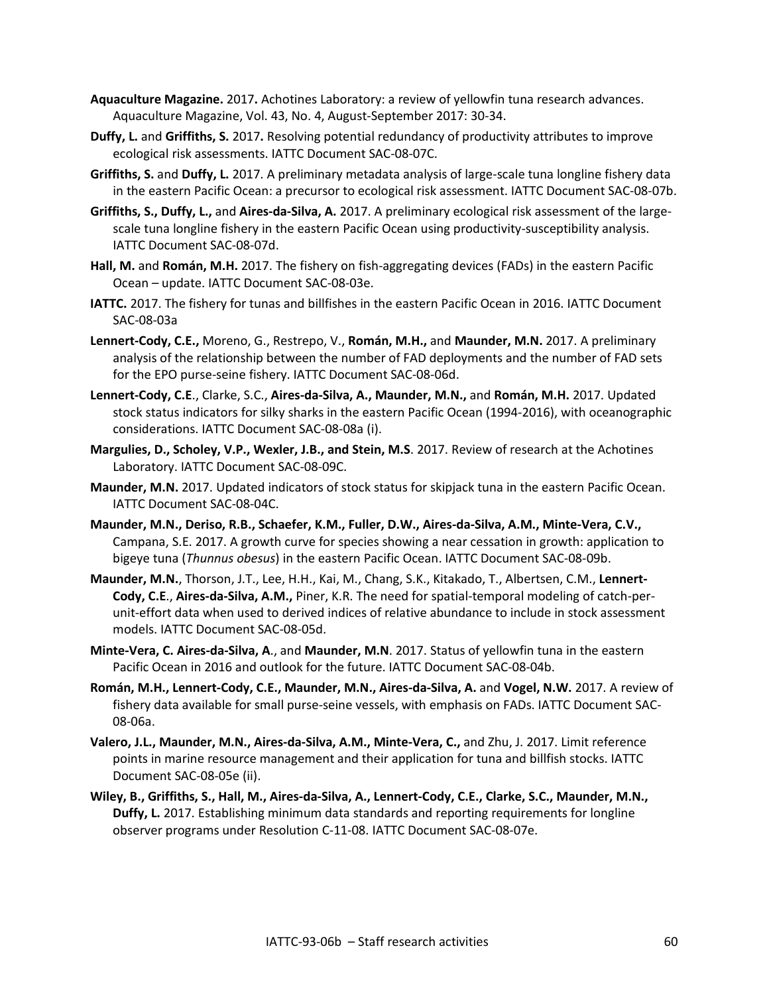- **Aquaculture Magazine.** 2017**.** Achotines Laboratory: a review of yellowfin tuna research advances. Aquaculture Magazine, Vol. 43, No. 4, August-September 2017: 30-34.
- **Duffy, L.** and **Griffiths, S.** 2017**.** Resolving potential redundancy of productivity attributes to improve ecological risk assessments. IATTC Document SAC-08-07C.
- **Griffiths, S.** and **Duffy, L.** 2017. A preliminary metadata analysis of large-scale tuna longline fishery data in the eastern Pacific Ocean: a precursor to ecological risk assessment. IATTC Document SAC-08-07b.
- **Griffiths, S., Duffy, L.,** and **Aires-da-Silva, A.** 2017. A preliminary ecological risk assessment of the largescale tuna longline fishery in the eastern Pacific Ocean using productivity-susceptibility analysis. IATTC Document SAC-08-07d.
- **Hall, M.** and **Román, M.H.** 2017. The fishery on fish-aggregating devices (FADs) in the eastern Pacific Ocean – update. IATTC Document SAC-08-03e.
- **IATTC.** 2017. The fishery for tunas and billfishes in the eastern Pacific Ocean in 2016. IATTC Document SAC-08-03a
- **Lennert-Cody, C.E.,** Moreno, G., Restrepo, V., **Román, M.H.,** and **Maunder, M.N.** 2017. A preliminary analysis of the relationship between the number of FAD deployments and the number of FAD sets for the EPO purse-seine fishery. IATTC Document SAC-08-06d.
- **Lennert-Cody, C.E**., Clarke, S.C., **Aires-da-Silva, A., Maunder, M.N.,** and **Román, M.H.** 2017. Updated stock status indicators for silky sharks in the eastern Pacific Ocean (1994-2016), with oceanographic considerations. IATTC Document SAC-08-08a (i).
- **Margulies, D., Scholey, V.P., Wexler, J.B., and Stein, M.S**. 2017. Review of research at the Achotines Laboratory. IATTC Document SAC-08-09C.
- **Maunder, M.N.** 2017. Updated indicators of stock status for skipjack tuna in the eastern Pacific Ocean. IATTC Document SAC-08-04C.
- **Maunder, M.N., Deriso, R.B., Schaefer, K.M., Fuller, D.W., Aires-da-Silva, A.M., Minte-Vera, C.V.,** Campana, S.E. 2017. A growth curve for species showing a near cessation in growth: application to bigeye tuna (*Thunnus obesus*) in the eastern Pacific Ocean. IATTC Document SAC-08-09b.
- **Maunder, M.N.**, Thorson, J.T., Lee, H.H., Kai, M., Chang, S.K., Kitakado, T., Albertsen, C.M., **Lennert-Cody, C.E**., **Aires-da-Silva, A.M.,** Piner, K.R. The need for spatial-temporal modeling of catch-perunit-effort data when used to derived indices of relative abundance to include in stock assessment models. IATTC Document SAC-08-05d.
- **Minte-Vera, C. Aires-da-Silva, A**., and **Maunder, M.N**. 2017. Status of yellowfin tuna in the eastern Pacific Ocean in 2016 and outlook for the future. IATTC Document SAC-08-04b.
- **Román, M.H., Lennert-Cody, C.E., Maunder, M.N., Aires-da-Silva, A.** and **Vogel, N.W.** 2017. A review of fishery data available for small purse-seine vessels, with emphasis on FADs. IATTC Document SAC-08-06a.
- **Valero, J.L., Maunder, M.N., Aires-da-Silva, A.M., Minte-Vera, C.,** and Zhu, J. 2017. Limit reference points in marine resource management and their application for tuna and billfish stocks. IATTC Document SAC-08-05e (ii).
- **Wiley, B., Griffiths, S., Hall, M., Aires-da-Silva, A., Lennert-Cody, C.E., Clarke, S.C., Maunder, M.N., Duffy, L.** 2017. Establishing minimum data standards and reporting requirements for longline observer programs under Resolution C-11-08. IATTC Document SAC-08-07e.